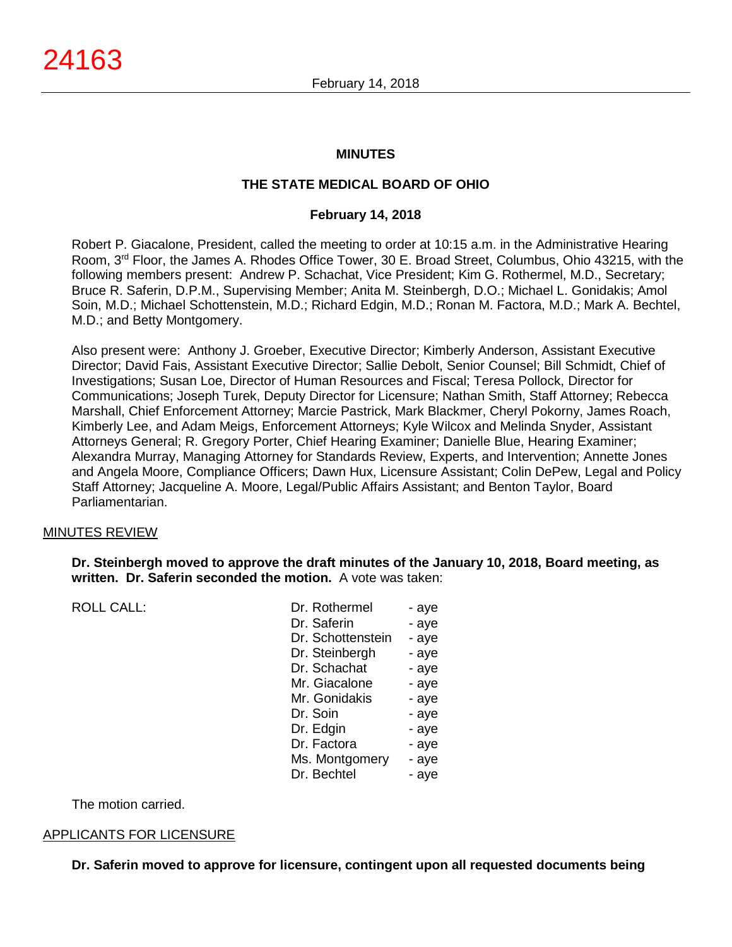### **MINUTES**

# **THE STATE MEDICAL BOARD OF OHIO**

### **February 14, 2018**

Robert P. Giacalone, President, called the meeting to order at 10:15 a.m. in the Administrative Hearing Room, 3rd Floor, the James A. Rhodes Office Tower, 30 E. Broad Street, Columbus, Ohio 43215, with the following members present: Andrew P. Schachat, Vice President; Kim G. Rothermel, M.D., Secretary; Bruce R. Saferin, D.P.M., Supervising Member; Anita M. Steinbergh, D.O.; Michael L. Gonidakis; Amol Soin, M.D.; Michael Schottenstein, M.D.; Richard Edgin, M.D.; Ronan M. Factora, M.D.; Mark A. Bechtel, M.D.; and Betty Montgomery.

Also present were: Anthony J. Groeber, Executive Director; Kimberly Anderson, Assistant Executive Director; David Fais, Assistant Executive Director; Sallie Debolt, Senior Counsel; Bill Schmidt, Chief of Investigations; Susan Loe, Director of Human Resources and Fiscal; Teresa Pollock, Director for Communications; Joseph Turek, Deputy Director for Licensure; Nathan Smith, Staff Attorney; Rebecca Marshall, Chief Enforcement Attorney; Marcie Pastrick, Mark Blackmer, Cheryl Pokorny, James Roach, Kimberly Lee, and Adam Meigs, Enforcement Attorneys; Kyle Wilcox and Melinda Snyder, Assistant Attorneys General; R. Gregory Porter, Chief Hearing Examiner; Danielle Blue, Hearing Examiner; Alexandra Murray, Managing Attorney for Standards Review, Experts, and Intervention; Annette Jones and Angela Moore, Compliance Officers; Dawn Hux, Licensure Assistant; Colin DePew, Legal and Policy Staff Attorney; Jacqueline A. Moore, Legal/Public Affairs Assistant; and Benton Taylor, Board Parliamentarian.

### MINUTES REVIEW

**Dr. Steinbergh moved to approve the draft minutes of the January 10, 2018, Board meeting, as written. Dr. Saferin seconded the motion.** A vote was taken:

ROLL CALL:

| Dr. Rothermel     | - aye |
|-------------------|-------|
| Dr. Saferin       | - aye |
| Dr. Schottenstein | - aye |
| Dr. Steinbergh    | - aye |
| Dr. Schachat      | - aye |
| Mr. Giacalone     | - aye |
| Mr. Gonidakis     | - aye |
| Dr. Soin          | - aye |
| Dr. Edgin         | - aye |
| Dr. Factora       | - aye |
| Ms. Montgomery    | - aye |
| Dr. Bechtel       | - ave |

The motion carried.

### APPLICANTS FOR LICENSURE

**Dr. Saferin moved to approve for licensure, contingent upon all requested documents being**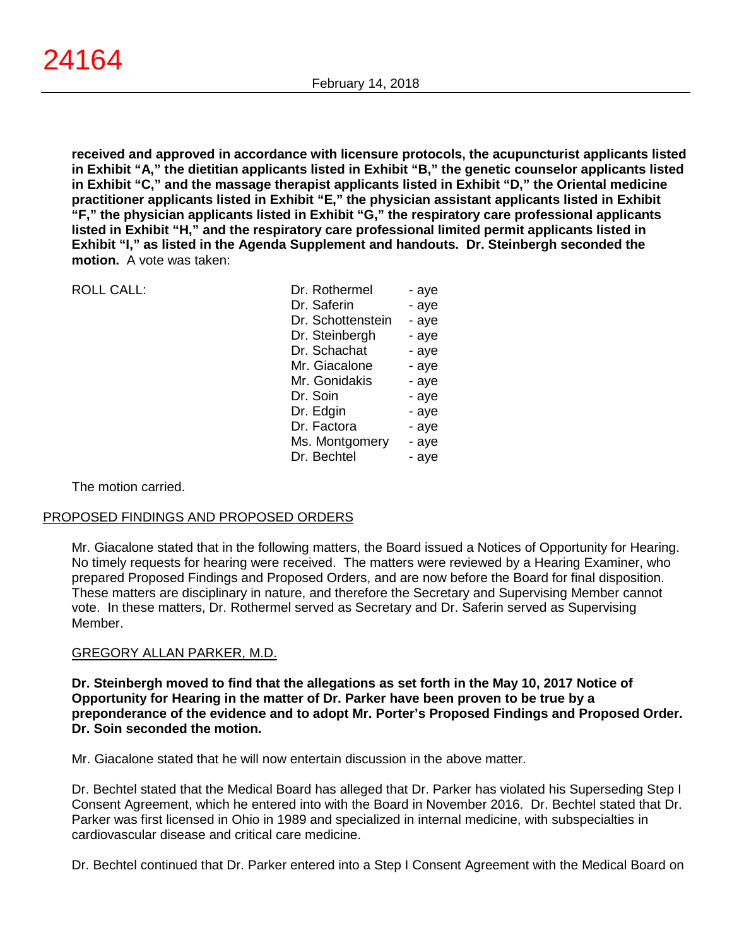**received and approved in accordance with licensure protocols, the acupuncturist applicants listed in Exhibit "A," the dietitian applicants listed in Exhibit "B," the genetic counselor applicants listed in Exhibit "C," and the massage therapist applicants listed in Exhibit "D," the Oriental medicine practitioner applicants listed in Exhibit "E," the physician assistant applicants listed in Exhibit "F," the physician applicants listed in Exhibit "G," the respiratory care professional applicants listed in Exhibit "H," and the respiratory care professional limited permit applicants listed in Exhibit "I," as listed in the Agenda Supplement and handouts. Dr. Steinbergh seconded the motion.** A vote was taken:

| <b>ROLL CALL:</b> | Dr. Rothermel     | - aye |
|-------------------|-------------------|-------|
|                   | Dr. Saferin       | - aye |
|                   | Dr. Schottenstein | - aye |
|                   | Dr. Steinbergh    | - aye |
|                   | Dr. Schachat      | - aye |
|                   | Mr. Giacalone     | - aye |
|                   | Mr. Gonidakis     | - aye |
|                   | Dr. Soin          | - aye |
|                   | Dr. Edgin         | - aye |
|                   | Dr. Factora       | - aye |
|                   | Ms. Montgomery    | - aye |
|                   | Dr. Bechtel       | - aye |
|                   |                   |       |

The motion carried.

# PROPOSED FINDINGS AND PROPOSED ORDERS

Mr. Giacalone stated that in the following matters, the Board issued a Notices of Opportunity for Hearing. No timely requests for hearing were received. The matters were reviewed by a Hearing Examiner, who prepared Proposed Findings and Proposed Orders, and are now before the Board for final disposition. These matters are disciplinary in nature, and therefore the Secretary and Supervising Member cannot vote. In these matters, Dr. Rothermel served as Secretary and Dr. Saferin served as Supervising Member.

# GREGORY ALLAN PARKER, M.D.

**Dr. Steinbergh moved to find that the allegations as set forth in the May 10, 2017 Notice of Opportunity for Hearing in the matter of Dr. Parker have been proven to be true by a preponderance of the evidence and to adopt Mr. Porter's Proposed Findings and Proposed Order. Dr. Soin seconded the motion.**

Mr. Giacalone stated that he will now entertain discussion in the above matter.

Dr. Bechtel stated that the Medical Board has alleged that Dr. Parker has violated his Superseding Step I Consent Agreement, which he entered into with the Board in November 2016. Dr. Bechtel stated that Dr. Parker was first licensed in Ohio in 1989 and specialized in internal medicine, with subspecialties in cardiovascular disease and critical care medicine.

Dr. Bechtel continued that Dr. Parker entered into a Step I Consent Agreement with the Medical Board on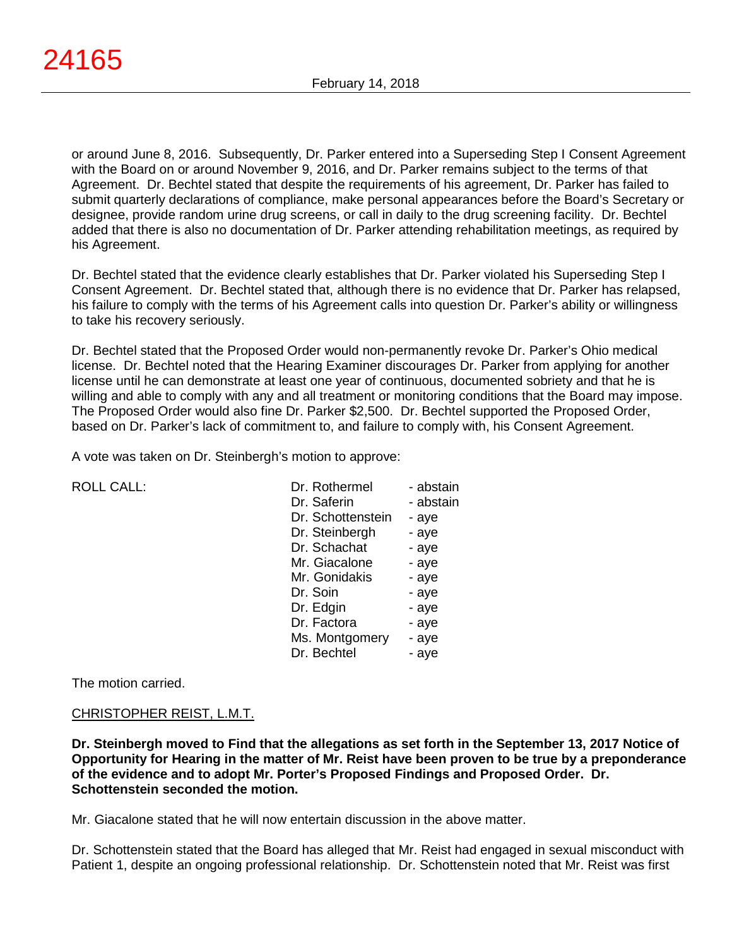or around June 8, 2016. Subsequently, Dr. Parker entered into a Superseding Step I Consent Agreement with the Board on or around November 9, 2016, and Dr. Parker remains subject to the terms of that Agreement. Dr. Bechtel stated that despite the requirements of his agreement, Dr. Parker has failed to submit quarterly declarations of compliance, make personal appearances before the Board's Secretary or designee, provide random urine drug screens, or call in daily to the drug screening facility. Dr. Bechtel added that there is also no documentation of Dr. Parker attending rehabilitation meetings, as required by his Agreement.

Dr. Bechtel stated that the evidence clearly establishes that Dr. Parker violated his Superseding Step I Consent Agreement. Dr. Bechtel stated that, although there is no evidence that Dr. Parker has relapsed, his failure to comply with the terms of his Agreement calls into question Dr. Parker's ability or willingness to take his recovery seriously.

Dr. Bechtel stated that the Proposed Order would non-permanently revoke Dr. Parker's Ohio medical license. Dr. Bechtel noted that the Hearing Examiner discourages Dr. Parker from applying for another license until he can demonstrate at least one year of continuous, documented sobriety and that he is willing and able to comply with any and all treatment or monitoring conditions that the Board may impose. The Proposed Order would also fine Dr. Parker \$2,500. Dr. Bechtel supported the Proposed Order, based on Dr. Parker's lack of commitment to, and failure to comply with, his Consent Agreement.

A vote was taken on Dr. Steinbergh's motion to approve:

| <b>ROLL CALL:</b> |  |
|-------------------|--|
|                   |  |

| <b>ROLL CALL:</b> | Dr. Rothermel     | - abstain |
|-------------------|-------------------|-----------|
|                   | Dr. Saferin       | - abstain |
|                   | Dr. Schottenstein | - aye     |
|                   | Dr. Steinbergh    | - aye     |
|                   | Dr. Schachat      | - aye     |
|                   | Mr. Giacalone     | - aye     |
|                   | Mr. Gonidakis     | - aye     |
|                   | Dr. Soin          | - aye     |
|                   | Dr. Edgin         | - aye     |
|                   | Dr. Factora       | - aye     |
|                   | Ms. Montgomery    | - aye     |
|                   | Dr. Bechtel       | - aye     |
|                   |                   |           |

The motion carried.

### CHRISTOPHER REIST, L.M.T.

**Dr. Steinbergh moved to Find that the allegations as set forth in the September 13, 2017 Notice of Opportunity for Hearing in the matter of Mr. Reist have been proven to be true by a preponderance of the evidence and to adopt Mr. Porter's Proposed Findings and Proposed Order. Dr. Schottenstein seconded the motion.**

Mr. Giacalone stated that he will now entertain discussion in the above matter.

Dr. Schottenstein stated that the Board has alleged that Mr. Reist had engaged in sexual misconduct with Patient 1, despite an ongoing professional relationship. Dr. Schottenstein noted that Mr. Reist was first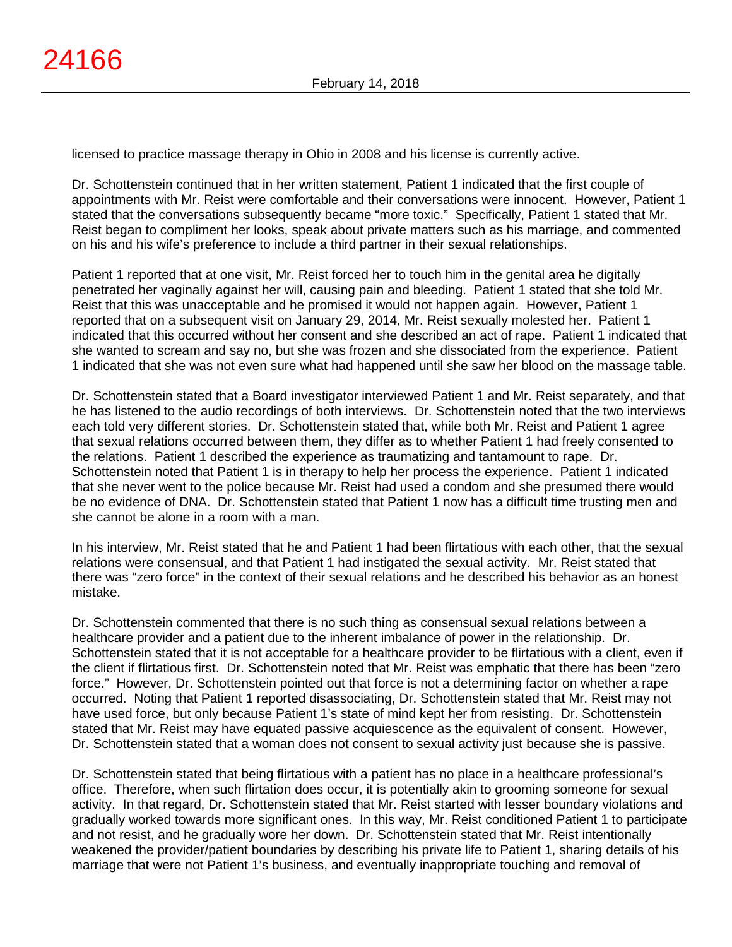licensed to practice massage therapy in Ohio in 2008 and his license is currently active.

Dr. Schottenstein continued that in her written statement, Patient 1 indicated that the first couple of appointments with Mr. Reist were comfortable and their conversations were innocent. However, Patient 1 stated that the conversations subsequently became "more toxic." Specifically, Patient 1 stated that Mr. Reist began to compliment her looks, speak about private matters such as his marriage, and commented on his and his wife's preference to include a third partner in their sexual relationships.

Patient 1 reported that at one visit, Mr. Reist forced her to touch him in the genital area he digitally penetrated her vaginally against her will, causing pain and bleeding. Patient 1 stated that she told Mr. Reist that this was unacceptable and he promised it would not happen again. However, Patient 1 reported that on a subsequent visit on January 29, 2014, Mr. Reist sexually molested her. Patient 1 indicated that this occurred without her consent and she described an act of rape. Patient 1 indicated that she wanted to scream and say no, but she was frozen and she dissociated from the experience. Patient 1 indicated that she was not even sure what had happened until she saw her blood on the massage table.

Dr. Schottenstein stated that a Board investigator interviewed Patient 1 and Mr. Reist separately, and that he has listened to the audio recordings of both interviews. Dr. Schottenstein noted that the two interviews each told very different stories. Dr. Schottenstein stated that, while both Mr. Reist and Patient 1 agree that sexual relations occurred between them, they differ as to whether Patient 1 had freely consented to the relations. Patient 1 described the experience as traumatizing and tantamount to rape. Dr. Schottenstein noted that Patient 1 is in therapy to help her process the experience. Patient 1 indicated that she never went to the police because Mr. Reist had used a condom and she presumed there would be no evidence of DNA. Dr. Schottenstein stated that Patient 1 now has a difficult time trusting men and she cannot be alone in a room with a man.

In his interview, Mr. Reist stated that he and Patient 1 had been flirtatious with each other, that the sexual relations were consensual, and that Patient 1 had instigated the sexual activity. Mr. Reist stated that there was "zero force" in the context of their sexual relations and he described his behavior as an honest mistake.

Dr. Schottenstein commented that there is no such thing as consensual sexual relations between a healthcare provider and a patient due to the inherent imbalance of power in the relationship. Dr. Schottenstein stated that it is not acceptable for a healthcare provider to be flirtatious with a client, even if the client if flirtatious first. Dr. Schottenstein noted that Mr. Reist was emphatic that there has been "zero force." However, Dr. Schottenstein pointed out that force is not a determining factor on whether a rape occurred. Noting that Patient 1 reported disassociating, Dr. Schottenstein stated that Mr. Reist may not have used force, but only because Patient 1's state of mind kept her from resisting. Dr. Schottenstein stated that Mr. Reist may have equated passive acquiescence as the equivalent of consent. However, Dr. Schottenstein stated that a woman does not consent to sexual activity just because she is passive.

Dr. Schottenstein stated that being flirtatious with a patient has no place in a healthcare professional's office. Therefore, when such flirtation does occur, it is potentially akin to grooming someone for sexual activity. In that regard, Dr. Schottenstein stated that Mr. Reist started with lesser boundary violations and gradually worked towards more significant ones. In this way, Mr. Reist conditioned Patient 1 to participate and not resist, and he gradually wore her down. Dr. Schottenstein stated that Mr. Reist intentionally weakened the provider/patient boundaries by describing his private life to Patient 1, sharing details of his marriage that were not Patient 1's business, and eventually inappropriate touching and removal of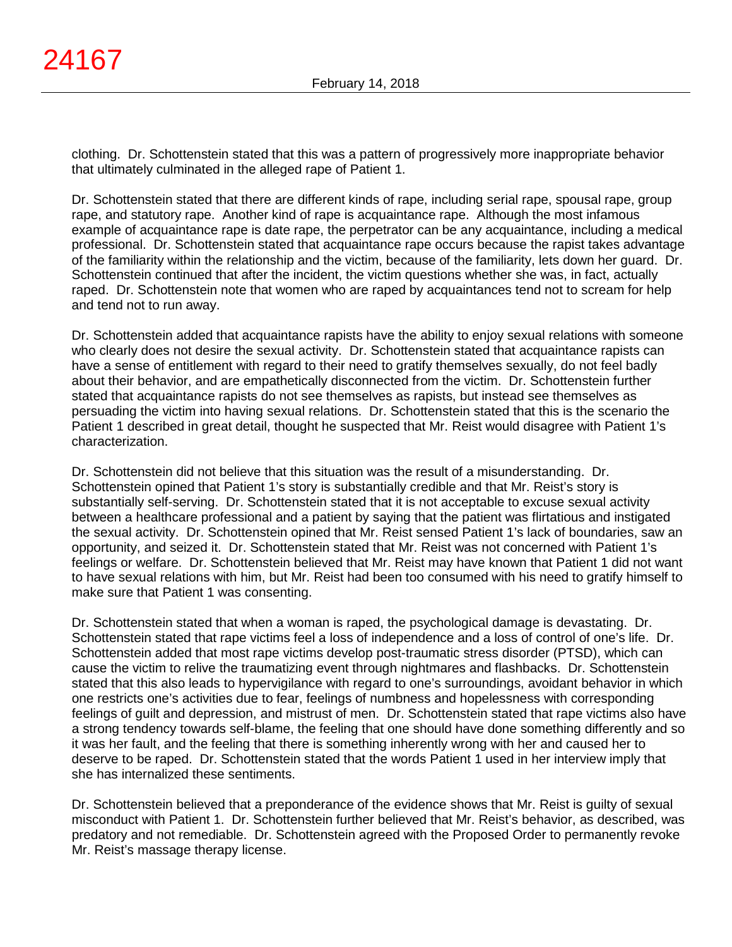clothing. Dr. Schottenstein stated that this was a pattern of progressively more inappropriate behavior that ultimately culminated in the alleged rape of Patient 1.

Dr. Schottenstein stated that there are different kinds of rape, including serial rape, spousal rape, group rape, and statutory rape. Another kind of rape is acquaintance rape. Although the most infamous example of acquaintance rape is date rape, the perpetrator can be any acquaintance, including a medical professional. Dr. Schottenstein stated that acquaintance rape occurs because the rapist takes advantage of the familiarity within the relationship and the victim, because of the familiarity, lets down her guard. Dr. Schottenstein continued that after the incident, the victim questions whether she was, in fact, actually raped. Dr. Schottenstein note that women who are raped by acquaintances tend not to scream for help and tend not to run away.

Dr. Schottenstein added that acquaintance rapists have the ability to enjoy sexual relations with someone who clearly does not desire the sexual activity. Dr. Schottenstein stated that acquaintance rapists can have a sense of entitlement with regard to their need to gratify themselves sexually, do not feel badly about their behavior, and are empathetically disconnected from the victim. Dr. Schottenstein further stated that acquaintance rapists do not see themselves as rapists, but instead see themselves as persuading the victim into having sexual relations. Dr. Schottenstein stated that this is the scenario the Patient 1 described in great detail, thought he suspected that Mr. Reist would disagree with Patient 1's characterization.

Dr. Schottenstein did not believe that this situation was the result of a misunderstanding. Dr. Schottenstein opined that Patient 1's story is substantially credible and that Mr. Reist's story is substantially self-serving. Dr. Schottenstein stated that it is not acceptable to excuse sexual activity between a healthcare professional and a patient by saying that the patient was flirtatious and instigated the sexual activity. Dr. Schottenstein opined that Mr. Reist sensed Patient 1's lack of boundaries, saw an opportunity, and seized it. Dr. Schottenstein stated that Mr. Reist was not concerned with Patient 1's feelings or welfare. Dr. Schottenstein believed that Mr. Reist may have known that Patient 1 did not want to have sexual relations with him, but Mr. Reist had been too consumed with his need to gratify himself to make sure that Patient 1 was consenting.

Dr. Schottenstein stated that when a woman is raped, the psychological damage is devastating. Dr. Schottenstein stated that rape victims feel a loss of independence and a loss of control of one's life. Dr. Schottenstein added that most rape victims develop post-traumatic stress disorder (PTSD), which can cause the victim to relive the traumatizing event through nightmares and flashbacks. Dr. Schottenstein stated that this also leads to hypervigilance with regard to one's surroundings, avoidant behavior in which one restricts one's activities due to fear, feelings of numbness and hopelessness with corresponding feelings of guilt and depression, and mistrust of men. Dr. Schottenstein stated that rape victims also have a strong tendency towards self-blame, the feeling that one should have done something differently and so it was her fault, and the feeling that there is something inherently wrong with her and caused her to deserve to be raped. Dr. Schottenstein stated that the words Patient 1 used in her interview imply that she has internalized these sentiments.

Dr. Schottenstein believed that a preponderance of the evidence shows that Mr. Reist is guilty of sexual misconduct with Patient 1. Dr. Schottenstein further believed that Mr. Reist's behavior, as described, was predatory and not remediable. Dr. Schottenstein agreed with the Proposed Order to permanently revoke Mr. Reist's massage therapy license.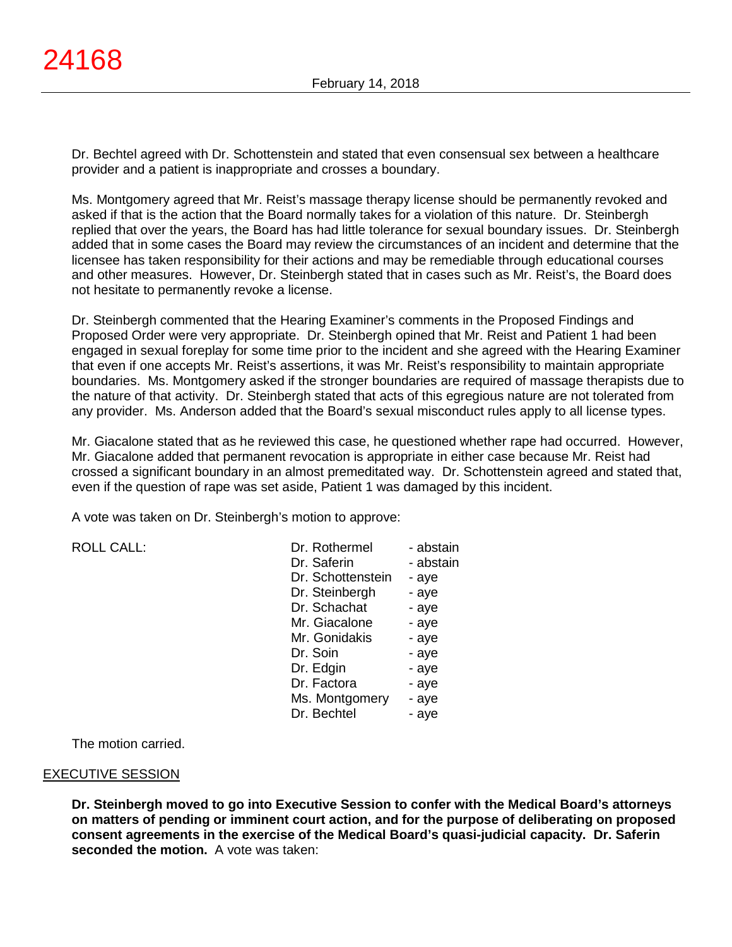Dr. Bechtel agreed with Dr. Schottenstein and stated that even consensual sex between a healthcare provider and a patient is inappropriate and crosses a boundary.

Ms. Montgomery agreed that Mr. Reist's massage therapy license should be permanently revoked and asked if that is the action that the Board normally takes for a violation of this nature. Dr. Steinbergh replied that over the years, the Board has had little tolerance for sexual boundary issues. Dr. Steinbergh added that in some cases the Board may review the circumstances of an incident and determine that the licensee has taken responsibility for their actions and may be remediable through educational courses and other measures. However, Dr. Steinbergh stated that in cases such as Mr. Reist's, the Board does not hesitate to permanently revoke a license.

Dr. Steinbergh commented that the Hearing Examiner's comments in the Proposed Findings and Proposed Order were very appropriate. Dr. Steinbergh opined that Mr. Reist and Patient 1 had been engaged in sexual foreplay for some time prior to the incident and she agreed with the Hearing Examiner that even if one accepts Mr. Reist's assertions, it was Mr. Reist's responsibility to maintain appropriate boundaries. Ms. Montgomery asked if the stronger boundaries are required of massage therapists due to the nature of that activity. Dr. Steinbergh stated that acts of this egregious nature are not tolerated from any provider. Ms. Anderson added that the Board's sexual misconduct rules apply to all license types.

Mr. Giacalone stated that as he reviewed this case, he questioned whether rape had occurred. However, Mr. Giacalone added that permanent revocation is appropriate in either case because Mr. Reist had crossed a significant boundary in an almost premeditated way. Dr. Schottenstein agreed and stated that, even if the question of rape was set aside, Patient 1 was damaged by this incident.

A vote was taken on Dr. Steinbergh's motion to approve:

| <b>ROLL CALL:</b> | Dr. Rothermel     | - abstain |
|-------------------|-------------------|-----------|
|                   | Dr. Saferin       | - abstain |
|                   | Dr. Schottenstein | - aye     |
|                   | Dr. Steinbergh    | - aye     |
|                   | Dr. Schachat      | - aye     |
|                   | Mr. Giacalone     | - aye     |
|                   | Mr. Gonidakis     | - aye     |
|                   | Dr. Soin          | - aye     |
|                   | D. Falais         | $\sim$    |

Steinbergh - aye Schachat - aye Giacalone - aye Gonidakis - aye<br>Soin - ave - aye Dr. Edgin - ave Dr. Factora - aye Ms. Montgomery - aye Dr. Bechtel - aye

The motion carried.

### EXECUTIVE SESSION

**Dr. Steinbergh moved to go into Executive Session to confer with the Medical Board's attorneys on matters of pending or imminent court action, and for the purpose of deliberating on proposed consent agreements in the exercise of the Medical Board's quasi-judicial capacity. Dr. Saferin seconded the motion.** A vote was taken: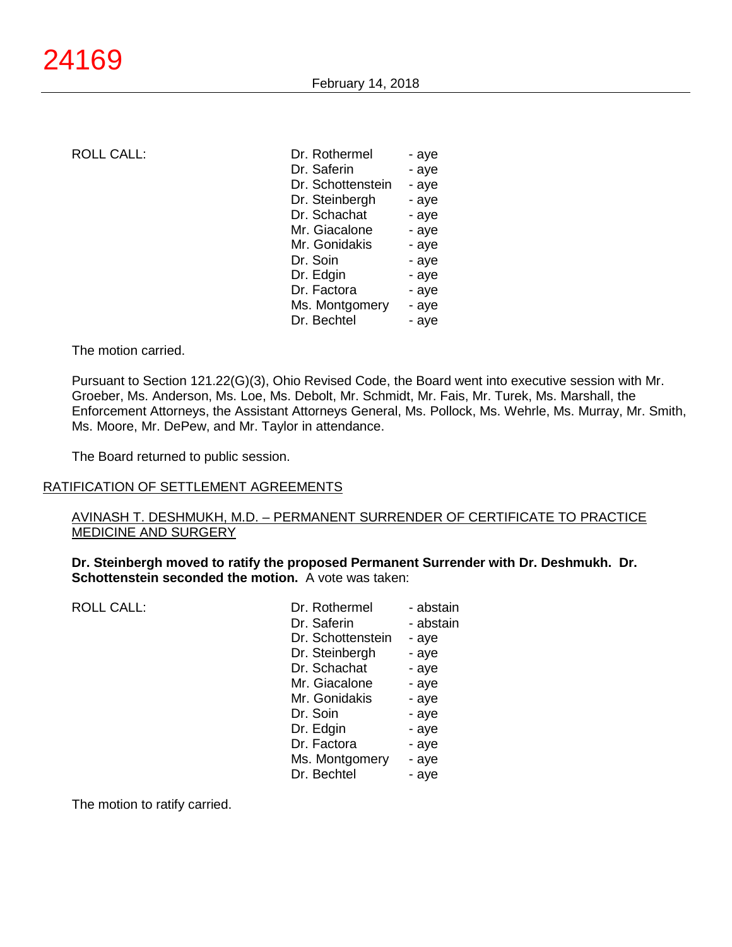ROLL CALL: Dr. Roth

| Dr. Rothermel     | - aye |
|-------------------|-------|
| Dr. Saferin       | - aye |
| Dr. Schottenstein | - aye |
| Dr. Steinbergh    | - aye |
| Dr. Schachat      | - aye |
| Mr. Giacalone     | - aye |
| Mr. Gonidakis     | - aye |
| Dr. Soin          | - aye |
| Dr. Edgin         | - aye |
| Dr. Factora       | - aye |
| Ms. Montgomery    | - aye |
| Dr. Bechtel       | - aye |
|                   |       |

The motion carried.

Pursuant to Section 121.22(G)(3), Ohio Revised Code, the Board went into executive session with Mr. Groeber, Ms. Anderson, Ms. Loe, Ms. Debolt, Mr. Schmidt, Mr. Fais, Mr. Turek, Ms. Marshall, the Enforcement Attorneys, the Assistant Attorneys General, Ms. Pollock, Ms. Wehrle, Ms. Murray, Mr. Smith, Ms. Moore, Mr. DePew, and Mr. Taylor in attendance.

The Board returned to public session.

#### RATIFICATION OF SETTLEMENT AGREEMENTS

### AVINASH T. DESHMUKH, M.D. – PERMANENT SURRENDER OF CERTIFICATE TO PRACTICE MEDICINE AND SURGERY

**Dr. Steinbergh moved to ratify the proposed Permanent Surrender with Dr. Deshmukh. Dr. Schottenstein seconded the motion.** A vote was taken:

| Dr. Rothermel     | - abstain |
|-------------------|-----------|
| Dr. Saferin       | - abstain |
| Dr. Schottenstein | - aye     |
| Dr. Steinbergh    | - aye     |
| Dr. Schachat      | - aye     |
| Mr. Giacalone     | - aye     |
| Mr. Gonidakis     | - aye     |
| Dr. Soin          | - aye     |
| Dr. Edgin         | - aye     |
| Dr. Factora       | - aye     |
| Ms. Montgomery    | - aye     |
| Dr. Bechtel       | - aye     |
|                   |           |

The motion to ratify carried.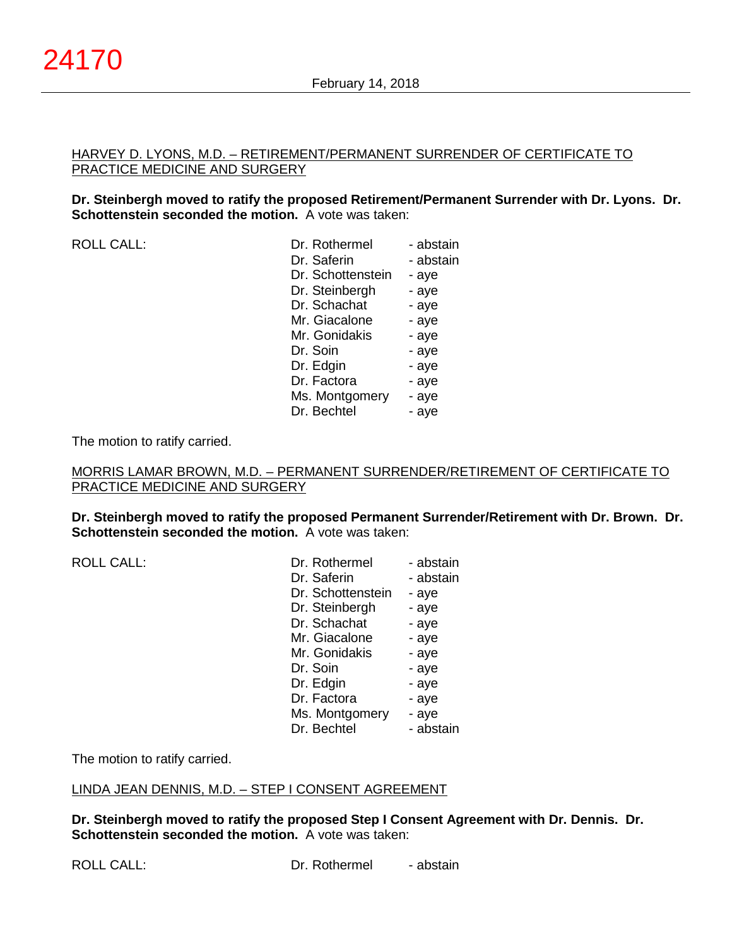### HARVEY D. LYONS, M.D. – RETIREMENT/PERMANENT SURRENDER OF CERTIFICATE TO PRACTICE MEDICINE AND SURGERY

### **Dr. Steinbergh moved to ratify the proposed Retirement/Permanent Surrender with Dr. Lyons. Dr. Schottenstein seconded the motion.** A vote was taken:

ROLL CALL:

| Dr. Rothermel     | - abstain |
|-------------------|-----------|
| Dr. Saferin       | - abstain |
| Dr. Schottenstein | - aye     |
| Dr. Steinbergh    | - aye     |
| Dr. Schachat      | - aye     |
| Mr. Giacalone     | - aye     |
| Mr. Gonidakis     | - aye     |
| Dr. Soin          | - aye     |
| Dr. Edgin         | - aye     |
| Dr. Factora       | - aye     |
| Ms. Montgomery    | - aye     |
| Dr. Bechtel       | - aye     |
|                   |           |

The motion to ratify carried.

### MORRIS LAMAR BROWN, M.D. – PERMANENT SURRENDER/RETIREMENT OF CERTIFICATE TO PRACTICE MEDICINE AND SURGERY

**Dr. Steinbergh moved to ratify the proposed Permanent Surrender/Retirement with Dr. Brown. Dr. Schottenstein seconded the motion.** A vote was taken:

 $ROILCAIL$ :

| - abstain |
|-----------|
| - abstain |
| - aye     |
| - aye     |
| - aye     |
| - aye     |
| - aye     |
| - aye     |
| - aye     |
| - aye     |
| - aye     |
| - abstain |
|           |

The motion to ratify carried.

### LINDA JEAN DENNIS, M.D. – STEP I CONSENT AGREEMENT

**Dr. Steinbergh moved to ratify the proposed Step I Consent Agreement with Dr. Dennis. Dr. Schottenstein seconded the motion.** A vote was taken: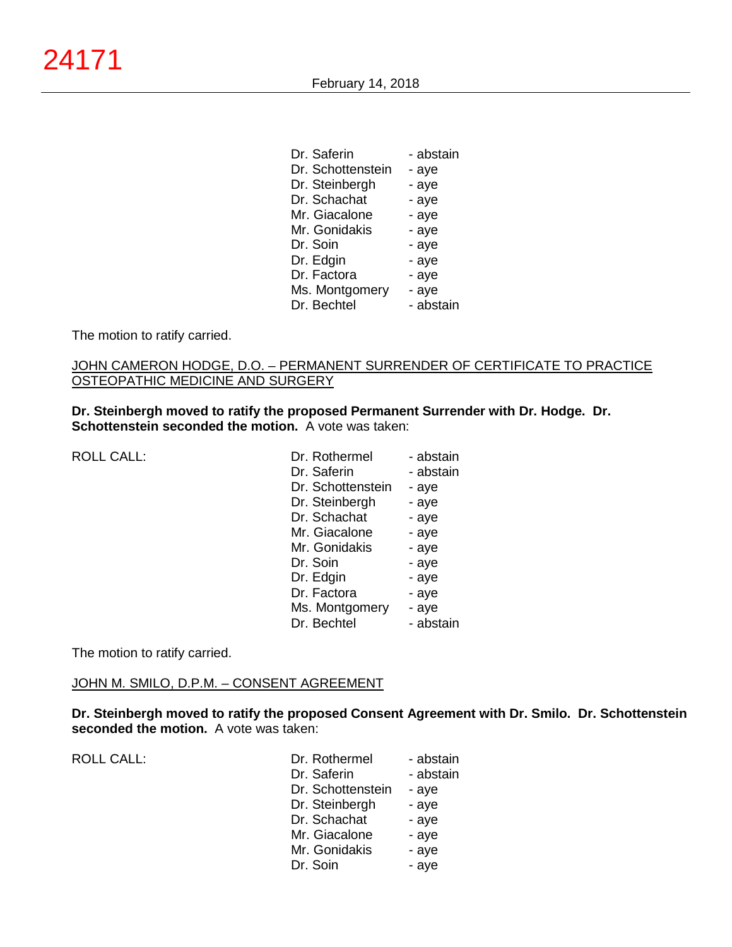| Dr. Saferin       | - abstain |
|-------------------|-----------|
| Dr. Schottenstein | - aye     |
| Dr. Steinbergh    | - aye     |
| Dr. Schachat      | - aye     |
| Mr. Giacalone     | - aye     |
| Mr. Gonidakis     | - aye     |
| Dr. Soin          | - aye     |
| Dr. Edgin         | - aye     |
| Dr. Factora       | - aye     |
| Ms. Montgomery    | - aye     |
| Dr. Bechtel       | - abstain |

The motion to ratify carried.

# JOHN CAMERON HODGE, D.O. - PERMANENT SURRENDER OF CERTIFICATE TO PRACTICE OSTEOPATHIC MEDICINE AND SURGERY

**Dr. Steinbergh moved to ratify the proposed Permanent Surrender with Dr. Hodge. Dr. Schottenstein seconded the motion.** A vote was taken:

ROLL CALL:

| Dr. Rothermel     | - abstain |
|-------------------|-----------|
| Dr. Saferin       | - abstain |
| Dr. Schottenstein | - aye     |
| Dr. Steinbergh    | - aye     |
| Dr. Schachat      | - aye     |
| Mr. Giacalone     | - aye     |
| Mr. Gonidakis     | - aye     |
| Dr. Soin          | - aye     |
| Dr. Edgin         | - aye     |
| Dr. Factora       | - aye     |
| Ms. Montgomery    | - aye     |
| Dr. Bechtel       | - abstain |
|                   |           |

The motion to ratify carried.

### JOHN M. SMILO, D.P.M. – CONSENT AGREEMENT

**Dr. Steinbergh moved to ratify the proposed Consent Agreement with Dr. Smilo. Dr. Schottenstein seconded the motion.** A vote was taken:

ROLL CALL:

| Dr. Rothermel     | - abstain |
|-------------------|-----------|
| Dr. Saferin       | - abstain |
| Dr. Schottenstein | - aye     |
| Dr. Steinbergh    | - aye     |
| Dr. Schachat      | - aye     |
| Mr. Giacalone     | - aye     |
| Mr. Gonidakis     | - aye     |
| Dr. Soin          | - aye     |
|                   |           |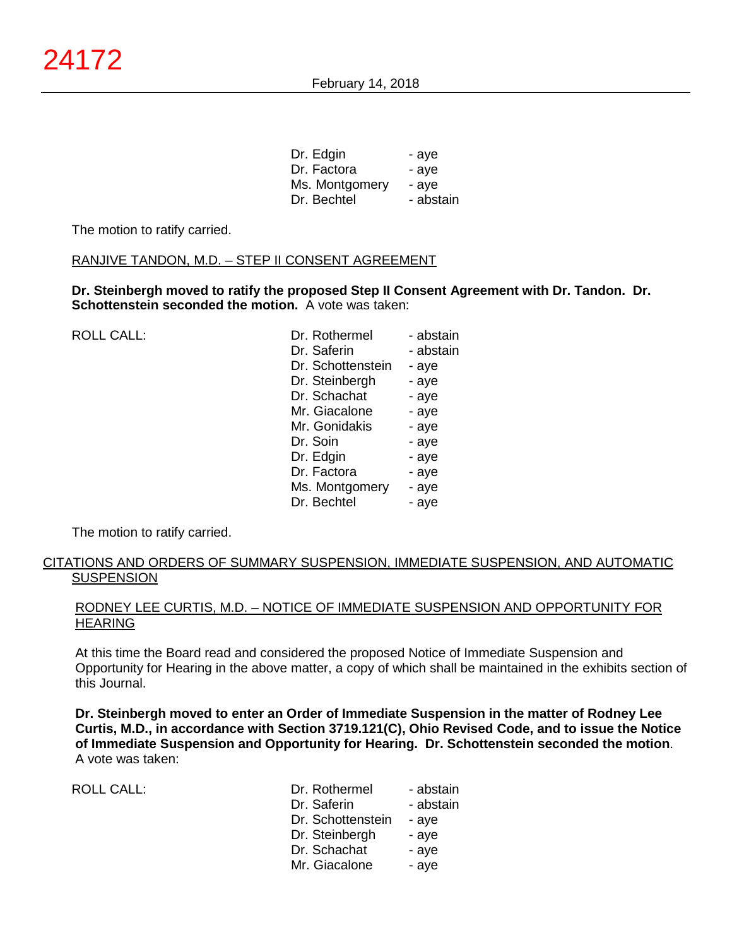| - aye     |
|-----------|
| - ave     |
| - ave     |
| - abstain |
|           |

The motion to ratify carried.

### RANJIVE TANDON, M.D. – STEP II CONSENT AGREEMENT

**Dr. Steinbergh moved to ratify the proposed Step II Consent Agreement with Dr. Tandon. Dr. Schottenstein seconded the motion.** A vote was taken:

| <b>ROLL CALL:</b> | Dr. Rothermel     | - abstain |
|-------------------|-------------------|-----------|
|                   | Dr. Saferin       | - abstain |
|                   | Dr. Schottenstein | - aye     |
|                   | Dr. Steinbergh    | - aye     |
|                   | Dr. Schachat      | - aye     |
|                   | Mr. Giacalone     | - aye     |
|                   | Mr. Gonidakis     | - aye     |
|                   | Dr. Soin          | - aye     |
|                   | Dr. Edgin         | - aye     |
|                   | Dr. Factora       | - aye     |
|                   | Ms. Montgomery    | - aye     |
|                   | Dr. Bechtel       | - aye     |

The motion to ratify carried.

# CITATIONS AND ORDERS OF SUMMARY SUSPENSION, IMMEDIATE SUSPENSION, AND AUTOMATIC **SUSPENSION**

### RODNEY LEE CURTIS, M.D. – NOTICE OF IMMEDIATE SUSPENSION AND OPPORTUNITY FOR HEARING

At this time the Board read and considered the proposed Notice of Immediate Suspension and Opportunity for Hearing in the above matter, a copy of which shall be maintained in the exhibits section of this Journal.

**Dr. Steinbergh moved to enter an Order of Immediate Suspension in the matter of Rodney Lee Curtis, M.D., in accordance with Section 3719.121(C), Ohio Revised Code, and to issue the Notice of Immediate Suspension and Opportunity for Hearing. Dr. Schottenstein seconded the motion**. A vote was taken:

ROLL CALL: Dr. Rothermel - abstain Dr. Saferin - abstain Dr. Schottenstein - aye Dr. Steinbergh - aye Dr. Schachat **-** aye Mr. Giacalone <sup>-</sup> aye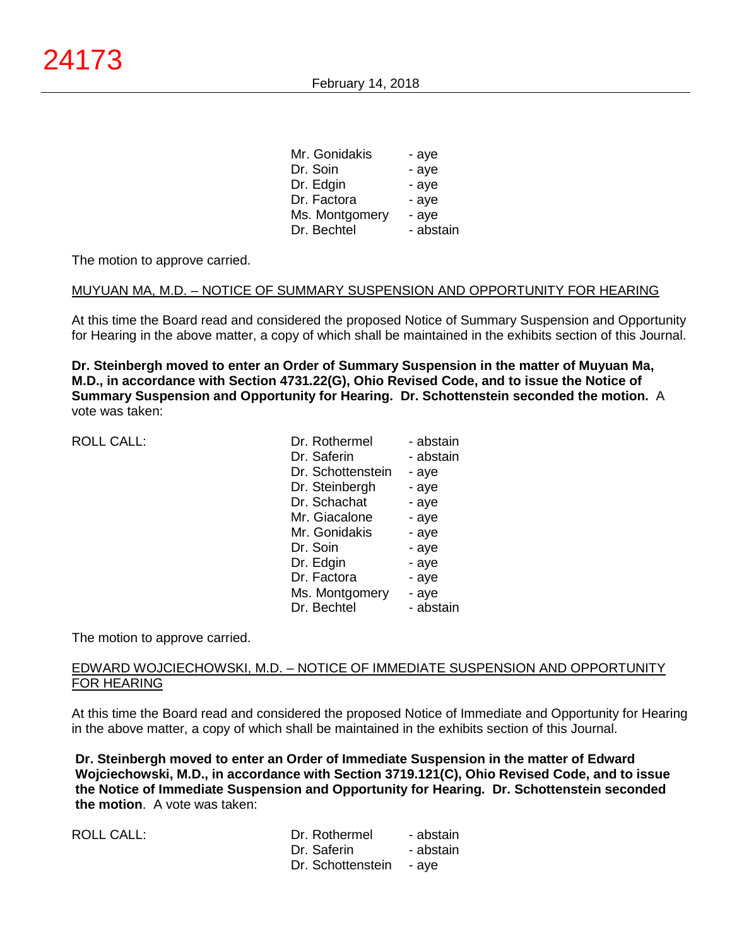| - aye     |
|-----------|
| - aye     |
| - aye     |
| - aye     |
| - aye     |
| - abstain |
|           |

The motion to approve carried.

### MUYUAN MA, M.D. – NOTICE OF SUMMARY SUSPENSION AND OPPORTUNITY FOR HEARING

At this time the Board read and considered the proposed Notice of Summary Suspension and Opportunity for Hearing in the above matter, a copy of which shall be maintained in the exhibits section of this Journal.

**Dr. Steinbergh moved to enter an Order of Summary Suspension in the matter of Muyuan Ma, M.D., in accordance with Section 4731.22(G), Ohio Revised Code, and to issue the Notice of Summary Suspension and Opportunity for Hearing. Dr. Schottenstein seconded the motion.** A vote was taken:

ROLL CALL:

| Dr. Rothermel     | - abstain |
|-------------------|-----------|
| Dr. Saferin       | - abstain |
| Dr. Schottenstein | - aye     |
| Dr. Steinbergh    | - aye     |
| Dr. Schachat      | - aye     |
| Mr. Giacalone     | - aye     |
| Mr. Gonidakis     | - aye     |
| Dr. Soin          | - aye     |
| Dr. Edgin         | - aye     |
| Dr. Factora       | - aye     |
| Ms. Montgomery    | - aye     |
| Dr. Bechtel       | - abstain |

The motion to approve carried.

### EDWARD WOJCIECHOWSKI, M.D. – NOTICE OF IMMEDIATE SUSPENSION AND OPPORTUNITY FOR HEARING

At this time the Board read and considered the proposed Notice of Immediate and Opportunity for Hearing in the above matter, a copy of which shall be maintained in the exhibits section of this Journal.

**Dr. Steinbergh moved to enter an Order of Immediate Suspension in the matter of Edward Wojciechowski, M.D., in accordance with Section 3719.121(C), Ohio Revised Code, and to issue the Notice of Immediate Suspension and Opportunity for Hearing. Dr. Schottenstein seconded the motion**. A vote was taken:

ROLL CALL:

| Dr. Rothermel     | - abstain |
|-------------------|-----------|
| Dr. Saferin       | - abstain |
| Dr. Schottenstein | - ave     |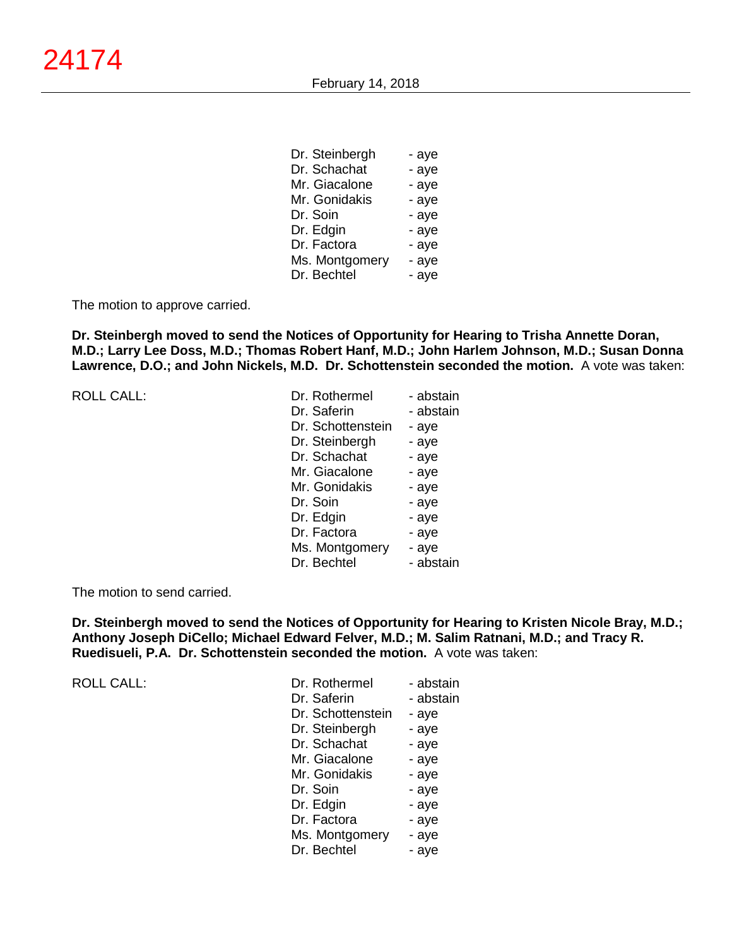| Dr. Steinbergh | - aye |
|----------------|-------|
| Dr. Schachat   | - aye |
| Mr. Giacalone  | - aye |
| Mr. Gonidakis  | - aye |
| Dr. Soin       | - aye |
| Dr. Edgin      | - aye |
| Dr. Factora    | - aye |
| Ms. Montgomery | - aye |
| Dr. Bechtel    | - aye |

The motion to approve carried.

**Dr. Steinbergh moved to send the Notices of Opportunity for Hearing to Trisha Annette Doran, M.D.; Larry Lee Doss, M.D.; Thomas Robert Hanf, M.D.; John Harlem Johnson, M.D.; Susan Donna Lawrence, D.O.; and John Nickels, M.D. Dr. Schottenstein seconded the motion.** A vote was taken:

|  |  | <b>ROLL CALL:</b> |
|--|--|-------------------|
|--|--|-------------------|

ROLL CALL:

|                   | - abstain     |
|-------------------|---------------|
| Dr. Saferin       | - abstain     |
| Dr. Schottenstein | - aye         |
| Dr. Steinbergh    | - aye         |
| Dr. Schachat      | - aye         |
| Mr. Giacalone     | - aye         |
| Mr. Gonidakis     | - aye         |
| Dr. Soin          | - aye         |
| Dr. Edgin         | - aye         |
| Dr. Factora       | - aye         |
| Ms. Montgomery    | - aye         |
| Dr. Bechtel       | - abstain     |
|                   | Dr. Rothermel |

The motion to send carried.

**Dr. Steinbergh moved to send the Notices of Opportunity for Hearing to Kristen Nicole Bray, M.D.; Anthony Joseph DiCello; Michael Edward Felver, M.D.; M. Salim Ratnani, M.D.; and Tracy R. Ruedisueli, P.A. Dr. Schottenstein seconded the motion.** A vote was taken:

| Dr. Rothermel     | - abstain |
|-------------------|-----------|
| Dr. Saferin       | - abstain |
| Dr. Schottenstein | - aye     |
| Dr. Steinbergh    | - aye     |
| Dr. Schachat      | - aye     |
| Mr. Giacalone     | - aye     |
| Mr. Gonidakis     | - aye     |
| Dr. Soin          | - aye     |
| Dr. Edgin         | - aye     |
| Dr. Factora       | - aye     |
| Ms. Montgomery    | - aye     |
| Dr. Bechtel       | - ave     |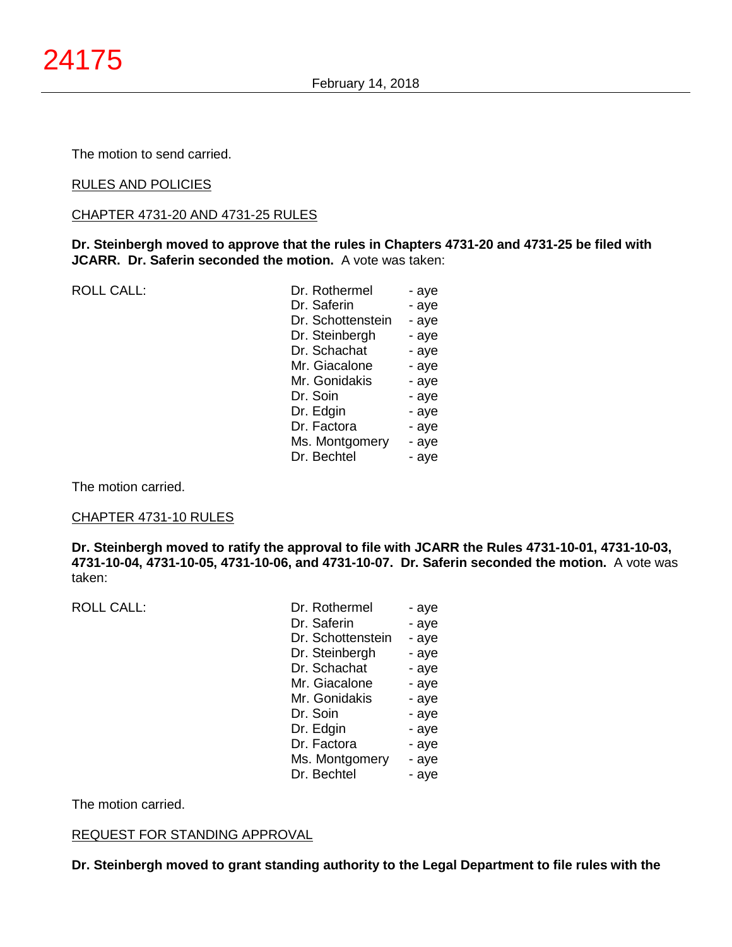The motion to send carried.

### RULES AND POLICIES

CHAPTER 4731-20 AND 4731-25 RULES

**Dr. Steinbergh moved to approve that the rules in Chapters 4731-20 and 4731-25 be filed with JCARR. Dr. Saferin seconded the motion.** A vote was taken:

ROLL CALL:

| Dr. Rothermel     | - aye |
|-------------------|-------|
| Dr. Saferin       | - aye |
| Dr. Schottenstein | - aye |
| Dr. Steinbergh    | - aye |
| Dr. Schachat      | - aye |
| Mr. Giacalone     | - aye |
| Mr. Gonidakis     | - aye |
| Dr. Soin          | - aye |
| Dr. Edgin         | - aye |
| Dr. Factora       | - aye |
| Ms. Montgomery    | - aye |
| Dr. Bechtel       | - aye |
|                   |       |

The motion carried.

### CHAPTER 4731-10 RULES

**Dr. Steinbergh moved to ratify the approval to file with JCARR the Rules 4731-10-01, 4731-10-03, 4731-10-04, 4731-10-05, 4731-10-06, and 4731-10-07. Dr. Saferin seconded the motion.** A vote was taken:

ROLL CALL:

| - aye |
|-------|
| - aye |
| - aye |
| - aye |
| - aye |
| - aye |
| - aye |
| - aye |
| - aye |
| - aye |
| - aye |
| - aye |
|       |

The motion carried.

#### REQUEST FOR STANDING APPROVAL

**Dr. Steinbergh moved to grant standing authority to the Legal Department to file rules with the**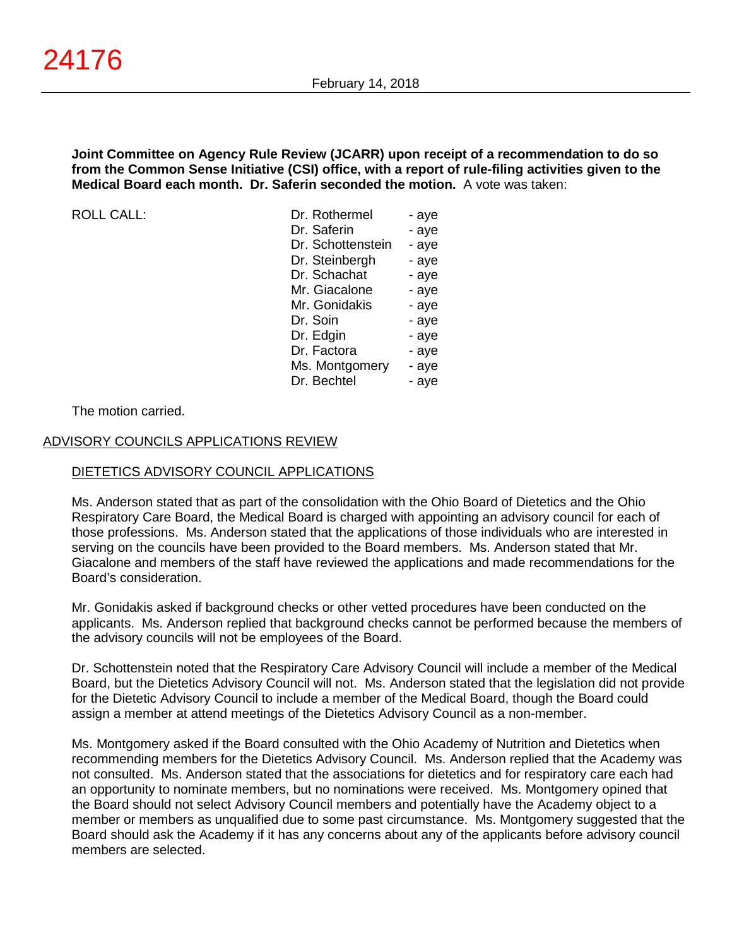**Joint Committee on Agency Rule Review (JCARR) upon receipt of a recommendation to do so from the Common Sense Initiative (CSI) office, with a report of rule-filing activities given to the Medical Board each month. Dr. Saferin seconded the motion.** A vote was taken:

 $ROILCAII$ :

| Dr. Rothermel     | - aye |
|-------------------|-------|
| Dr. Saferin       | - aye |
| Dr. Schottenstein | - aye |
| Dr. Steinbergh    | - aye |
| Dr. Schachat      | - aye |
| Mr. Giacalone     | - aye |
| Mr. Gonidakis     | - aye |
| Dr. Soin          | - aye |
| Dr. Edgin         | - aye |
| Dr. Factora       | - aye |
| Ms. Montgomery    | - aye |
| Dr. Bechtel       | - aye |

The motion carried.

### ADVISORY COUNCILS APPLICATIONS REVIEW

#### DIETETICS ADVISORY COUNCIL APPLICATIONS

Ms. Anderson stated that as part of the consolidation with the Ohio Board of Dietetics and the Ohio Respiratory Care Board, the Medical Board is charged with appointing an advisory council for each of those professions. Ms. Anderson stated that the applications of those individuals who are interested in serving on the councils have been provided to the Board members. Ms. Anderson stated that Mr. Giacalone and members of the staff have reviewed the applications and made recommendations for the Board's consideration.

Mr. Gonidakis asked if background checks or other vetted procedures have been conducted on the applicants. Ms. Anderson replied that background checks cannot be performed because the members of the advisory councils will not be employees of the Board.

Dr. Schottenstein noted that the Respiratory Care Advisory Council will include a member of the Medical Board, but the Dietetics Advisory Council will not. Ms. Anderson stated that the legislation did not provide for the Dietetic Advisory Council to include a member of the Medical Board, though the Board could assign a member at attend meetings of the Dietetics Advisory Council as a non-member.

Ms. Montgomery asked if the Board consulted with the Ohio Academy of Nutrition and Dietetics when recommending members for the Dietetics Advisory Council. Ms. Anderson replied that the Academy was not consulted. Ms. Anderson stated that the associations for dietetics and for respiratory care each had an opportunity to nominate members, but no nominations were received. Ms. Montgomery opined that the Board should not select Advisory Council members and potentially have the Academy object to a member or members as unqualified due to some past circumstance. Ms. Montgomery suggested that the Board should ask the Academy if it has any concerns about any of the applicants before advisory council members are selected.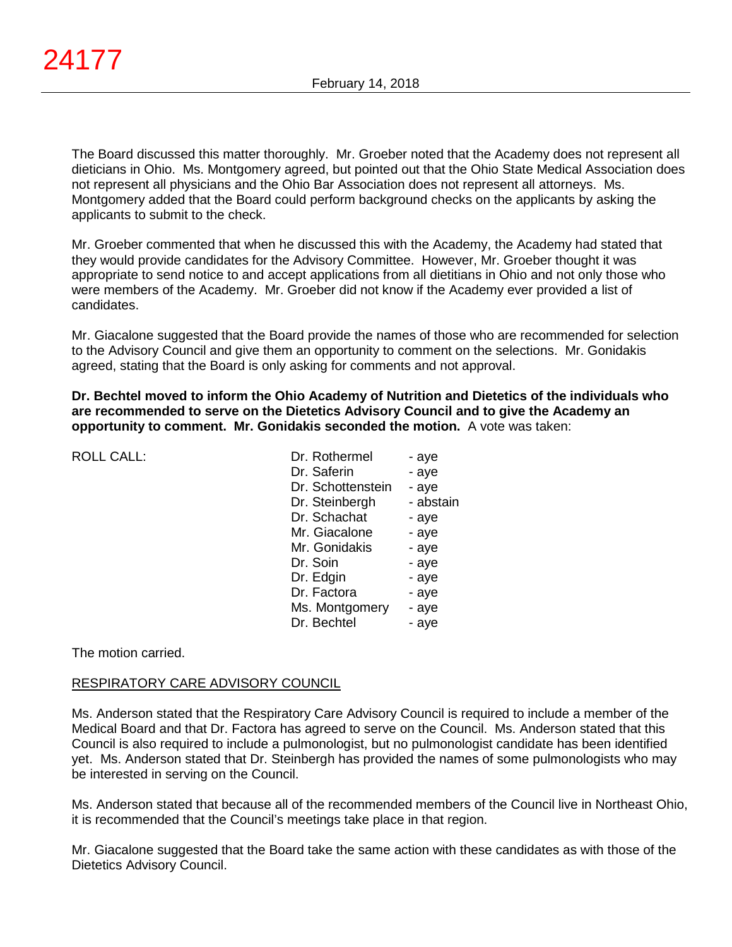The Board discussed this matter thoroughly. Mr. Groeber noted that the Academy does not represent all dieticians in Ohio. Ms. Montgomery agreed, but pointed out that the Ohio State Medical Association does not represent all physicians and the Ohio Bar Association does not represent all attorneys. Ms. Montgomery added that the Board could perform background checks on the applicants by asking the applicants to submit to the check.

Mr. Groeber commented that when he discussed this with the Academy, the Academy had stated that they would provide candidates for the Advisory Committee. However, Mr. Groeber thought it was appropriate to send notice to and accept applications from all dietitians in Ohio and not only those who were members of the Academy. Mr. Groeber did not know if the Academy ever provided a list of candidates.

Mr. Giacalone suggested that the Board provide the names of those who are recommended for selection to the Advisory Council and give them an opportunity to comment on the selections. Mr. Gonidakis agreed, stating that the Board is only asking for comments and not approval.

**Dr. Bechtel moved to inform the Ohio Academy of Nutrition and Dietetics of the individuals who are recommended to serve on the Dietetics Advisory Council and to give the Academy an opportunity to comment. Mr. Gonidakis seconded the motion.** A vote was taken:

ROLL CALL:

| Dr. Rothermel     | - aye     |
|-------------------|-----------|
| Dr. Saferin       | - aye     |
| Dr. Schottenstein | - aye     |
| Dr. Steinbergh    | - abstain |
| Dr. Schachat      | - aye     |
| Mr. Giacalone     | - aye     |
| Mr. Gonidakis     | - aye     |
| Dr. Soin          | - aye     |
| Dr. Edgin         | - aye     |
| Dr. Factora       | - aye     |
| Ms. Montgomery    | - aye     |
| Dr. Bechtel       | - ave     |
|                   |           |

The motion carried.

### RESPIRATORY CARE ADVISORY COUNCIL

Ms. Anderson stated that the Respiratory Care Advisory Council is required to include a member of the Medical Board and that Dr. Factora has agreed to serve on the Council. Ms. Anderson stated that this Council is also required to include a pulmonologist, but no pulmonologist candidate has been identified yet. Ms. Anderson stated that Dr. Steinbergh has provided the names of some pulmonologists who may be interested in serving on the Council.

Ms. Anderson stated that because all of the recommended members of the Council live in Northeast Ohio, it is recommended that the Council's meetings take place in that region.

Mr. Giacalone suggested that the Board take the same action with these candidates as with those of the Dietetics Advisory Council.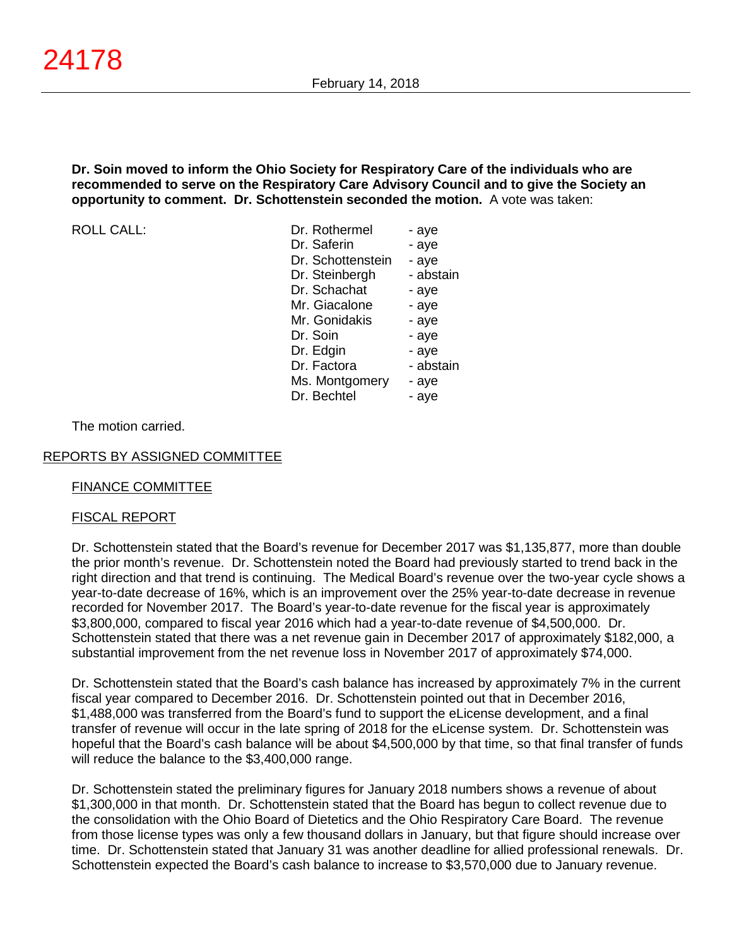### **Dr. Soin moved to inform the Ohio Society for Respiratory Care of the individuals who are recommended to serve on the Respiratory Care Advisory Council and to give the Society an opportunity to comment. Dr. Schottenstein seconded the motion.** A vote was taken:

ROLL CALL:

| Dr. Rothermel     | - aye     |
|-------------------|-----------|
| Dr. Saferin       | - aye     |
| Dr. Schottenstein | - aye     |
| Dr. Steinbergh    | - abstain |
| Dr. Schachat      | - aye     |
| Mr. Giacalone     | - aye     |
| Mr. Gonidakis     | - aye     |
| Dr. Soin          | - aye     |
| Dr. Edgin         | - aye     |
| Dr. Factora       | - abstain |
| Ms. Montgomery    | - aye     |
| Dr. Bechtel       | - aye     |
|                   |           |

The motion carried.

### REPORTS BY ASSIGNED COMMITTEE

### FINANCE COMMITTEE

### FISCAL REPORT

Dr. Schottenstein stated that the Board's revenue for December 2017 was \$1,135,877, more than double the prior month's revenue. Dr. Schottenstein noted the Board had previously started to trend back in the right direction and that trend is continuing. The Medical Board's revenue over the two-year cycle shows a year-to-date decrease of 16%, which is an improvement over the 25% year-to-date decrease in revenue recorded for November 2017. The Board's year-to-date revenue for the fiscal year is approximately \$3,800,000, compared to fiscal year 2016 which had a year-to-date revenue of \$4,500,000. Dr. Schottenstein stated that there was a net revenue gain in December 2017 of approximately \$182,000, a substantial improvement from the net revenue loss in November 2017 of approximately \$74,000.

Dr. Schottenstein stated that the Board's cash balance has increased by approximately 7% in the current fiscal year compared to December 2016. Dr. Schottenstein pointed out that in December 2016, \$1,488,000 was transferred from the Board's fund to support the eLicense development, and a final transfer of revenue will occur in the late spring of 2018 for the eLicense system. Dr. Schottenstein was hopeful that the Board's cash balance will be about \$4,500,000 by that time, so that final transfer of funds will reduce the balance to the \$3,400,000 range.

Dr. Schottenstein stated the preliminary figures for January 2018 numbers shows a revenue of about \$1,300,000 in that month. Dr. Schottenstein stated that the Board has begun to collect revenue due to the consolidation with the Ohio Board of Dietetics and the Ohio Respiratory Care Board. The revenue from those license types was only a few thousand dollars in January, but that figure should increase over time. Dr. Schottenstein stated that January 31 was another deadline for allied professional renewals. Dr. Schottenstein expected the Board's cash balance to increase to \$3,570,000 due to January revenue.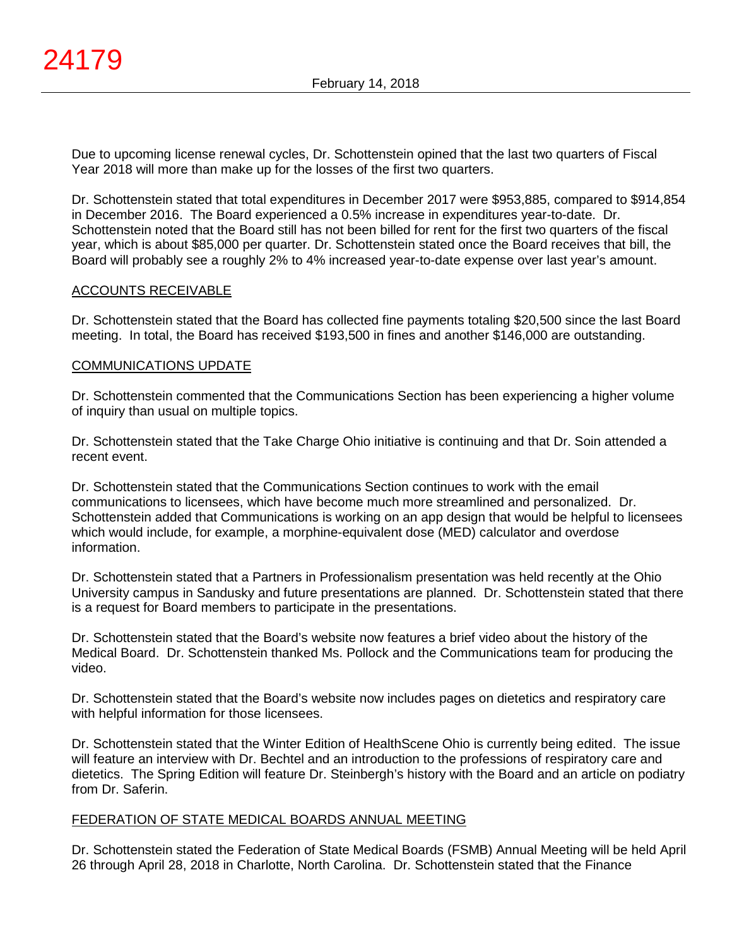Due to upcoming license renewal cycles, Dr. Schottenstein opined that the last two quarters of Fiscal Year 2018 will more than make up for the losses of the first two quarters.

Dr. Schottenstein stated that total expenditures in December 2017 were \$953,885, compared to \$914,854 in December 2016. The Board experienced a 0.5% increase in expenditures year-to-date. Dr. Schottenstein noted that the Board still has not been billed for rent for the first two quarters of the fiscal year, which is about \$85,000 per quarter. Dr. Schottenstein stated once the Board receives that bill, the Board will probably see a roughly 2% to 4% increased year-to-date expense over last year's amount.

### ACCOUNTS RECEIVABLE

Dr. Schottenstein stated that the Board has collected fine payments totaling \$20,500 since the last Board meeting. In total, the Board has received \$193,500 in fines and another \$146,000 are outstanding.

### COMMUNICATIONS UPDATE

Dr. Schottenstein commented that the Communications Section has been experiencing a higher volume of inquiry than usual on multiple topics.

Dr. Schottenstein stated that the Take Charge Ohio initiative is continuing and that Dr. Soin attended a recent event.

Dr. Schottenstein stated that the Communications Section continues to work with the email communications to licensees, which have become much more streamlined and personalized. Dr. Schottenstein added that Communications is working on an app design that would be helpful to licensees which would include, for example, a morphine-equivalent dose (MED) calculator and overdose information.

Dr. Schottenstein stated that a Partners in Professionalism presentation was held recently at the Ohio University campus in Sandusky and future presentations are planned. Dr. Schottenstein stated that there is a request for Board members to participate in the presentations.

Dr. Schottenstein stated that the Board's website now features a brief video about the history of the Medical Board. Dr. Schottenstein thanked Ms. Pollock and the Communications team for producing the video.

Dr. Schottenstein stated that the Board's website now includes pages on dietetics and respiratory care with helpful information for those licensees.

Dr. Schottenstein stated that the Winter Edition of HealthScene Ohio is currently being edited. The issue will feature an interview with Dr. Bechtel and an introduction to the professions of respiratory care and dietetics. The Spring Edition will feature Dr. Steinbergh's history with the Board and an article on podiatry from Dr. Saferin.

### FEDERATION OF STATE MEDICAL BOARDS ANNUAL MEETING

Dr. Schottenstein stated the Federation of State Medical Boards (FSMB) Annual Meeting will be held April 26 through April 28, 2018 in Charlotte, North Carolina. Dr. Schottenstein stated that the Finance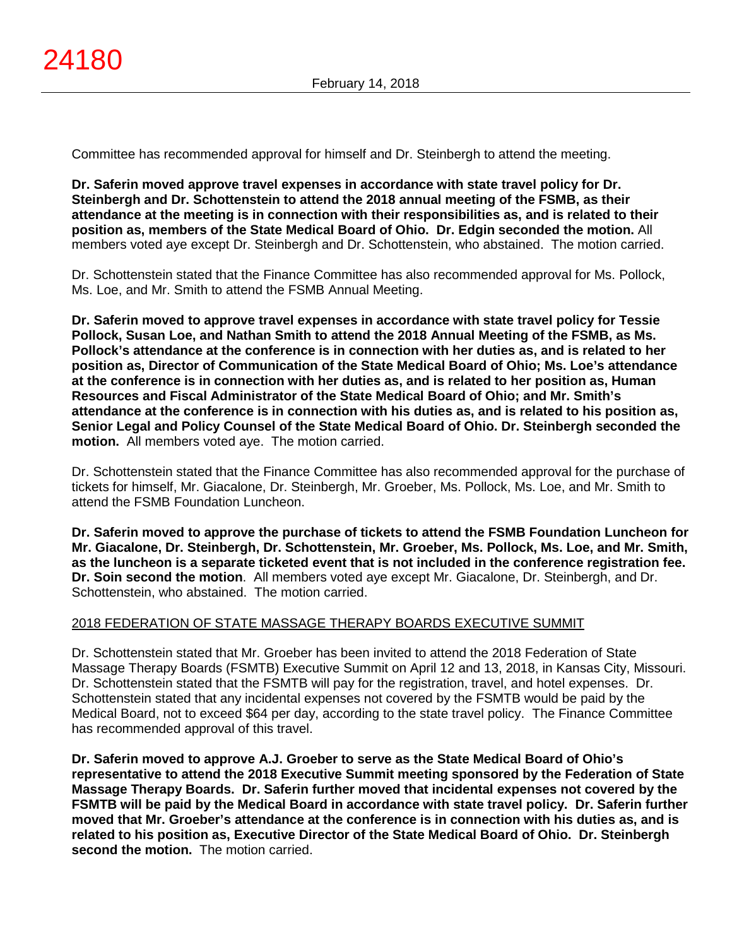Committee has recommended approval for himself and Dr. Steinbergh to attend the meeting.

**Dr. Saferin moved approve travel expenses in accordance with state travel policy for Dr. Steinbergh and Dr. Schottenstein to attend the 2018 annual meeting of the FSMB, as their attendance at the meeting is in connection with their responsibilities as, and is related to their position as, members of the State Medical Board of Ohio. Dr. Edgin seconded the motion.** All members voted aye except Dr. Steinbergh and Dr. Schottenstein, who abstained. The motion carried.

Dr. Schottenstein stated that the Finance Committee has also recommended approval for Ms. Pollock, Ms. Loe, and Mr. Smith to attend the FSMB Annual Meeting.

**Dr. Saferin moved to approve travel expenses in accordance with state travel policy for Tessie Pollock, Susan Loe, and Nathan Smith to attend the 2018 Annual Meeting of the FSMB, as Ms. Pollock's attendance at the conference is in connection with her duties as, and is related to her position as, Director of Communication of the State Medical Board of Ohio; Ms. Loe's attendance at the conference is in connection with her duties as, and is related to her position as, Human Resources and Fiscal Administrator of the State Medical Board of Ohio; and Mr. Smith's attendance at the conference is in connection with his duties as, and is related to his position as, Senior Legal and Policy Counsel of the State Medical Board of Ohio. Dr. Steinbergh seconded the motion.** All members voted aye. The motion carried.

Dr. Schottenstein stated that the Finance Committee has also recommended approval for the purchase of tickets for himself, Mr. Giacalone, Dr. Steinbergh, Mr. Groeber, Ms. Pollock, Ms. Loe, and Mr. Smith to attend the FSMB Foundation Luncheon.

**Dr. Saferin moved to approve the purchase of tickets to attend the FSMB Foundation Luncheon for Mr. Giacalone, Dr. Steinbergh, Dr. Schottenstein, Mr. Groeber, Ms. Pollock, Ms. Loe, and Mr. Smith, as the luncheon is a separate ticketed event that is not included in the conference registration fee. Dr. Soin second the motion**. All members voted aye except Mr. Giacalone, Dr. Steinbergh, and Dr. Schottenstein, who abstained. The motion carried.

### 2018 FEDERATION OF STATE MASSAGE THERAPY BOARDS EXECUTIVE SUMMIT

Dr. Schottenstein stated that Mr. Groeber has been invited to attend the 2018 Federation of State Massage Therapy Boards (FSMTB) Executive Summit on April 12 and 13, 2018, in Kansas City, Missouri. Dr. Schottenstein stated that the FSMTB will pay for the registration, travel, and hotel expenses. Dr. Schottenstein stated that any incidental expenses not covered by the FSMTB would be paid by the Medical Board, not to exceed \$64 per day, according to the state travel policy. The Finance Committee has recommended approval of this travel.

**Dr. Saferin moved to approve A.J. Groeber to serve as the State Medical Board of Ohio's representative to attend the 2018 Executive Summit meeting sponsored by the Federation of State Massage Therapy Boards. Dr. Saferin further moved that incidental expenses not covered by the FSMTB will be paid by the Medical Board in accordance with state travel policy. Dr. Saferin further moved that Mr. Groeber's attendance at the conference is in connection with his duties as, and is related to his position as, Executive Director of the State Medical Board of Ohio. Dr. Steinbergh second the motion.** The motion carried.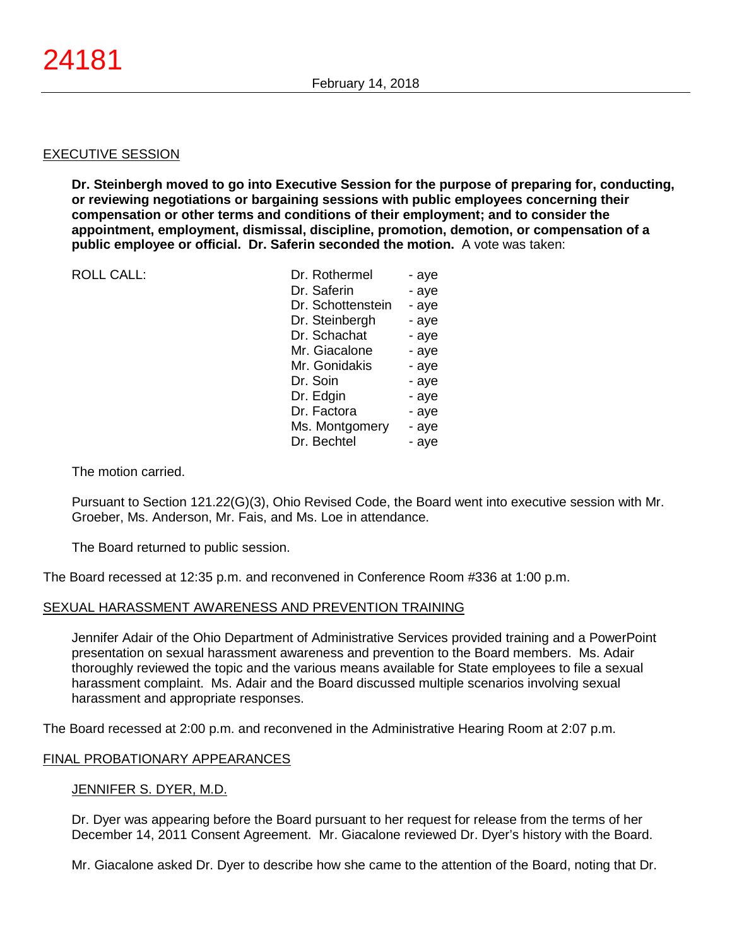#### EXECUTIVE SESSION

**Dr. Steinbergh moved to go into Executive Session for the purpose of preparing for, conducting, or reviewing negotiations or bargaining sessions with public employees concerning their compensation or other terms and conditions of their employment; and to consider the appointment, employment, dismissal, discipline, promotion, demotion, or compensation of a public employee or official. Dr. Saferin seconded the motion.** A vote was taken:

ROLL CALL:

| Dr. Rothermel     | - aye |
|-------------------|-------|
| Dr. Saferin       | - aye |
| Dr. Schottenstein | - aye |
| Dr. Steinbergh    | - aye |
| Dr. Schachat      | - aye |
| Mr. Giacalone     | - aye |
| Mr. Gonidakis     | - aye |
| Dr. Soin          | - aye |
| Dr. Edgin         | - aye |
| Dr. Factora       | - aye |
| Ms. Montgomery    | - aye |
| Dr. Bechtel       | - ave |

The motion carried.

Pursuant to Section 121.22(G)(3), Ohio Revised Code, the Board went into executive session with Mr. Groeber, Ms. Anderson, Mr. Fais, and Ms. Loe in attendance.

The Board returned to public session.

The Board recessed at 12:35 p.m. and reconvened in Conference Room #336 at 1:00 p.m.

#### SEXUAL HARASSMENT AWARENESS AND PREVENTION TRAINING

Jennifer Adair of the Ohio Department of Administrative Services provided training and a PowerPoint presentation on sexual harassment awareness and prevention to the Board members. Ms. Adair thoroughly reviewed the topic and the various means available for State employees to file a sexual harassment complaint. Ms. Adair and the Board discussed multiple scenarios involving sexual harassment and appropriate responses.

The Board recessed at 2:00 p.m. and reconvened in the Administrative Hearing Room at 2:07 p.m.

### FINAL PROBATIONARY APPEARANCES

#### JENNIFER S. DYER, M.D.

Dr. Dyer was appearing before the Board pursuant to her request for release from the terms of her December 14, 2011 Consent Agreement. Mr. Giacalone reviewed Dr. Dyer's history with the Board.

Mr. Giacalone asked Dr. Dyer to describe how she came to the attention of the Board, noting that Dr.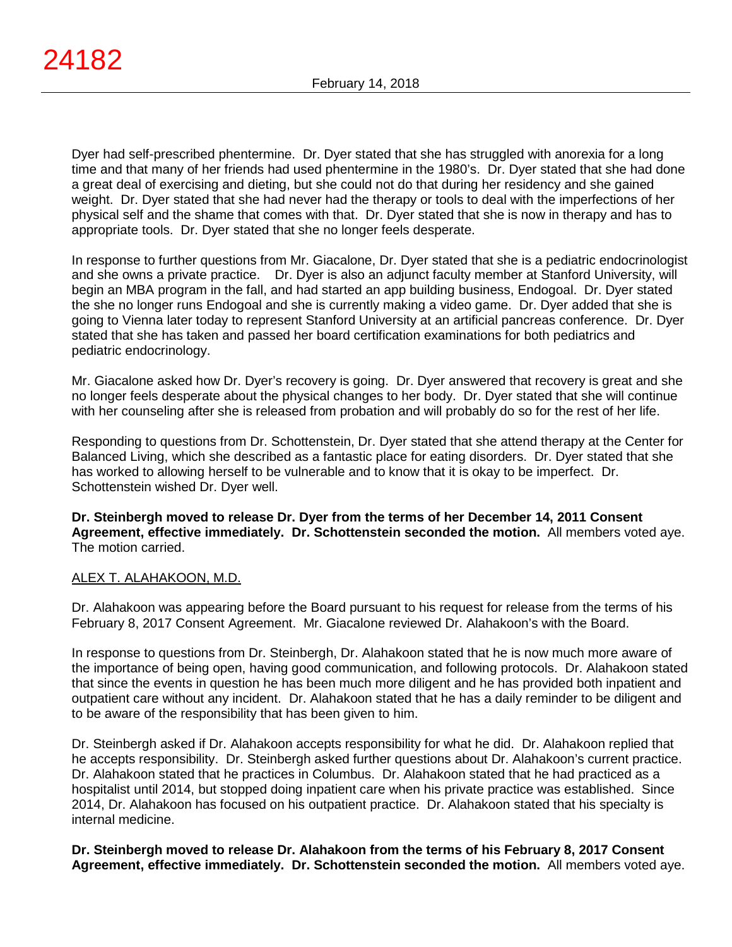Dyer had self-prescribed phentermine. Dr. Dyer stated that she has struggled with anorexia for a long time and that many of her friends had used phentermine in the 1980's. Dr. Dyer stated that she had done a great deal of exercising and dieting, but she could not do that during her residency and she gained weight. Dr. Dyer stated that she had never had the therapy or tools to deal with the imperfections of her physical self and the shame that comes with that. Dr. Dyer stated that she is now in therapy and has to appropriate tools. Dr. Dyer stated that she no longer feels desperate.

In response to further questions from Mr. Giacalone, Dr. Dyer stated that she is a pediatric endocrinologist and she owns a private practice. Dr. Dyer is also an adjunct faculty member at Stanford University, will begin an MBA program in the fall, and had started an app building business, Endogoal. Dr. Dyer stated the she no longer runs Endogoal and she is currently making a video game. Dr. Dyer added that she is going to Vienna later today to represent Stanford University at an artificial pancreas conference. Dr. Dyer stated that she has taken and passed her board certification examinations for both pediatrics and pediatric endocrinology.

Mr. Giacalone asked how Dr. Dyer's recovery is going. Dr. Dyer answered that recovery is great and she no longer feels desperate about the physical changes to her body. Dr. Dyer stated that she will continue with her counseling after she is released from probation and will probably do so for the rest of her life.

Responding to questions from Dr. Schottenstein, Dr. Dyer stated that she attend therapy at the Center for Balanced Living, which she described as a fantastic place for eating disorders. Dr. Dyer stated that she has worked to allowing herself to be vulnerable and to know that it is okay to be imperfect. Dr. Schottenstein wished Dr. Dyer well.

**Dr. Steinbergh moved to release Dr. Dyer from the terms of her December 14, 2011 Consent Agreement, effective immediately. Dr. Schottenstein seconded the motion.** All members voted aye. The motion carried.

# ALEX T. ALAHAKOON, M.D.

Dr. Alahakoon was appearing before the Board pursuant to his request for release from the terms of his February 8, 2017 Consent Agreement. Mr. Giacalone reviewed Dr. Alahakoon's with the Board.

In response to questions from Dr. Steinbergh, Dr. Alahakoon stated that he is now much more aware of the importance of being open, having good communication, and following protocols. Dr. Alahakoon stated that since the events in question he has been much more diligent and he has provided both inpatient and outpatient care without any incident. Dr. Alahakoon stated that he has a daily reminder to be diligent and to be aware of the responsibility that has been given to him.

Dr. Steinbergh asked if Dr. Alahakoon accepts responsibility for what he did. Dr. Alahakoon replied that he accepts responsibility. Dr. Steinbergh asked further questions about Dr. Alahakoon's current practice. Dr. Alahakoon stated that he practices in Columbus. Dr. Alahakoon stated that he had practiced as a hospitalist until 2014, but stopped doing inpatient care when his private practice was established. Since 2014, Dr. Alahakoon has focused on his outpatient practice. Dr. Alahakoon stated that his specialty is internal medicine.

**Dr. Steinbergh moved to release Dr. Alahakoon from the terms of his February 8, 2017 Consent Agreement, effective immediately. Dr. Schottenstein seconded the motion.** All members voted aye.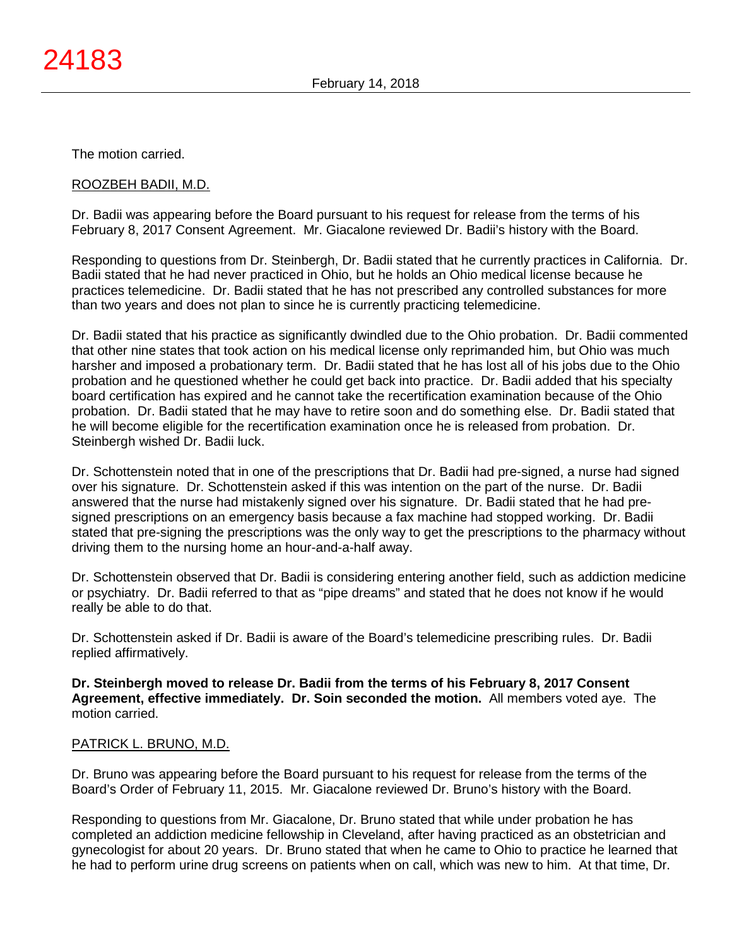The motion carried.

### ROOZBEH BADII, M.D.

Dr. Badii was appearing before the Board pursuant to his request for release from the terms of his February 8, 2017 Consent Agreement. Mr. Giacalone reviewed Dr. Badii's history with the Board.

Responding to questions from Dr. Steinbergh, Dr. Badii stated that he currently practices in California. Dr. Badii stated that he had never practiced in Ohio, but he holds an Ohio medical license because he practices telemedicine. Dr. Badii stated that he has not prescribed any controlled substances for more than two years and does not plan to since he is currently practicing telemedicine.

Dr. Badii stated that his practice as significantly dwindled due to the Ohio probation. Dr. Badii commented that other nine states that took action on his medical license only reprimanded him, but Ohio was much harsher and imposed a probationary term. Dr. Badii stated that he has lost all of his jobs due to the Ohio probation and he questioned whether he could get back into practice. Dr. Badii added that his specialty board certification has expired and he cannot take the recertification examination because of the Ohio probation. Dr. Badii stated that he may have to retire soon and do something else. Dr. Badii stated that he will become eligible for the recertification examination once he is released from probation. Dr. Steinbergh wished Dr. Badii luck.

Dr. Schottenstein noted that in one of the prescriptions that Dr. Badii had pre-signed, a nurse had signed over his signature. Dr. Schottenstein asked if this was intention on the part of the nurse. Dr. Badii answered that the nurse had mistakenly signed over his signature. Dr. Badii stated that he had presigned prescriptions on an emergency basis because a fax machine had stopped working. Dr. Badii stated that pre-signing the prescriptions was the only way to get the prescriptions to the pharmacy without driving them to the nursing home an hour-and-a-half away.

Dr. Schottenstein observed that Dr. Badii is considering entering another field, such as addiction medicine or psychiatry. Dr. Badii referred to that as "pipe dreams" and stated that he does not know if he would really be able to do that.

Dr. Schottenstein asked if Dr. Badii is aware of the Board's telemedicine prescribing rules. Dr. Badii replied affirmatively.

**Dr. Steinbergh moved to release Dr. Badii from the terms of his February 8, 2017 Consent Agreement, effective immediately. Dr. Soin seconded the motion.** All members voted aye. The motion carried.

### PATRICK L. BRUNO, M.D.

Dr. Bruno was appearing before the Board pursuant to his request for release from the terms of the Board's Order of February 11, 2015. Mr. Giacalone reviewed Dr. Bruno's history with the Board.

Responding to questions from Mr. Giacalone, Dr. Bruno stated that while under probation he has completed an addiction medicine fellowship in Cleveland, after having practiced as an obstetrician and gynecologist for about 20 years. Dr. Bruno stated that when he came to Ohio to practice he learned that he had to perform urine drug screens on patients when on call, which was new to him. At that time, Dr.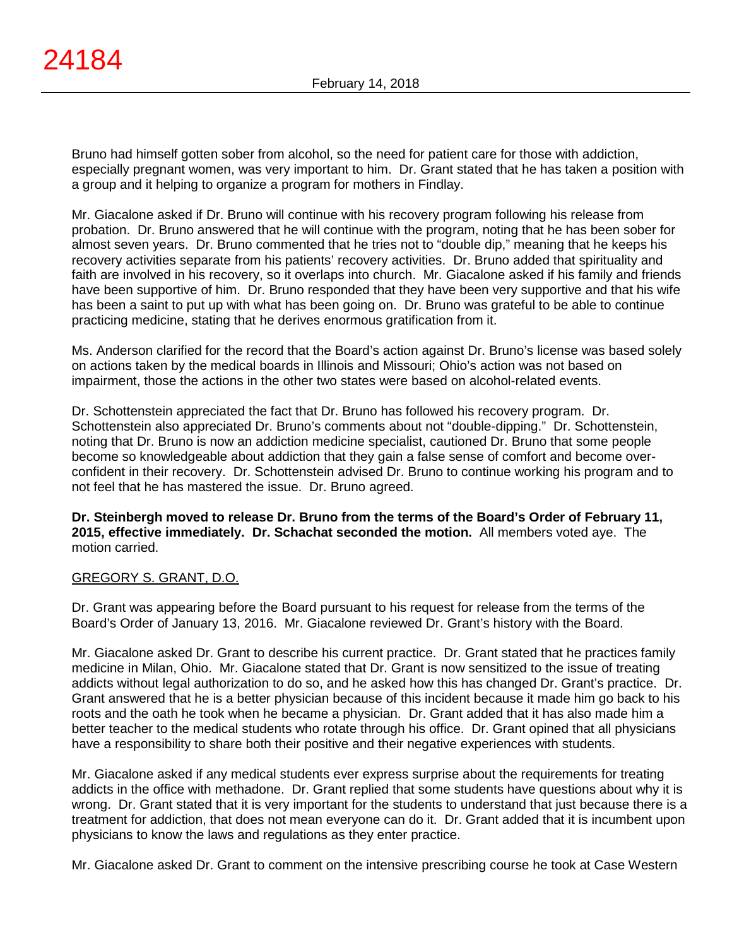Bruno had himself gotten sober from alcohol, so the need for patient care for those with addiction, especially pregnant women, was very important to him. Dr. Grant stated that he has taken a position with a group and it helping to organize a program for mothers in Findlay.

Mr. Giacalone asked if Dr. Bruno will continue with his recovery program following his release from probation. Dr. Bruno answered that he will continue with the program, noting that he has been sober for almost seven years. Dr. Bruno commented that he tries not to "double dip," meaning that he keeps his recovery activities separate from his patients' recovery activities. Dr. Bruno added that spirituality and faith are involved in his recovery, so it overlaps into church. Mr. Giacalone asked if his family and friends have been supportive of him. Dr. Bruno responded that they have been very supportive and that his wife has been a saint to put up with what has been going on. Dr. Bruno was grateful to be able to continue practicing medicine, stating that he derives enormous gratification from it.

Ms. Anderson clarified for the record that the Board's action against Dr. Bruno's license was based solely on actions taken by the medical boards in Illinois and Missouri; Ohio's action was not based on impairment, those the actions in the other two states were based on alcohol-related events.

Dr. Schottenstein appreciated the fact that Dr. Bruno has followed his recovery program. Dr. Schottenstein also appreciated Dr. Bruno's comments about not "double-dipping." Dr. Schottenstein, noting that Dr. Bruno is now an addiction medicine specialist, cautioned Dr. Bruno that some people become so knowledgeable about addiction that they gain a false sense of comfort and become overconfident in their recovery. Dr. Schottenstein advised Dr. Bruno to continue working his program and to not feel that he has mastered the issue. Dr. Bruno agreed.

**Dr. Steinbergh moved to release Dr. Bruno from the terms of the Board's Order of February 11, 2015, effective immediately. Dr. Schachat seconded the motion.** All members voted aye. The motion carried.

# GREGORY S. GRANT, D.O.

Dr. Grant was appearing before the Board pursuant to his request for release from the terms of the Board's Order of January 13, 2016. Mr. Giacalone reviewed Dr. Grant's history with the Board.

Mr. Giacalone asked Dr. Grant to describe his current practice. Dr. Grant stated that he practices family medicine in Milan, Ohio. Mr. Giacalone stated that Dr. Grant is now sensitized to the issue of treating addicts without legal authorization to do so, and he asked how this has changed Dr. Grant's practice. Dr. Grant answered that he is a better physician because of this incident because it made him go back to his roots and the oath he took when he became a physician. Dr. Grant added that it has also made him a better teacher to the medical students who rotate through his office. Dr. Grant opined that all physicians have a responsibility to share both their positive and their negative experiences with students.

Mr. Giacalone asked if any medical students ever express surprise about the requirements for treating addicts in the office with methadone. Dr. Grant replied that some students have questions about why it is wrong. Dr. Grant stated that it is very important for the students to understand that just because there is a treatment for addiction, that does not mean everyone can do it. Dr. Grant added that it is incumbent upon physicians to know the laws and regulations as they enter practice.

Mr. Giacalone asked Dr. Grant to comment on the intensive prescribing course he took at Case Western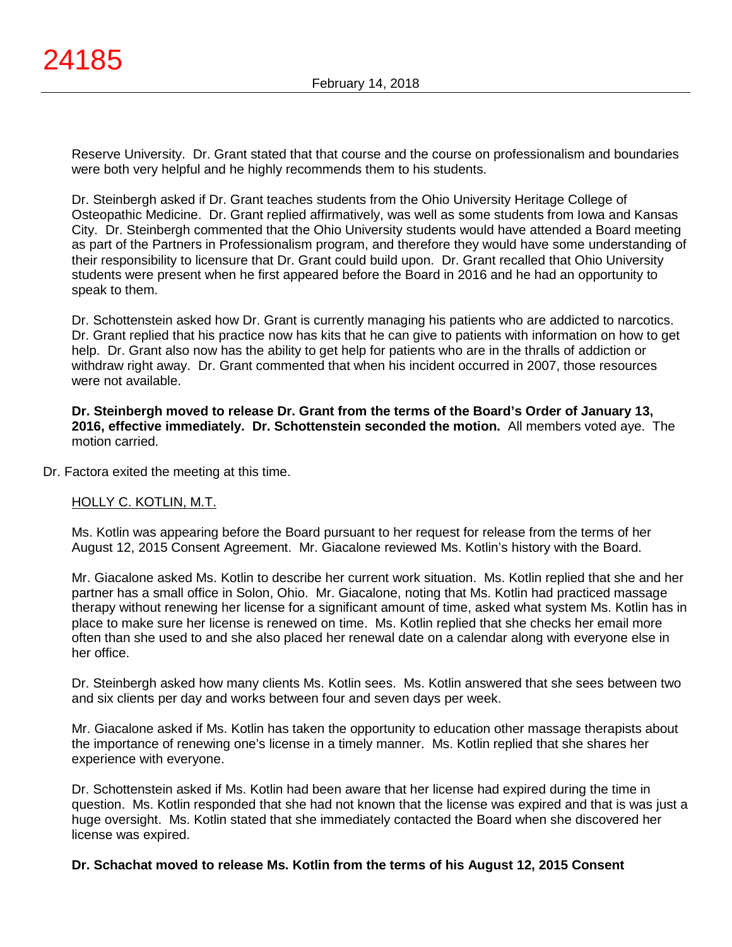Reserve University. Dr. Grant stated that that course and the course on professionalism and boundaries were both very helpful and he highly recommends them to his students.

Dr. Steinbergh asked if Dr. Grant teaches students from the Ohio University Heritage College of Osteopathic Medicine. Dr. Grant replied affirmatively, was well as some students from Iowa and Kansas City. Dr. Steinbergh commented that the Ohio University students would have attended a Board meeting as part of the Partners in Professionalism program, and therefore they would have some understanding of their responsibility to licensure that Dr. Grant could build upon. Dr. Grant recalled that Ohio University students were present when he first appeared before the Board in 2016 and he had an opportunity to speak to them.

Dr. Schottenstein asked how Dr. Grant is currently managing his patients who are addicted to narcotics. Dr. Grant replied that his practice now has kits that he can give to patients with information on how to get help. Dr. Grant also now has the ability to get help for patients who are in the thralls of addiction or withdraw right away. Dr. Grant commented that when his incident occurred in 2007, those resources were not available.

**Dr. Steinbergh moved to release Dr. Grant from the terms of the Board's Order of January 13, 2016, effective immediately. Dr. Schottenstein seconded the motion.** All members voted aye. The motion carried.

Dr. Factora exited the meeting at this time.

# HOLLY C. KOTLIN, M.T.

Ms. Kotlin was appearing before the Board pursuant to her request for release from the terms of her August 12, 2015 Consent Agreement. Mr. Giacalone reviewed Ms. Kotlin's history with the Board.

Mr. Giacalone asked Ms. Kotlin to describe her current work situation. Ms. Kotlin replied that she and her partner has a small office in Solon, Ohio. Mr. Giacalone, noting that Ms. Kotlin had practiced massage therapy without renewing her license for a significant amount of time, asked what system Ms. Kotlin has in place to make sure her license is renewed on time. Ms. Kotlin replied that she checks her email more often than she used to and she also placed her renewal date on a calendar along with everyone else in her office.

Dr. Steinbergh asked how many clients Ms. Kotlin sees. Ms. Kotlin answered that she sees between two and six clients per day and works between four and seven days per week.

Mr. Giacalone asked if Ms. Kotlin has taken the opportunity to education other massage therapists about the importance of renewing one's license in a timely manner. Ms. Kotlin replied that she shares her experience with everyone.

Dr. Schottenstein asked if Ms. Kotlin had been aware that her license had expired during the time in question. Ms. Kotlin responded that she had not known that the license was expired and that is was just a huge oversight. Ms. Kotlin stated that she immediately contacted the Board when she discovered her license was expired.

### **Dr. Schachat moved to release Ms. Kotlin from the terms of his August 12, 2015 Consent**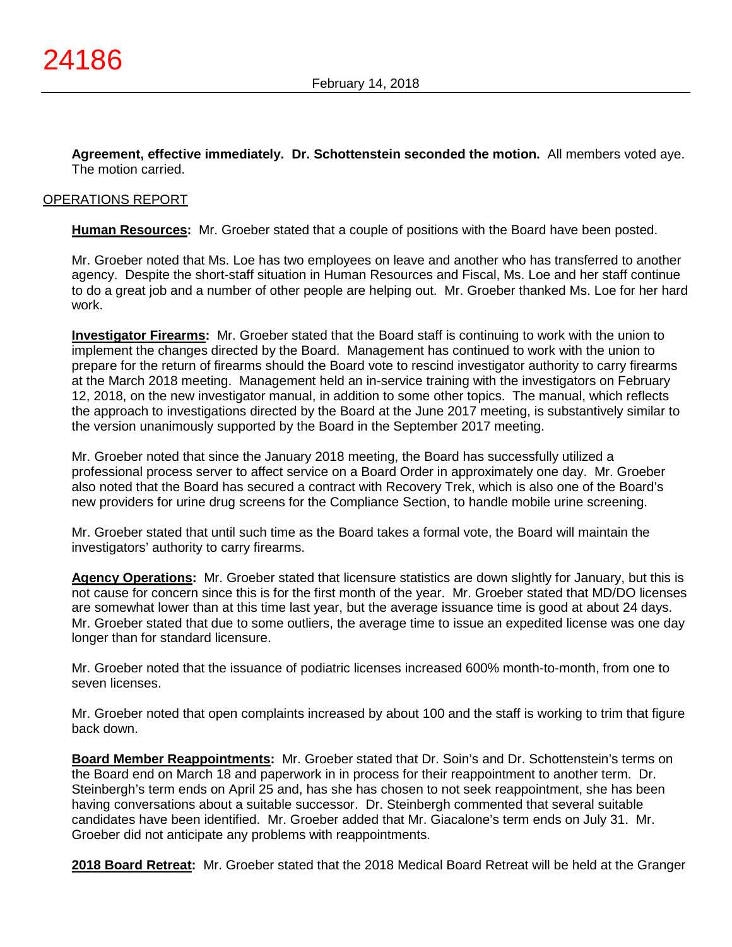**Agreement, effective immediately. Dr. Schottenstein seconded the motion.** All members voted aye. The motion carried.

### OPERATIONS REPORT

**Human Resources:** Mr. Groeber stated that a couple of positions with the Board have been posted.

Mr. Groeber noted that Ms. Loe has two employees on leave and another who has transferred to another agency. Despite the short-staff situation in Human Resources and Fiscal, Ms. Loe and her staff continue to do a great job and a number of other people are helping out. Mr. Groeber thanked Ms. Loe for her hard work.

**Investigator Firearms:** Mr. Groeber stated that the Board staff is continuing to work with the union to implement the changes directed by the Board. Management has continued to work with the union to prepare for the return of firearms should the Board vote to rescind investigator authority to carry firearms at the March 2018 meeting. Management held an in-service training with the investigators on February 12, 2018, on the new investigator manual, in addition to some other topics. The manual, which reflects the approach to investigations directed by the Board at the June 2017 meeting, is substantively similar to the version unanimously supported by the Board in the September 2017 meeting.

Mr. Groeber noted that since the January 2018 meeting, the Board has successfully utilized a professional process server to affect service on a Board Order in approximately one day. Mr. Groeber also noted that the Board has secured a contract with Recovery Trek, which is also one of the Board's new providers for urine drug screens for the Compliance Section, to handle mobile urine screening.

Mr. Groeber stated that until such time as the Board takes a formal vote, the Board will maintain the investigators' authority to carry firearms.

**Agency Operations:** Mr. Groeber stated that licensure statistics are down slightly for January, but this is not cause for concern since this is for the first month of the year. Mr. Groeber stated that MD/DO licenses are somewhat lower than at this time last year, but the average issuance time is good at about 24 days. Mr. Groeber stated that due to some outliers, the average time to issue an expedited license was one day longer than for standard licensure.

Mr. Groeber noted that the issuance of podiatric licenses increased 600% month-to-month, from one to seven licenses.

Mr. Groeber noted that open complaints increased by about 100 and the staff is working to trim that figure back down.

**Board Member Reappointments:** Mr. Groeber stated that Dr. Soin's and Dr. Schottenstein's terms on the Board end on March 18 and paperwork in in process for their reappointment to another term. Dr. Steinbergh's term ends on April 25 and, has she has chosen to not seek reappointment, she has been having conversations about a suitable successor. Dr. Steinbergh commented that several suitable candidates have been identified. Mr. Groeber added that Mr. Giacalone's term ends on July 31. Mr. Groeber did not anticipate any problems with reappointments.

**2018 Board Retreat:** Mr. Groeber stated that the 2018 Medical Board Retreat will be held at the Granger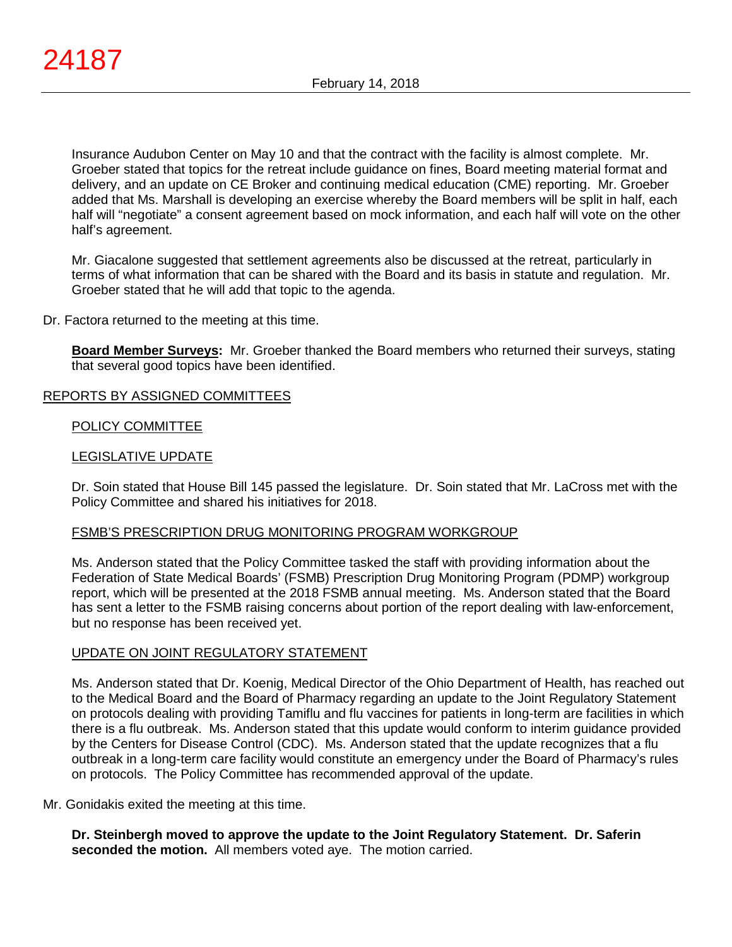Insurance Audubon Center on May 10 and that the contract with the facility is almost complete. Mr. Groeber stated that topics for the retreat include guidance on fines, Board meeting material format and delivery, and an update on CE Broker and continuing medical education (CME) reporting. Mr. Groeber added that Ms. Marshall is developing an exercise whereby the Board members will be split in half, each half will "negotiate" a consent agreement based on mock information, and each half will vote on the other half's agreement.

Mr. Giacalone suggested that settlement agreements also be discussed at the retreat, particularly in terms of what information that can be shared with the Board and its basis in statute and regulation. Mr. Groeber stated that he will add that topic to the agenda.

Dr. Factora returned to the meeting at this time.

**Board Member Surveys:** Mr. Groeber thanked the Board members who returned their surveys, stating that several good topics have been identified.

### REPORTS BY ASSIGNED COMMITTEES

### POLICY COMMITTEE

### LEGISLATIVE UPDATE

Dr. Soin stated that House Bill 145 passed the legislature. Dr. Soin stated that Mr. LaCross met with the Policy Committee and shared his initiatives for 2018.

### FSMB'S PRESCRIPTION DRUG MONITORING PROGRAM WORKGROUP

Ms. Anderson stated that the Policy Committee tasked the staff with providing information about the Federation of State Medical Boards' (FSMB) Prescription Drug Monitoring Program (PDMP) workgroup report, which will be presented at the 2018 FSMB annual meeting. Ms. Anderson stated that the Board has sent a letter to the FSMB raising concerns about portion of the report dealing with law-enforcement, but no response has been received yet.

# UPDATE ON JOINT REGULATORY STATEMENT

Ms. Anderson stated that Dr. Koenig, Medical Director of the Ohio Department of Health, has reached out to the Medical Board and the Board of Pharmacy regarding an update to the Joint Regulatory Statement on protocols dealing with providing Tamiflu and flu vaccines for patients in long-term are facilities in which there is a flu outbreak. Ms. Anderson stated that this update would conform to interim guidance provided by the Centers for Disease Control (CDC). Ms. Anderson stated that the update recognizes that a flu outbreak in a long-term care facility would constitute an emergency under the Board of Pharmacy's rules on protocols. The Policy Committee has recommended approval of the update.

Mr. Gonidakis exited the meeting at this time.

**Dr. Steinbergh moved to approve the update to the Joint Regulatory Statement. Dr. Saferin seconded the motion.** All members voted aye. The motion carried.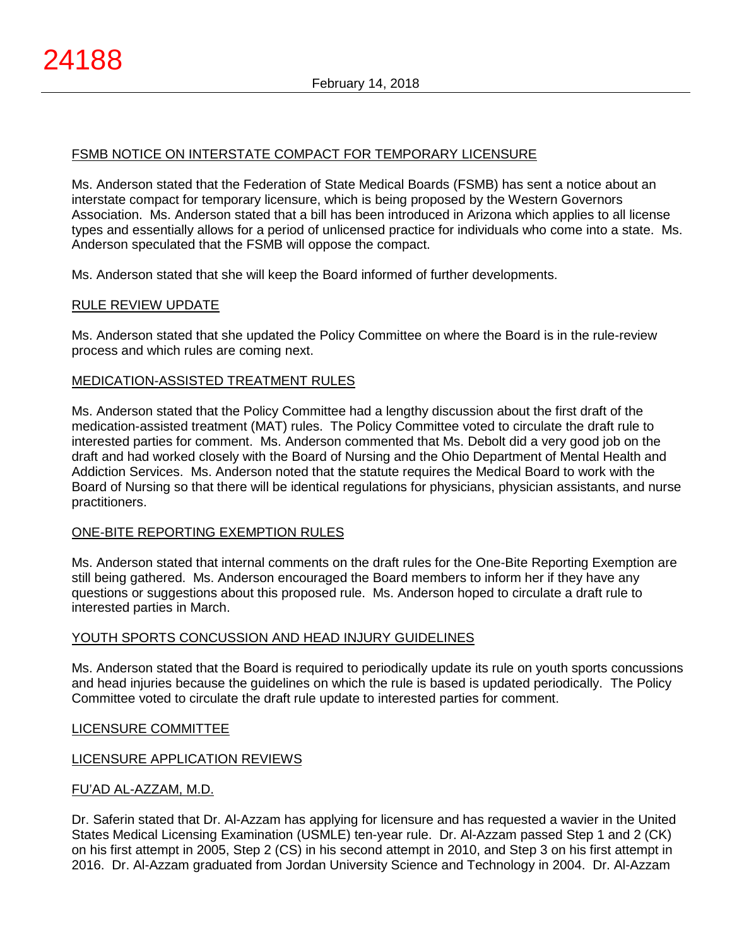# FSMB NOTICE ON INTERSTATE COMPACT FOR TEMPORARY LICENSURE

Ms. Anderson stated that the Federation of State Medical Boards (FSMB) has sent a notice about an interstate compact for temporary licensure, which is being proposed by the Western Governors Association. Ms. Anderson stated that a bill has been introduced in Arizona which applies to all license types and essentially allows for a period of unlicensed practice for individuals who come into a state. Ms. Anderson speculated that the FSMB will oppose the compact.

Ms. Anderson stated that she will keep the Board informed of further developments.

### RULE REVIEW UPDATE

Ms. Anderson stated that she updated the Policy Committee on where the Board is in the rule-review process and which rules are coming next.

### MEDICATION-ASSISTED TREATMENT RULES

Ms. Anderson stated that the Policy Committee had a lengthy discussion about the first draft of the medication-assisted treatment (MAT) rules. The Policy Committee voted to circulate the draft rule to interested parties for comment. Ms. Anderson commented that Ms. Debolt did a very good job on the draft and had worked closely with the Board of Nursing and the Ohio Department of Mental Health and Addiction Services. Ms. Anderson noted that the statute requires the Medical Board to work with the Board of Nursing so that there will be identical regulations for physicians, physician assistants, and nurse practitioners.

### ONE-BITE REPORTING EXEMPTION RULES

Ms. Anderson stated that internal comments on the draft rules for the One-Bite Reporting Exemption are still being gathered. Ms. Anderson encouraged the Board members to inform her if they have any questions or suggestions about this proposed rule. Ms. Anderson hoped to circulate a draft rule to interested parties in March.

### YOUTH SPORTS CONCUSSION AND HEAD INJURY GUIDELINES

Ms. Anderson stated that the Board is required to periodically update its rule on youth sports concussions and head injuries because the guidelines on which the rule is based is updated periodically. The Policy Committee voted to circulate the draft rule update to interested parties for comment.

### LICENSURE COMMITTEE

# LICENSURE APPLICATION REVIEWS

### FU'AD AL-AZZAM, M.D.

Dr. Saferin stated that Dr. Al-Azzam has applying for licensure and has requested a wavier in the United States Medical Licensing Examination (USMLE) ten-year rule. Dr. Al-Azzam passed Step 1 and 2 (CK) on his first attempt in 2005, Step 2 (CS) in his second attempt in 2010, and Step 3 on his first attempt in 2016. Dr. Al-Azzam graduated from Jordan University Science and Technology in 2004. Dr. Al-Azzam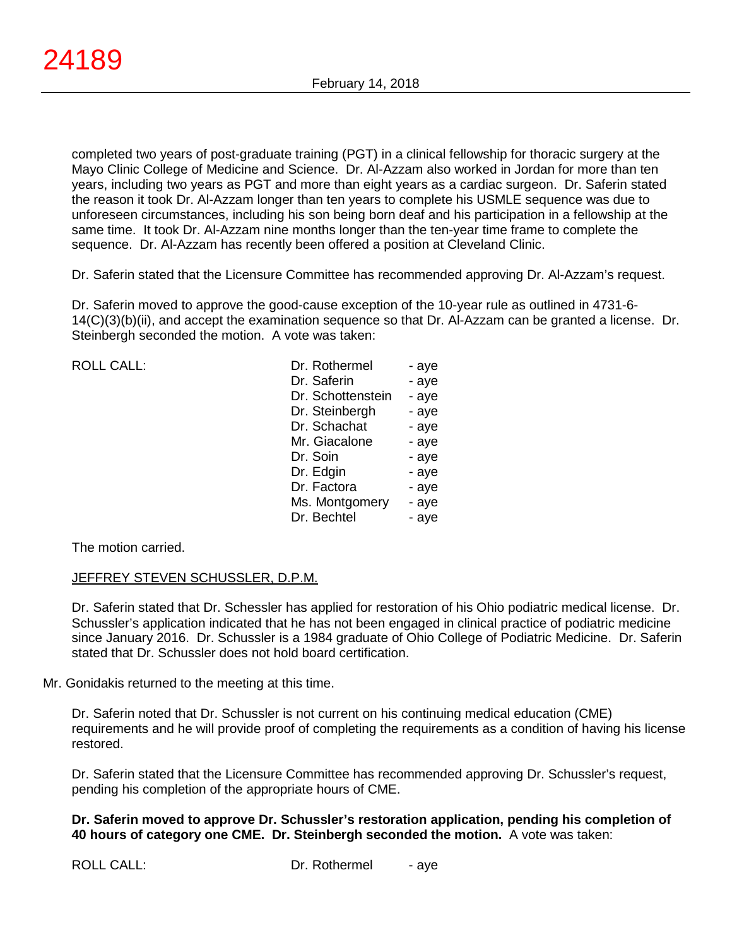completed two years of post-graduate training (PGT) in a clinical fellowship for thoracic surgery at the Mayo Clinic College of Medicine and Science. Dr. Al-Azzam also worked in Jordan for more than ten years, including two years as PGT and more than eight years as a cardiac surgeon. Dr. Saferin stated the reason it took Dr. Al-Azzam longer than ten years to complete his USMLE sequence was due to unforeseen circumstances, including his son being born deaf and his participation in a fellowship at the same time. It took Dr. Al-Azzam nine months longer than the ten-year time frame to complete the sequence. Dr. Al-Azzam has recently been offered a position at Cleveland Clinic.

Dr. Saferin stated that the Licensure Committee has recommended approving Dr. Al-Azzam's request.

Dr. Saferin moved to approve the good-cause exception of the 10-year rule as outlined in 4731-6- 14(C)(3)(b)(ii), and accept the examination sequence so that Dr. Al-Azzam can be granted a license. Dr. Steinbergh seconded the motion. A vote was taken:

ROLL CALL:

| Dr. Rothermel     | - aye |
|-------------------|-------|
| Dr. Saferin       | - aye |
| Dr. Schottenstein | - aye |
| Dr. Steinbergh    | - aye |
| Dr. Schachat      | - aye |
| Mr. Giacalone     | - aye |
| Dr. Soin          | - aye |
| Dr. Edgin         | - aye |
| Dr. Factora       | - aye |
| Ms. Montgomery    | - aye |
| Dr. Bechtel       | - aye |

The motion carried.

### JEFFREY STEVEN SCHUSSLER, D.P.M.

Dr. Saferin stated that Dr. Schessler has applied for restoration of his Ohio podiatric medical license. Dr. Schussler's application indicated that he has not been engaged in clinical practice of podiatric medicine since January 2016. Dr. Schussler is a 1984 graduate of Ohio College of Podiatric Medicine. Dr. Saferin stated that Dr. Schussler does not hold board certification.

### Mr. Gonidakis returned to the meeting at this time.

Dr. Saferin noted that Dr. Schussler is not current on his continuing medical education (CME) requirements and he will provide proof of completing the requirements as a condition of having his license restored.

Dr. Saferin stated that the Licensure Committee has recommended approving Dr. Schussler's request, pending his completion of the appropriate hours of CME.

### **Dr. Saferin moved to approve Dr. Schussler's restoration application, pending his completion of 40 hours of category one CME. Dr. Steinbergh seconded the motion.** A vote was taken: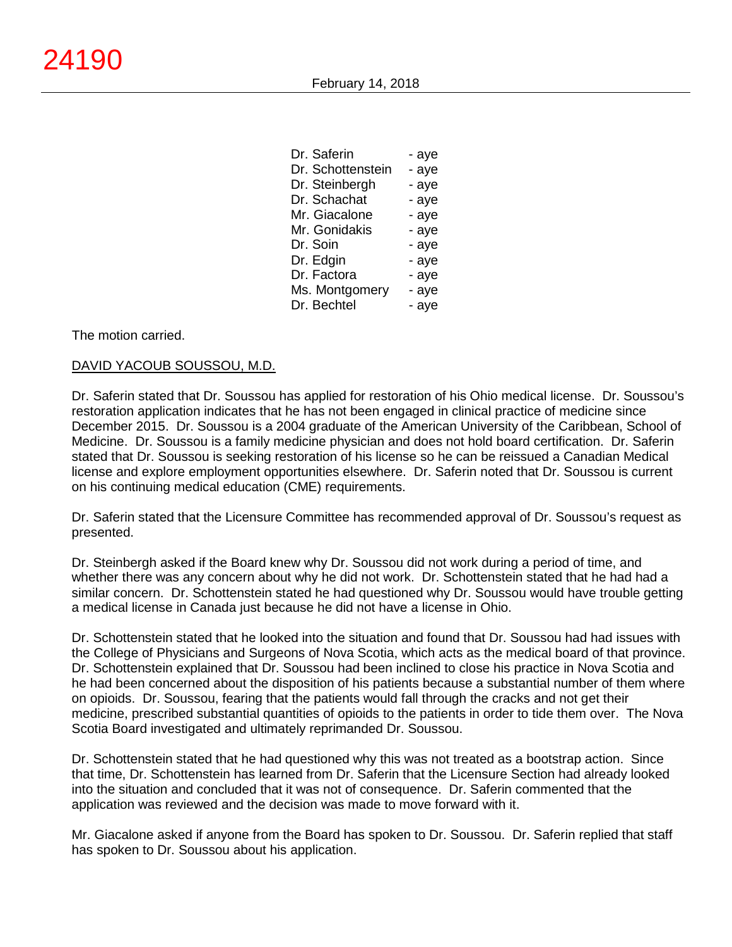| Dr. Saferin       | - aye |
|-------------------|-------|
| Dr. Schottenstein | - aye |
| Dr. Steinbergh    | - aye |
| Dr. Schachat      | - aye |
| Mr. Giacalone     | - aye |
| Mr. Gonidakis     | - aye |
| Dr. Soin          | - aye |
| Dr. Edgin         | - aye |
| Dr. Factora       | - aye |
| Ms. Montgomery    | - aye |
| Dr. Bechtel       | - aye |

The motion carried.

### DAVID YACOUB SOUSSOU, M.D.

Dr. Saferin stated that Dr. Soussou has applied for restoration of his Ohio medical license. Dr. Soussou's restoration application indicates that he has not been engaged in clinical practice of medicine since December 2015. Dr. Soussou is a 2004 graduate of the American University of the Caribbean, School of Medicine. Dr. Soussou is a family medicine physician and does not hold board certification. Dr. Saferin stated that Dr. Soussou is seeking restoration of his license so he can be reissued a Canadian Medical license and explore employment opportunities elsewhere. Dr. Saferin noted that Dr. Soussou is current on his continuing medical education (CME) requirements.

Dr. Saferin stated that the Licensure Committee has recommended approval of Dr. Soussou's request as presented.

Dr. Steinbergh asked if the Board knew why Dr. Soussou did not work during a period of time, and whether there was any concern about why he did not work. Dr. Schottenstein stated that he had had a similar concern. Dr. Schottenstein stated he had questioned why Dr. Soussou would have trouble getting a medical license in Canada just because he did not have a license in Ohio.

Dr. Schottenstein stated that he looked into the situation and found that Dr. Soussou had had issues with the College of Physicians and Surgeons of Nova Scotia, which acts as the medical board of that province. Dr. Schottenstein explained that Dr. Soussou had been inclined to close his practice in Nova Scotia and he had been concerned about the disposition of his patients because a substantial number of them where on opioids. Dr. Soussou, fearing that the patients would fall through the cracks and not get their medicine, prescribed substantial quantities of opioids to the patients in order to tide them over. The Nova Scotia Board investigated and ultimately reprimanded Dr. Soussou.

Dr. Schottenstein stated that he had questioned why this was not treated as a bootstrap action. Since that time, Dr. Schottenstein has learned from Dr. Saferin that the Licensure Section had already looked into the situation and concluded that it was not of consequence. Dr. Saferin commented that the application was reviewed and the decision was made to move forward with it.

Mr. Giacalone asked if anyone from the Board has spoken to Dr. Soussou. Dr. Saferin replied that staff has spoken to Dr. Soussou about his application.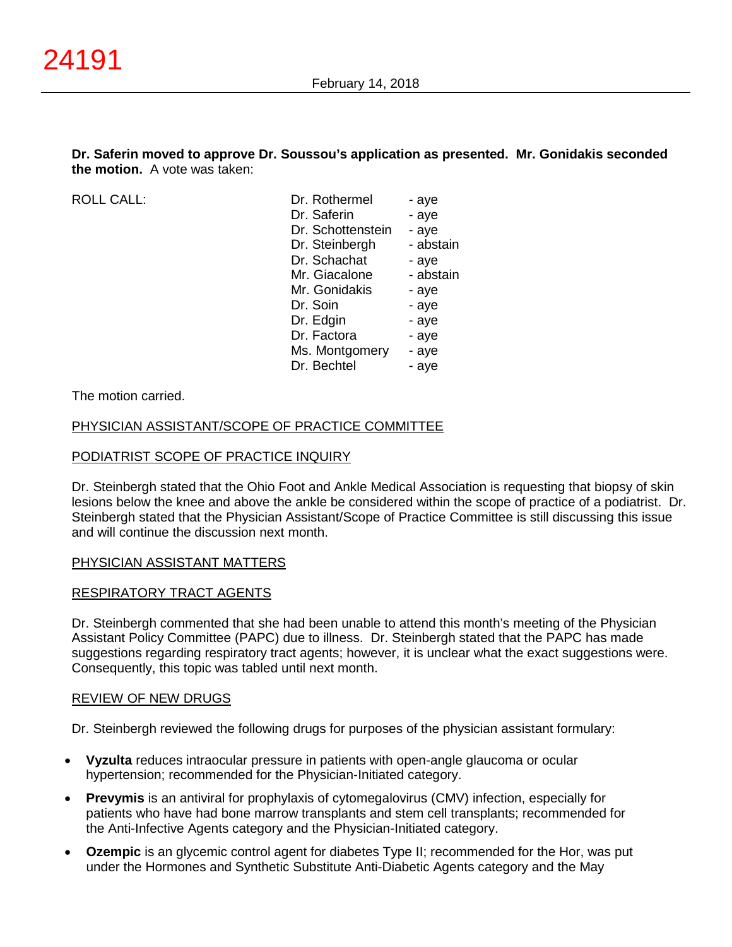### **Dr. Saferin moved to approve Dr. Soussou's application as presented. Mr. Gonidakis seconded the motion.** A vote was taken:

ROLL CALL:

| Dr. Rothermel     | - aye     |
|-------------------|-----------|
| Dr. Saferin       | - aye     |
| Dr. Schottenstein | - aye     |
| Dr. Steinbergh    | - abstain |
| Dr. Schachat      | - aye     |
| Mr. Giacalone     | - abstain |
| Mr. Gonidakis     | - aye     |
| Dr. Soin          | - aye     |
| Dr. Edgin         | - aye     |
| Dr. Factora       | - aye     |
| Ms. Montgomery    | - aye     |
| Dr. Bechtel       | - aye     |
|                   |           |

### The motion carried.

### PHYSICIAN ASSISTANT/SCOPE OF PRACTICE COMMITTEE

### PODIATRIST SCOPE OF PRACTICE INQUIRY

Dr. Steinbergh stated that the Ohio Foot and Ankle Medical Association is requesting that biopsy of skin lesions below the knee and above the ankle be considered within the scope of practice of a podiatrist. Dr. Steinbergh stated that the Physician Assistant/Scope of Practice Committee is still discussing this issue and will continue the discussion next month.

### PHYSICIAN ASSISTANT MATTERS

### RESPIRATORY TRACT AGENTS

Dr. Steinbergh commented that she had been unable to attend this month's meeting of the Physician Assistant Policy Committee (PAPC) due to illness. Dr. Steinbergh stated that the PAPC has made suggestions regarding respiratory tract agents; however, it is unclear what the exact suggestions were. Consequently, this topic was tabled until next month.

### REVIEW OF NEW DRUGS

Dr. Steinbergh reviewed the following drugs for purposes of the physician assistant formulary:

- **Vyzulta** reduces intraocular pressure in patients with open-angle glaucoma or ocular hypertension; recommended for the Physician-Initiated category.
- **Prevymis** is an antiviral for prophylaxis of cytomegalovirus (CMV) infection, especially for patients who have had bone marrow transplants and stem cell transplants; recommended for the Anti-Infective Agents category and the Physician-Initiated category.
- **Ozempic** is an glycemic control agent for diabetes Type II; recommended for the Hor, was put under the Hormones and Synthetic Substitute Anti-Diabetic Agents category and the May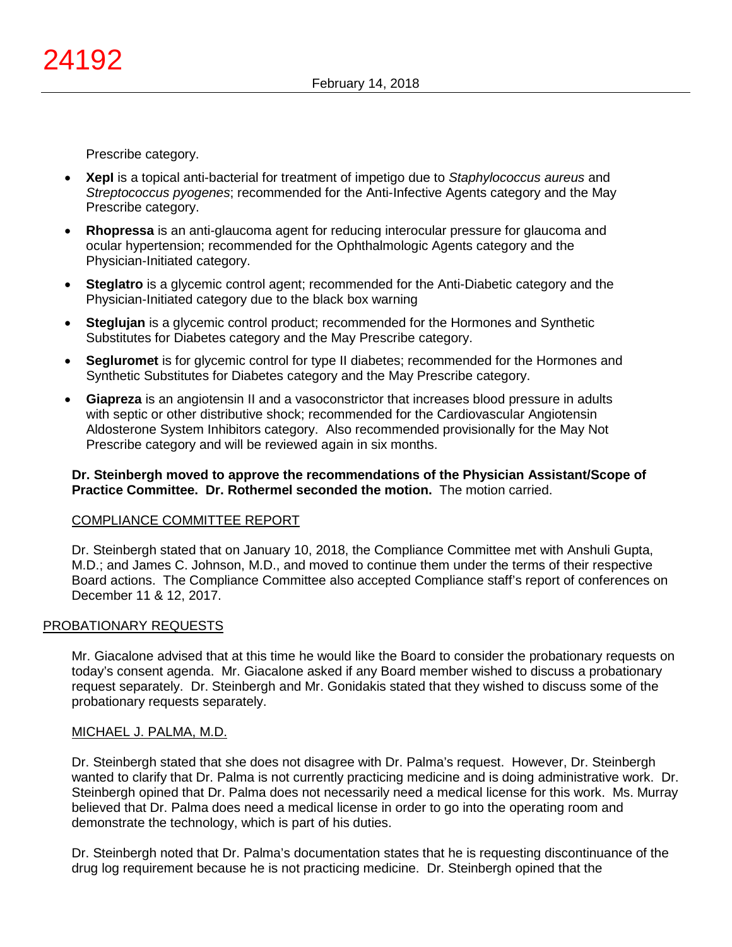Prescribe category.

- **XepI** is a topical anti-bacterial for treatment of impetigo due to *Staphylococcus aureus* and *Streptococcus pyogenes*; recommended for the Anti-Infective Agents category and the May Prescribe category.
- **Rhopressa** is an anti-glaucoma agent for reducing interocular pressure for glaucoma and ocular hypertension; recommended for the Ophthalmologic Agents category and the Physician-Initiated category.
- **Steglatro** is a glycemic control agent; recommended for the Anti-Diabetic category and the Physician-Initiated category due to the black box warning
- **Steglujan** is a glycemic control product; recommended for the Hormones and Synthetic Substitutes for Diabetes category and the May Prescribe category.
- **Segluromet** is for glycemic control for type II diabetes; recommended for the Hormones and Synthetic Substitutes for Diabetes category and the May Prescribe category.
- **Giapreza** is an angiotensin II and a vasoconstrictor that increases blood pressure in adults with septic or other distributive shock; recommended for the Cardiovascular Angiotensin Aldosterone System Inhibitors category. Also recommended provisionally for the May Not Prescribe category and will be reviewed again in six months.

### **Dr. Steinbergh moved to approve the recommendations of the Physician Assistant/Scope of Practice Committee. Dr. Rothermel seconded the motion.** The motion carried.

### COMPLIANCE COMMITTEE REPORT

Dr. Steinbergh stated that on January 10, 2018, the Compliance Committee met with Anshuli Gupta, M.D.; and James C. Johnson, M.D., and moved to continue them under the terms of their respective Board actions. The Compliance Committee also accepted Compliance staff's report of conferences on December 11 & 12, 2017.

# PROBATIONARY REQUESTS

Mr. Giacalone advised that at this time he would like the Board to consider the probationary requests on today's consent agenda. Mr. Giacalone asked if any Board member wished to discuss a probationary request separately. Dr. Steinbergh and Mr. Gonidakis stated that they wished to discuss some of the probationary requests separately.

### MICHAEL J. PALMA, M.D.

Dr. Steinbergh stated that she does not disagree with Dr. Palma's request. However, Dr. Steinbergh wanted to clarify that Dr. Palma is not currently practicing medicine and is doing administrative work. Dr. Steinbergh opined that Dr. Palma does not necessarily need a medical license for this work. Ms. Murray believed that Dr. Palma does need a medical license in order to go into the operating room and demonstrate the technology, which is part of his duties.

Dr. Steinbergh noted that Dr. Palma's documentation states that he is requesting discontinuance of the drug log requirement because he is not practicing medicine. Dr. Steinbergh opined that the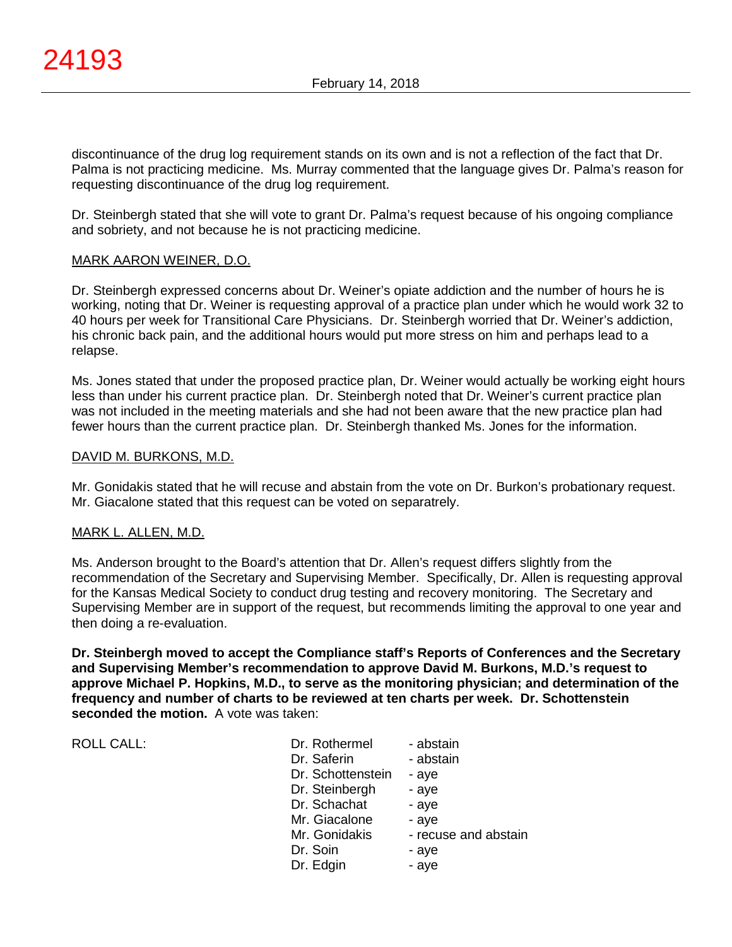discontinuance of the drug log requirement stands on its own and is not a reflection of the fact that Dr. Palma is not practicing medicine. Ms. Murray commented that the language gives Dr. Palma's reason for requesting discontinuance of the drug log requirement.

Dr. Steinbergh stated that she will vote to grant Dr. Palma's request because of his ongoing compliance and sobriety, and not because he is not practicing medicine.

### MARK AARON WEINER, D.O.

Dr. Steinbergh expressed concerns about Dr. Weiner's opiate addiction and the number of hours he is working, noting that Dr. Weiner is requesting approval of a practice plan under which he would work 32 to 40 hours per week for Transitional Care Physicians. Dr. Steinbergh worried that Dr. Weiner's addiction, his chronic back pain, and the additional hours would put more stress on him and perhaps lead to a relapse.

Ms. Jones stated that under the proposed practice plan, Dr. Weiner would actually be working eight hours less than under his current practice plan. Dr. Steinbergh noted that Dr. Weiner's current practice plan was not included in the meeting materials and she had not been aware that the new practice plan had fewer hours than the current practice plan. Dr. Steinbergh thanked Ms. Jones for the information.

### DAVID M. BURKONS, M.D.

Mr. Gonidakis stated that he will recuse and abstain from the vote on Dr. Burkon's probationary request. Mr. Giacalone stated that this request can be voted on separatrely.

# MARK L. ALLEN, M.D.

Ms. Anderson brought to the Board's attention that Dr. Allen's request differs slightly from the recommendation of the Secretary and Supervising Member. Specifically, Dr. Allen is requesting approval for the Kansas Medical Society to conduct drug testing and recovery monitoring. The Secretary and Supervising Member are in support of the request, but recommends limiting the approval to one year and then doing a re-evaluation.

**Dr. Steinbergh moved to accept the Compliance staff's Reports of Conferences and the Secretary and Supervising Member's recommendation to approve David M. Burkons, M.D.'s request to approve Michael P. Hopkins, M.D., to serve as the monitoring physician; and determination of the frequency and number of charts to be reviewed at ten charts per week. Dr. Schottenstein seconded the motion.** A vote was taken:

| <b>ROLL CALL:</b> |  |
|-------------------|--|
|                   |  |

| <b>ROLL CALL:</b> | Dr. Rothermel<br>Dr. Saferin<br>Dr. Schottenstein<br>Dr. Steinbergh<br>Dr. Schachat<br>Mr. Giacalone | - abstain<br>- abstain<br>- ave<br>- aye<br>- aye<br>- ave<br>- recuse and abstain |
|-------------------|------------------------------------------------------------------------------------------------------|------------------------------------------------------------------------------------|
|                   | Mr. Gonidakis<br>Dr. Soin<br>Dr. Edgin                                                               | - aye<br>- aye                                                                     |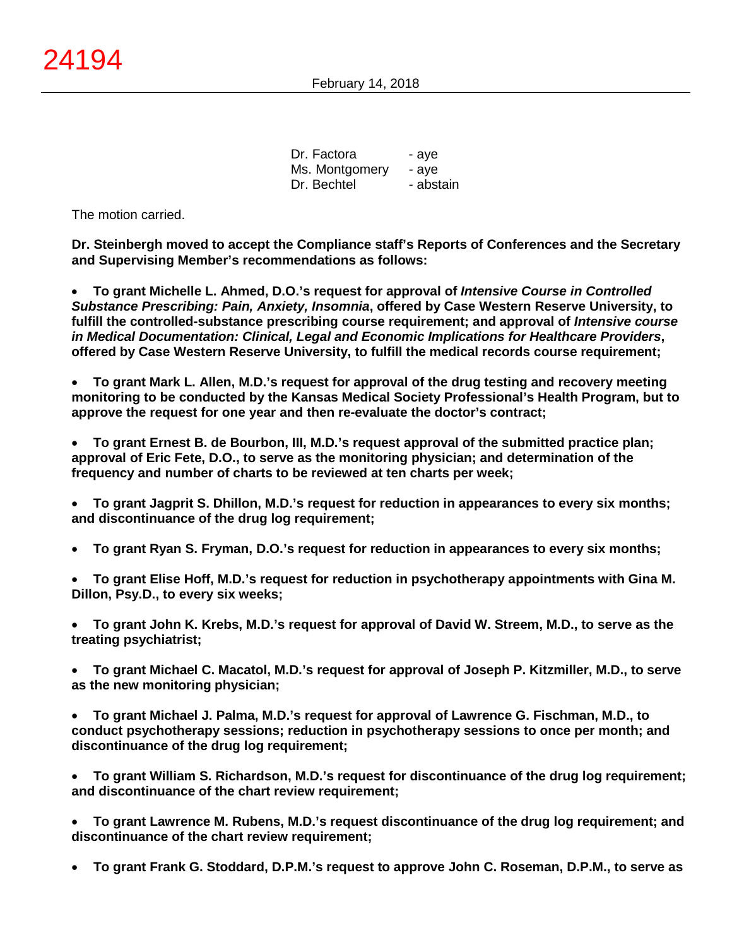Dr. Factora - aye Ms. Montgomery - aye Dr. Bechtel - abstain

The motion carried.

**Dr. Steinbergh moved to accept the Compliance staff's Reports of Conferences and the Secretary and Supervising Member's recommendations as follows:**

• **To grant Michelle L. Ahmed, D.O.'s request for approval of** *Intensive Course in Controlled Substance Prescribing: Pain, Anxiety, Insomnia***, offered by Case Western Reserve University, to fulfill the controlled-substance prescribing course requirement; and approval of** *Intensive course in Medical Documentation: Clinical, Legal and Economic Implications for Healthcare Providers***, offered by Case Western Reserve University, to fulfill the medical records course requirement;**

• **To grant Mark L. Allen, M.D.'s request for approval of the drug testing and recovery meeting monitoring to be conducted by the Kansas Medical Society Professional's Health Program, but to approve the request for one year and then re-evaluate the doctor's contract;**

• **To grant Ernest B. de Bourbon, III, M.D.'s request approval of the submitted practice plan; approval of Eric Fete, D.O., to serve as the monitoring physician; and determination of the frequency and number of charts to be reviewed at ten charts per week;**

- **To grant Jagprit S. Dhillon, M.D.'s request for reduction in appearances to every six months; and discontinuance of the drug log requirement;**
- **To grant Ryan S. Fryman, D.O.'s request for reduction in appearances to every six months;**
- **To grant Elise Hoff, M.D.'s request for reduction in psychotherapy appointments with Gina M. Dillon, Psy.D., to every six weeks;**

• **To grant John K. Krebs, M.D.'s request for approval of David W. Streem, M.D., to serve as the treating psychiatrist;**

• **To grant Michael C. Macatol, M.D.'s request for approval of Joseph P. Kitzmiller, M.D., to serve as the new monitoring physician;**

• **To grant Michael J. Palma, M.D.'s request for approval of Lawrence G. Fischman, M.D., to conduct psychotherapy sessions; reduction in psychotherapy sessions to once per month; and discontinuance of the drug log requirement;**

• **To grant William S. Richardson, M.D.'s request for discontinuance of the drug log requirement; and discontinuance of the chart review requirement;**

• **To grant Lawrence M. Rubens, M.D.'s request discontinuance of the drug log requirement; and discontinuance of the chart review requirement;**

• **To grant Frank G. Stoddard, D.P.M.'s request to approve John C. Roseman, D.P.M., to serve as**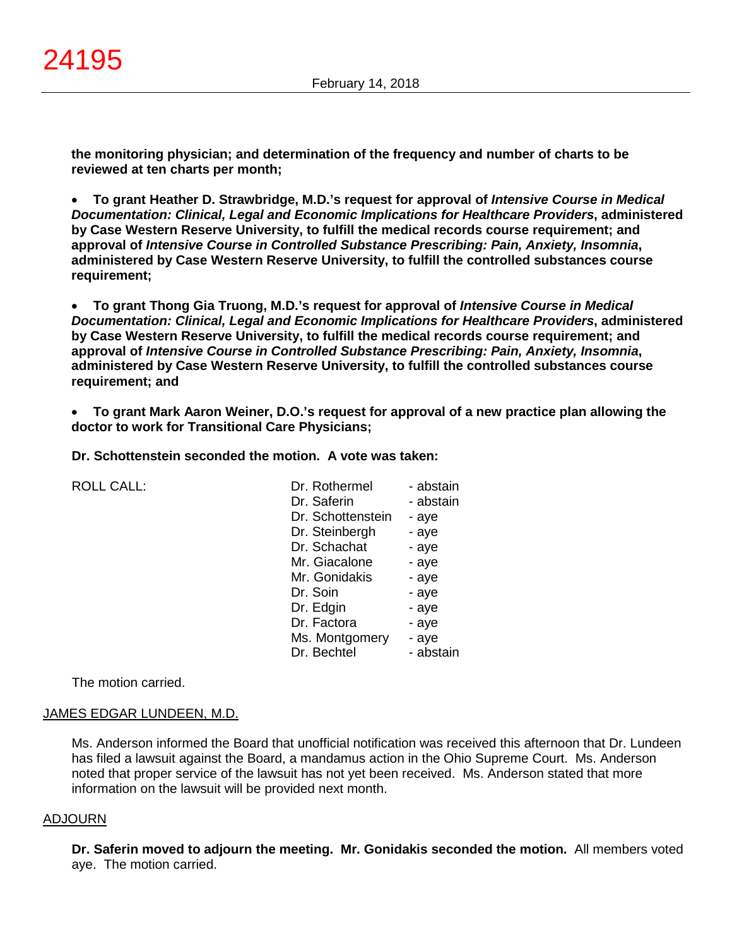**the monitoring physician; and determination of the frequency and number of charts to be reviewed at ten charts per month;**

• **To grant Heather D. Strawbridge, M.D.'s request for approval of** *Intensive Course in Medical Documentation: Clinical, Legal and Economic Implications for Healthcare Providers***, administered by Case Western Reserve University, to fulfill the medical records course requirement; and approval of** *Intensive Course in Controlled Substance Prescribing: Pain, Anxiety, Insomnia***, administered by Case Western Reserve University, to fulfill the controlled substances course requirement;**

• **To grant Thong Gia Truong, M.D.'s request for approval of** *Intensive Course in Medical Documentation: Clinical, Legal and Economic Implications for Healthcare Providers***, administered by Case Western Reserve University, to fulfill the medical records course requirement; and approval of** *Intensive Course in Controlled Substance Prescribing: Pain, Anxiety, Insomnia***, administered by Case Western Reserve University, to fulfill the controlled substances course requirement; and**

• **To grant Mark Aaron Weiner, D.O.'s request for approval of a new practice plan allowing the doctor to work for Transitional Care Physicians;**

**Dr. Schottenstein seconded the motion. A vote was taken:**

ROLL CALL: Dr. Rothermel - abstain

| DI. RUUCHIICI     | - abstall i |
|-------------------|-------------|
| Dr. Saferin       | - abstain   |
| Dr. Schottenstein | - aye       |
| Dr. Steinbergh    | - aye       |
| Dr. Schachat      | - aye       |
| Mr. Giacalone     | - aye       |
| Mr. Gonidakis     | - aye       |
| Dr. Soin          | - aye       |
| Dr. Edgin         | - aye       |
| Dr. Factora       | - aye       |
| Ms. Montgomery    | - aye       |
| Dr. Bechtel       | - abstain   |

The motion carried.

### JAMES EDGAR LUNDEEN, M.D.

Ms. Anderson informed the Board that unofficial notification was received this afternoon that Dr. Lundeen has filed a lawsuit against the Board, a mandamus action in the Ohio Supreme Court. Ms. Anderson noted that proper service of the lawsuit has not yet been received. Ms. Anderson stated that more information on the lawsuit will be provided next month.

#### ADJOURN

**Dr. Saferin moved to adjourn the meeting. Mr. Gonidakis seconded the motion.** All members voted aye. The motion carried.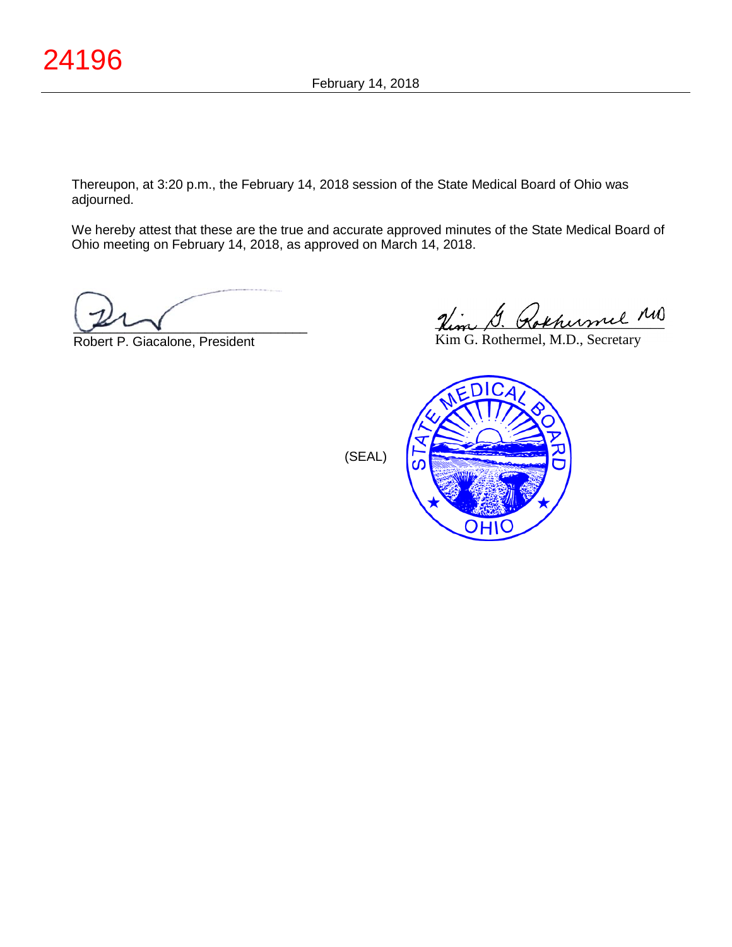Thereupon, at 3:20 p.m., the February 14, 2018 session of the State Medical Board of Ohio was adjourned.

We hereby attest that these are the true and accurate approved minutes of the State Medical Board of Ohio meeting on February 14, 2018, as approved on March 14, 2018.

 $\sim$ 

Robert P. Giacalone, President

Hem D. Rokhermel

Kim G. Rothermel, M.D., Secretary



(SEAL)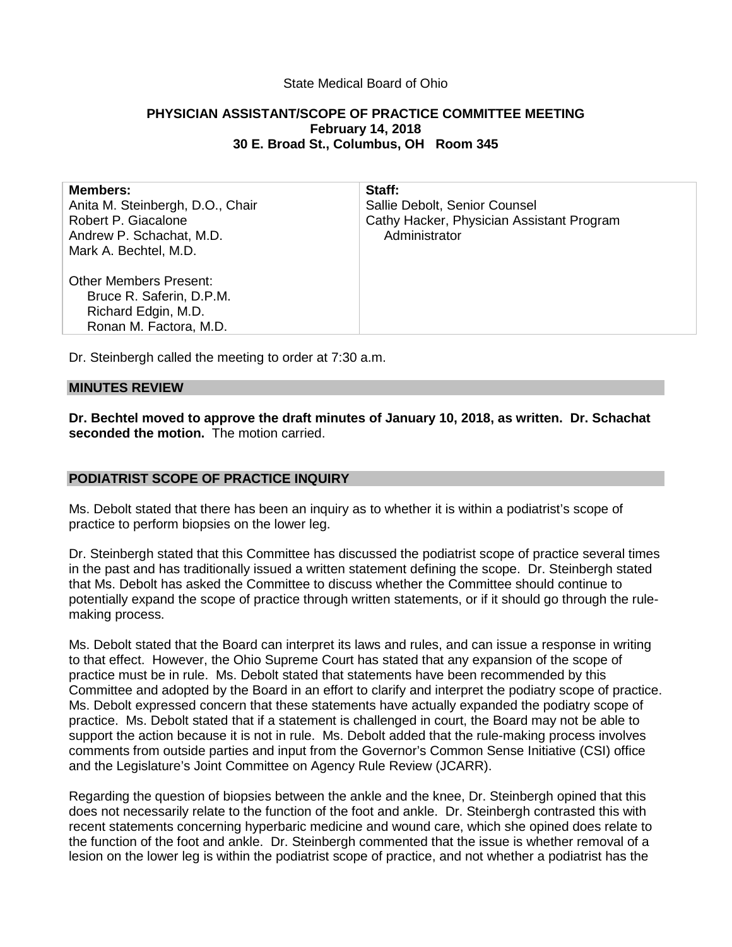## State Medical Board of Ohio

# **PHYSICIAN ASSISTANT/SCOPE OF PRACTICE COMMITTEE MEETING February 14, 2018 30 E. Broad St., Columbus, OH Room 345**

| <b>Members:</b><br>Anita M. Steinbergh, D.O., Chair<br>Robert P. Giacalone<br>Andrew P. Schachat, M.D.<br>Mark A. Bechtel, M.D. | Staff:<br>Sallie Debolt, Senior Counsel<br>Cathy Hacker, Physician Assistant Program<br>Administrator |
|---------------------------------------------------------------------------------------------------------------------------------|-------------------------------------------------------------------------------------------------------|
| <b>Other Members Present:</b><br>Bruce R. Saferin, D.P.M.<br>Richard Edgin, M.D.<br>Ronan M. Factora, M.D.                      |                                                                                                       |
|                                                                                                                                 |                                                                                                       |

Dr. Steinbergh called the meeting to order at 7:30 a.m.

### **MINUTES REVIEW**

**Dr. Bechtel moved to approve the draft minutes of January 10, 2018, as written. Dr. Schachat seconded the motion.** The motion carried.

### **PODIATRIST SCOPE OF PRACTICE INQUIRY**

Ms. Debolt stated that there has been an inquiry as to whether it is within a podiatrist's scope of practice to perform biopsies on the lower leg.

Dr. Steinbergh stated that this Committee has discussed the podiatrist scope of practice several times in the past and has traditionally issued a written statement defining the scope. Dr. Steinbergh stated that Ms. Debolt has asked the Committee to discuss whether the Committee should continue to potentially expand the scope of practice through written statements, or if it should go through the rulemaking process.

Ms. Debolt stated that the Board can interpret its laws and rules, and can issue a response in writing to that effect. However, the Ohio Supreme Court has stated that any expansion of the scope of practice must be in rule. Ms. Debolt stated that statements have been recommended by this Committee and adopted by the Board in an effort to clarify and interpret the podiatry scope of practice. Ms. Debolt expressed concern that these statements have actually expanded the podiatry scope of practice. Ms. Debolt stated that if a statement is challenged in court, the Board may not be able to support the action because it is not in rule. Ms. Debolt added that the rule-making process involves comments from outside parties and input from the Governor's Common Sense Initiative (CSI) office and the Legislature's Joint Committee on Agency Rule Review (JCARR).

Regarding the question of biopsies between the ankle and the knee, Dr. Steinbergh opined that this does not necessarily relate to the function of the foot and ankle. Dr. Steinbergh contrasted this with recent statements concerning hyperbaric medicine and wound care, which she opined does relate to the function of the foot and ankle. Dr. Steinbergh commented that the issue is whether removal of a lesion on the lower leg is within the podiatrist scope of practice, and not whether a podiatrist has the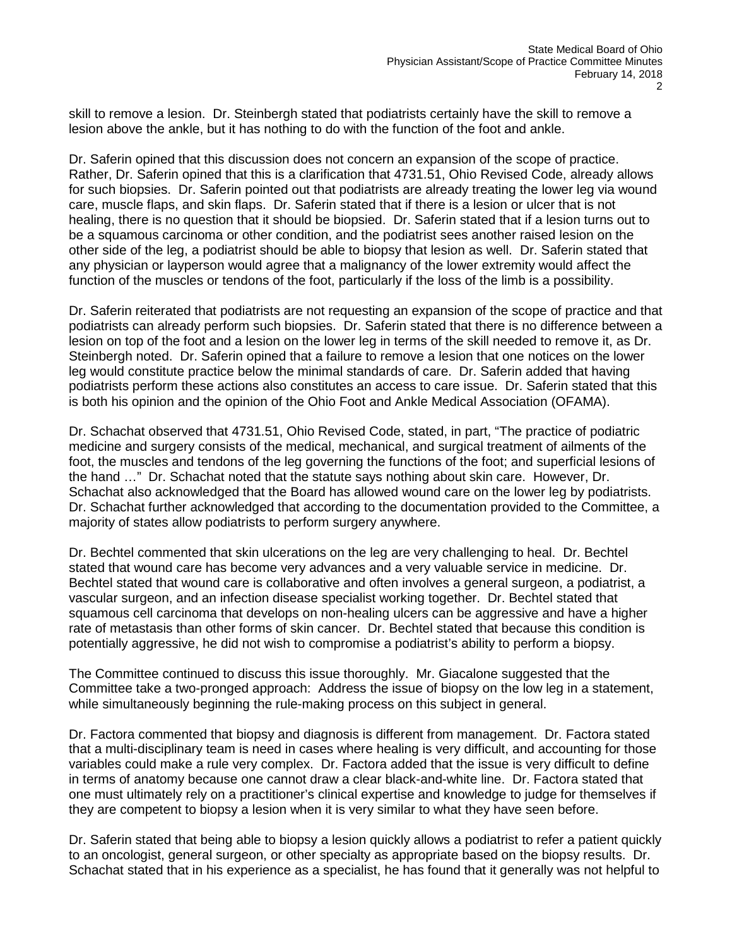skill to remove a lesion. Dr. Steinbergh stated that podiatrists certainly have the skill to remove a lesion above the ankle, but it has nothing to do with the function of the foot and ankle.

Dr. Saferin opined that this discussion does not concern an expansion of the scope of practice. Rather, Dr. Saferin opined that this is a clarification that 4731.51, Ohio Revised Code, already allows for such biopsies. Dr. Saferin pointed out that podiatrists are already treating the lower leg via wound care, muscle flaps, and skin flaps. Dr. Saferin stated that if there is a lesion or ulcer that is not healing, there is no question that it should be biopsied. Dr. Saferin stated that if a lesion turns out to be a squamous carcinoma or other condition, and the podiatrist sees another raised lesion on the other side of the leg, a podiatrist should be able to biopsy that lesion as well. Dr. Saferin stated that any physician or layperson would agree that a malignancy of the lower extremity would affect the function of the muscles or tendons of the foot, particularly if the loss of the limb is a possibility.

Dr. Saferin reiterated that podiatrists are not requesting an expansion of the scope of practice and that podiatrists can already perform such biopsies. Dr. Saferin stated that there is no difference between a lesion on top of the foot and a lesion on the lower leg in terms of the skill needed to remove it, as Dr. Steinbergh noted. Dr. Saferin opined that a failure to remove a lesion that one notices on the lower leg would constitute practice below the minimal standards of care. Dr. Saferin added that having podiatrists perform these actions also constitutes an access to care issue. Dr. Saferin stated that this is both his opinion and the opinion of the Ohio Foot and Ankle Medical Association (OFAMA).

Dr. Schachat observed that 4731.51, Ohio Revised Code, stated, in part, "The practice of podiatric medicine and surgery consists of the medical, mechanical, and surgical treatment of ailments of the foot, the muscles and tendons of the leg governing the functions of the foot; and superficial lesions of the hand …" Dr. Schachat noted that the statute says nothing about skin care. However, Dr. Schachat also acknowledged that the Board has allowed wound care on the lower leg by podiatrists. Dr. Schachat further acknowledged that according to the documentation provided to the Committee, a majority of states allow podiatrists to perform surgery anywhere.

Dr. Bechtel commented that skin ulcerations on the leg are very challenging to heal. Dr. Bechtel stated that wound care has become very advances and a very valuable service in medicine. Dr. Bechtel stated that wound care is collaborative and often involves a general surgeon, a podiatrist, a vascular surgeon, and an infection disease specialist working together. Dr. Bechtel stated that squamous cell carcinoma that develops on non-healing ulcers can be aggressive and have a higher rate of metastasis than other forms of skin cancer. Dr. Bechtel stated that because this condition is potentially aggressive, he did not wish to compromise a podiatrist's ability to perform a biopsy.

The Committee continued to discuss this issue thoroughly. Mr. Giacalone suggested that the Committee take a two-pronged approach: Address the issue of biopsy on the low leg in a statement, while simultaneously beginning the rule-making process on this subject in general.

Dr. Factora commented that biopsy and diagnosis is different from management. Dr. Factora stated that a multi-disciplinary team is need in cases where healing is very difficult, and accounting for those variables could make a rule very complex. Dr. Factora added that the issue is very difficult to define in terms of anatomy because one cannot draw a clear black-and-white line. Dr. Factora stated that one must ultimately rely on a practitioner's clinical expertise and knowledge to judge for themselves if they are competent to biopsy a lesion when it is very similar to what they have seen before.

Dr. Saferin stated that being able to biopsy a lesion quickly allows a podiatrist to refer a patient quickly to an oncologist, general surgeon, or other specialty as appropriate based on the biopsy results. Dr. Schachat stated that in his experience as a specialist, he has found that it generally was not helpful to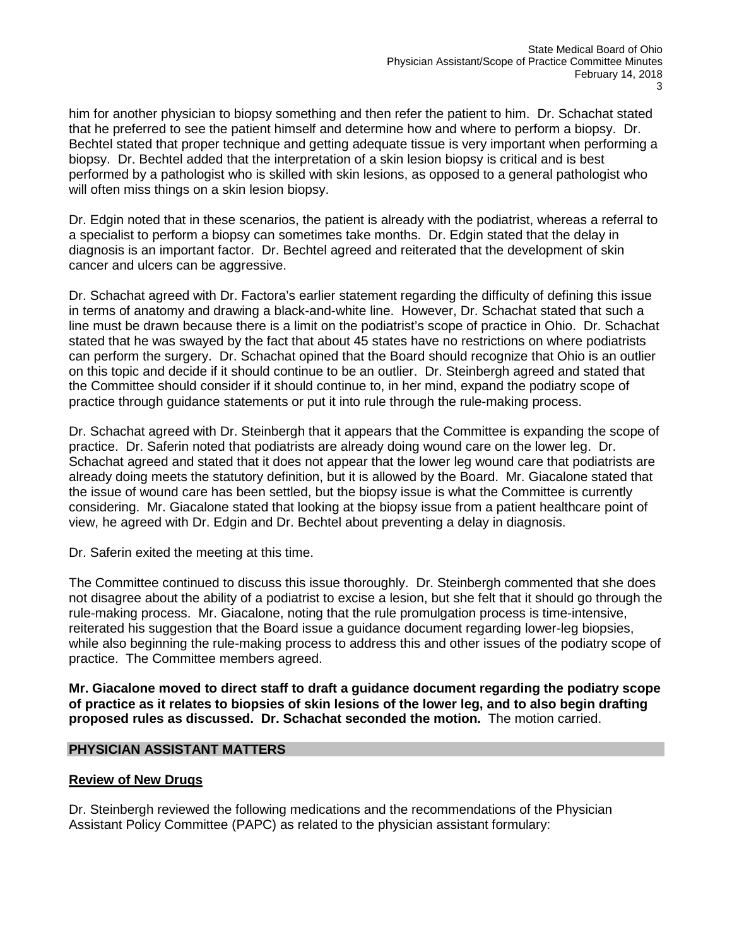him for another physician to biopsy something and then refer the patient to him. Dr. Schachat stated that he preferred to see the patient himself and determine how and where to perform a biopsy. Dr. Bechtel stated that proper technique and getting adequate tissue is very important when performing a biopsy. Dr. Bechtel added that the interpretation of a skin lesion biopsy is critical and is best performed by a pathologist who is skilled with skin lesions, as opposed to a general pathologist who will often miss things on a skin lesion biopsy.

Dr. Edgin noted that in these scenarios, the patient is already with the podiatrist, whereas a referral to a specialist to perform a biopsy can sometimes take months. Dr. Edgin stated that the delay in diagnosis is an important factor. Dr. Bechtel agreed and reiterated that the development of skin cancer and ulcers can be aggressive.

Dr. Schachat agreed with Dr. Factora's earlier statement regarding the difficulty of defining this issue in terms of anatomy and drawing a black-and-white line. However, Dr. Schachat stated that such a line must be drawn because there is a limit on the podiatrist's scope of practice in Ohio. Dr. Schachat stated that he was swayed by the fact that about 45 states have no restrictions on where podiatrists can perform the surgery. Dr. Schachat opined that the Board should recognize that Ohio is an outlier on this topic and decide if it should continue to be an outlier. Dr. Steinbergh agreed and stated that the Committee should consider if it should continue to, in her mind, expand the podiatry scope of practice through guidance statements or put it into rule through the rule-making process.

Dr. Schachat agreed with Dr. Steinbergh that it appears that the Committee is expanding the scope of practice. Dr. Saferin noted that podiatrists are already doing wound care on the lower leg. Dr. Schachat agreed and stated that it does not appear that the lower leg wound care that podiatrists are already doing meets the statutory definition, but it is allowed by the Board. Mr. Giacalone stated that the issue of wound care has been settled, but the biopsy issue is what the Committee is currently considering. Mr. Giacalone stated that looking at the biopsy issue from a patient healthcare point of view, he agreed with Dr. Edgin and Dr. Bechtel about preventing a delay in diagnosis.

Dr. Saferin exited the meeting at this time.

The Committee continued to discuss this issue thoroughly. Dr. Steinbergh commented that she does not disagree about the ability of a podiatrist to excise a lesion, but she felt that it should go through the rule-making process. Mr. Giacalone, noting that the rule promulgation process is time-intensive, reiterated his suggestion that the Board issue a guidance document regarding lower-leg biopsies, while also beginning the rule-making process to address this and other issues of the podiatry scope of practice. The Committee members agreed.

**Mr. Giacalone moved to direct staff to draft a guidance document regarding the podiatry scope of practice as it relates to biopsies of skin lesions of the lower leg, and to also begin drafting proposed rules as discussed. Dr. Schachat seconded the motion.** The motion carried.

# **PHYSICIAN ASSISTANT MATTERS**

# **Review of New Drugs**

Dr. Steinbergh reviewed the following medications and the recommendations of the Physician Assistant Policy Committee (PAPC) as related to the physician assistant formulary: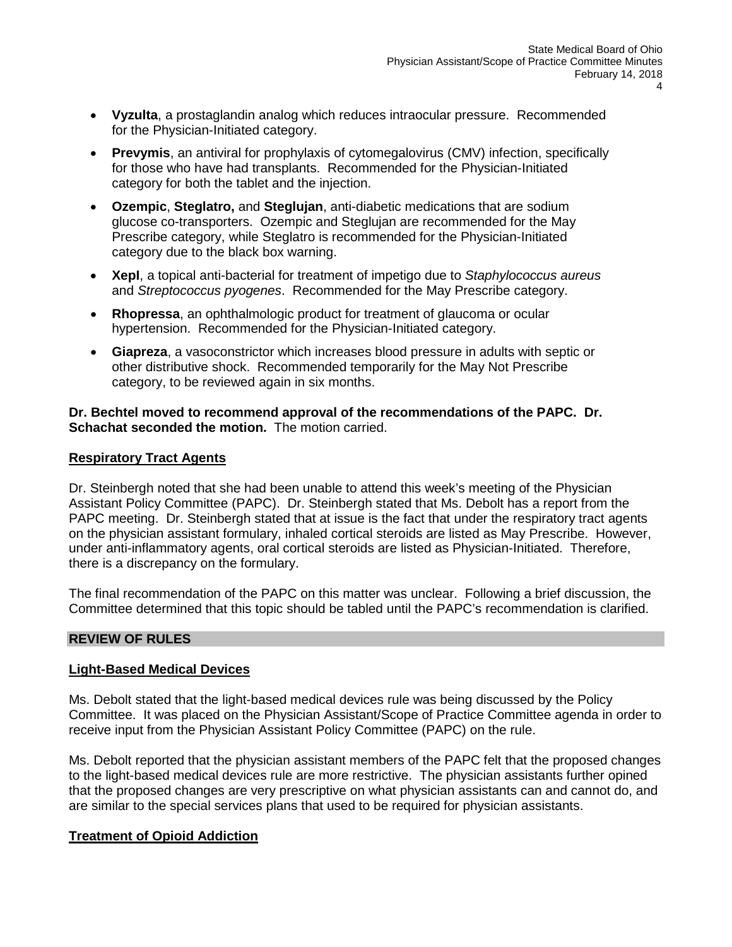- **Vyzulta**, a prostaglandin analog which reduces intraocular pressure. Recommended for the Physician-Initiated category.
- **Prevymis**, an antiviral for prophylaxis of cytomegalovirus (CMV) infection, specifically for those who have had transplants. Recommended for the Physician-Initiated category for both the tablet and the injection.
- **Ozempic**, **Steglatro,** and **Steglujan**, anti-diabetic medications that are sodium glucose co-transporters. Ozempic and Steglujan are recommended for the May Prescribe category, while Steglatro is recommended for the Physician-Initiated category due to the black box warning.
- **XepI**, a topical anti-bacterial for treatment of impetigo due to *Staphylococcus aureus* and *Streptococcus pyogenes*. Recommended for the May Prescribe category.
- **Rhopressa**, an ophthalmologic product for treatment of glaucoma or ocular hypertension. Recommended for the Physician-Initiated category.
- **Giapreza**, a vasoconstrictor which increases blood pressure in adults with septic or other distributive shock. Recommended temporarily for the May Not Prescribe category, to be reviewed again in six months.

## **Dr. Bechtel moved to recommend approval of the recommendations of the PAPC. Dr. Schachat seconded the motion.** The motion carried.

# **Respiratory Tract Agents**

Dr. Steinbergh noted that she had been unable to attend this week's meeting of the Physician Assistant Policy Committee (PAPC). Dr. Steinbergh stated that Ms. Debolt has a report from the PAPC meeting. Dr. Steinbergh stated that at issue is the fact that under the respiratory tract agents on the physician assistant formulary, inhaled cortical steroids are listed as May Prescribe. However, under anti-inflammatory agents, oral cortical steroids are listed as Physician-Initiated. Therefore, there is a discrepancy on the formulary.

The final recommendation of the PAPC on this matter was unclear. Following a brief discussion, the Committee determined that this topic should be tabled until the PAPC's recommendation is clarified.

# **REVIEW OF RULES**

# **Light-Based Medical Devices**

Ms. Debolt stated that the light-based medical devices rule was being discussed by the Policy Committee. It was placed on the Physician Assistant/Scope of Practice Committee agenda in order to receive input from the Physician Assistant Policy Committee (PAPC) on the rule.

Ms. Debolt reported that the physician assistant members of the PAPC felt that the proposed changes to the light-based medical devices rule are more restrictive. The physician assistants further opined that the proposed changes are very prescriptive on what physician assistants can and cannot do, and are similar to the special services plans that used to be required for physician assistants.

# **Treatment of Opioid Addiction**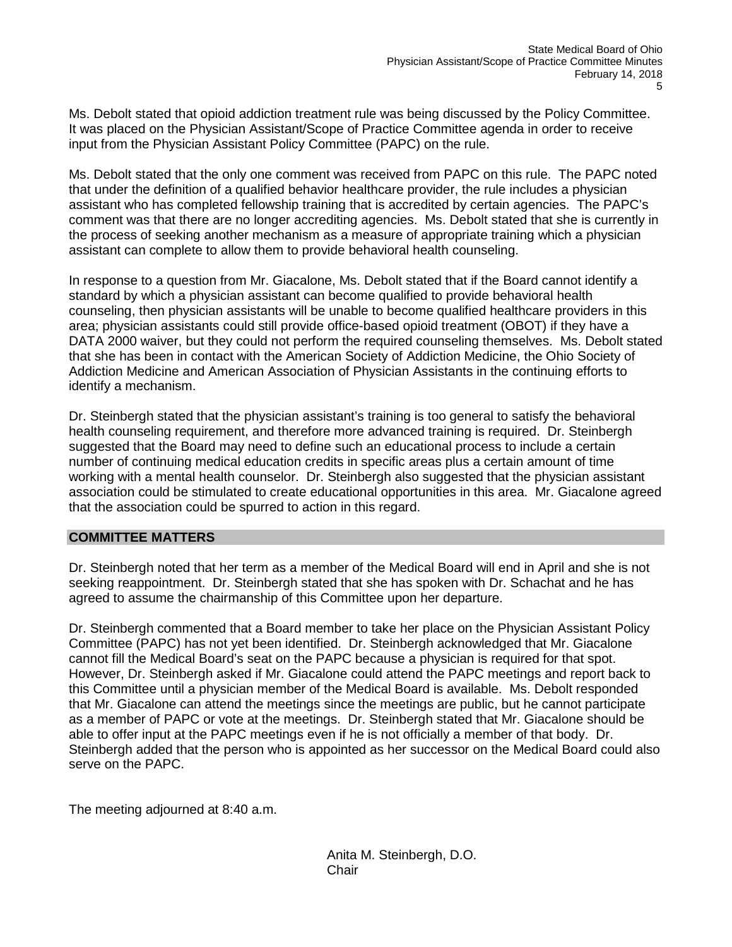Ms. Debolt stated that opioid addiction treatment rule was being discussed by the Policy Committee. It was placed on the Physician Assistant/Scope of Practice Committee agenda in order to receive input from the Physician Assistant Policy Committee (PAPC) on the rule.

Ms. Debolt stated that the only one comment was received from PAPC on this rule. The PAPC noted that under the definition of a qualified behavior healthcare provider, the rule includes a physician assistant who has completed fellowship training that is accredited by certain agencies. The PAPC's comment was that there are no longer accrediting agencies. Ms. Debolt stated that she is currently in the process of seeking another mechanism as a measure of appropriate training which a physician assistant can complete to allow them to provide behavioral health counseling.

In response to a question from Mr. Giacalone, Ms. Debolt stated that if the Board cannot identify a standard by which a physician assistant can become qualified to provide behavioral health counseling, then physician assistants will be unable to become qualified healthcare providers in this area; physician assistants could still provide office-based opioid treatment (OBOT) if they have a DATA 2000 waiver, but they could not perform the required counseling themselves. Ms. Debolt stated that she has been in contact with the American Society of Addiction Medicine, the Ohio Society of Addiction Medicine and American Association of Physician Assistants in the continuing efforts to identify a mechanism.

Dr. Steinbergh stated that the physician assistant's training is too general to satisfy the behavioral health counseling requirement, and therefore more advanced training is required. Dr. Steinbergh suggested that the Board may need to define such an educational process to include a certain number of continuing medical education credits in specific areas plus a certain amount of time working with a mental health counselor. Dr. Steinbergh also suggested that the physician assistant association could be stimulated to create educational opportunities in this area. Mr. Giacalone agreed that the association could be spurred to action in this regard.

# **COMMITTEE MATTERS**

Dr. Steinbergh noted that her term as a member of the Medical Board will end in April and she is not seeking reappointment. Dr. Steinbergh stated that she has spoken with Dr. Schachat and he has agreed to assume the chairmanship of this Committee upon her departure.

Dr. Steinbergh commented that a Board member to take her place on the Physician Assistant Policy Committee (PAPC) has not yet been identified. Dr. Steinbergh acknowledged that Mr. Giacalone cannot fill the Medical Board's seat on the PAPC because a physician is required for that spot. However, Dr. Steinbergh asked if Mr. Giacalone could attend the PAPC meetings and report back to this Committee until a physician member of the Medical Board is available. Ms. Debolt responded that Mr. Giacalone can attend the meetings since the meetings are public, but he cannot participate as a member of PAPC or vote at the meetings. Dr. Steinbergh stated that Mr. Giacalone should be able to offer input at the PAPC meetings even if he is not officially a member of that body. Dr. Steinbergh added that the person who is appointed as her successor on the Medical Board could also serve on the PAPC.

The meeting adjourned at 8:40 a.m.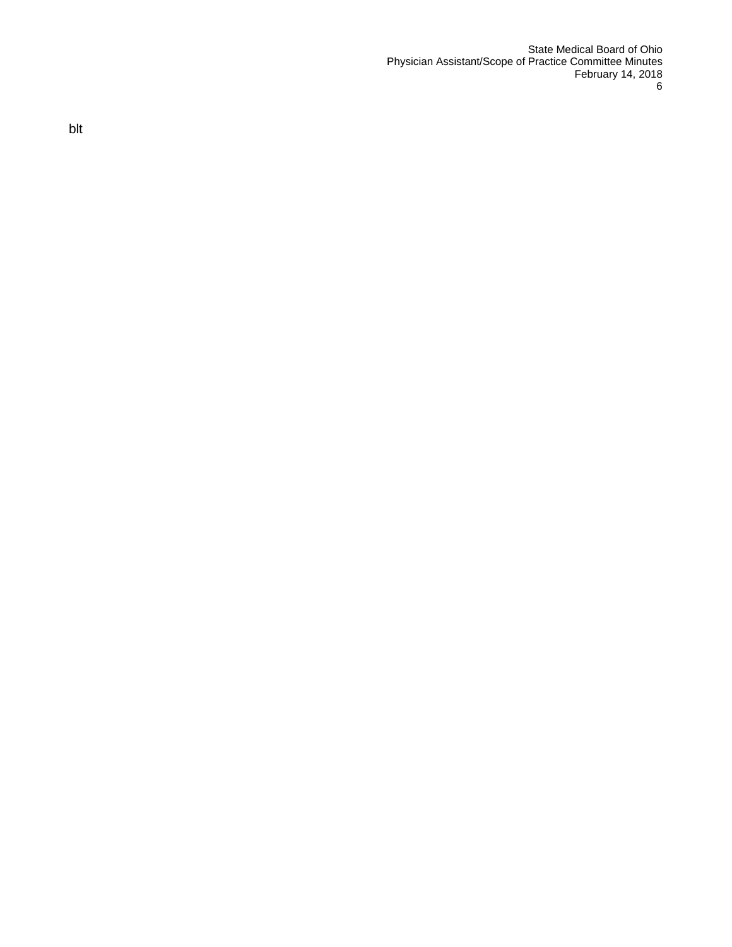State Medical Board of Ohio Physician Assistant/Scope of Practice Committee Minutes February 14, 2018<br>6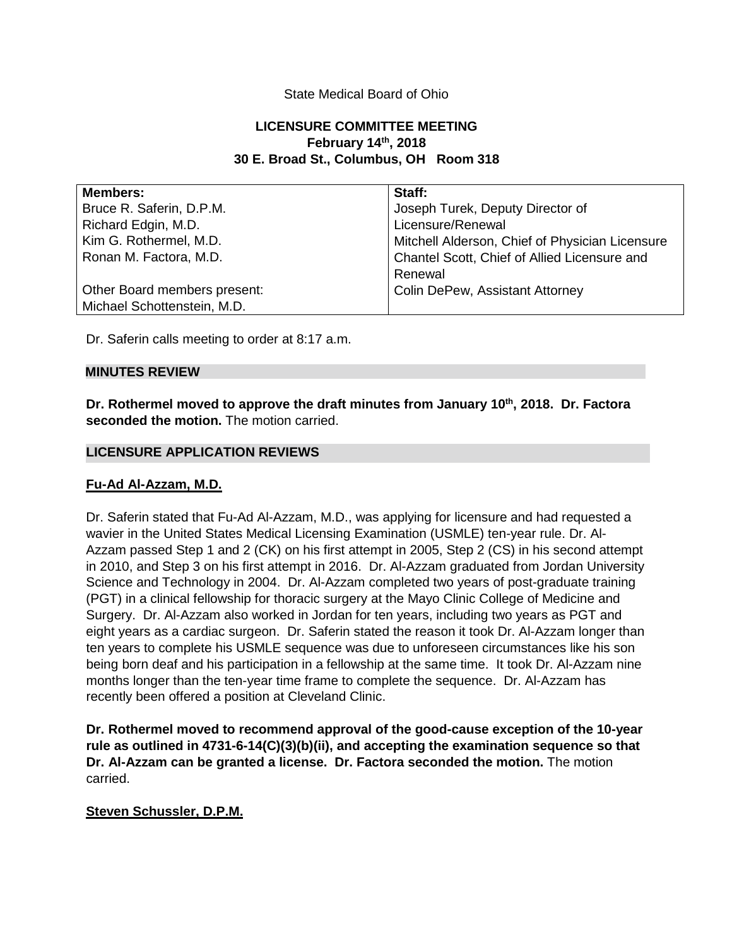# State Medical Board of Ohio

# **LICENSURE COMMITTEE MEETING February 14th, 2018 30 E. Broad St., Columbus, OH Room 318**

| Members:                     | Staff:                                          |
|------------------------------|-------------------------------------------------|
| Bruce R. Saferin, D.P.M.     | Joseph Turek, Deputy Director of                |
| Richard Edgin, M.D.          | Licensure/Renewal                               |
| Kim G. Rothermel, M.D.       | Mitchell Alderson, Chief of Physician Licensure |
| Ronan M. Factora, M.D.       | Chantel Scott, Chief of Allied Licensure and    |
|                              | Renewal                                         |
| Other Board members present: | <b>Colin DePew, Assistant Attorney</b>          |
| Michael Schottenstein, M.D.  |                                                 |

Dr. Saferin calls meeting to order at 8:17 a.m.

### **MINUTES REVIEW**

Dr. Rothermel moved to approve the draft minutes from January 10<sup>th</sup>, 2018. Dr. Factora **seconded the motion.** The motion carried.

### **LICENSURE APPLICATION REVIEWS**

### **Fu-Ad Al-Azzam, M.D.**

Dr. Saferin stated that Fu-Ad Al-Azzam, M.D., was applying for licensure and had requested a wavier in the United States Medical Licensing Examination (USMLE) ten-year rule. Dr. Al-Azzam passed Step 1 and 2 (CK) on his first attempt in 2005, Step 2 (CS) in his second attempt in 2010, and Step 3 on his first attempt in 2016. Dr. Al-Azzam graduated from Jordan University Science and Technology in 2004. Dr. Al-Azzam completed two years of post-graduate training (PGT) in a clinical fellowship for thoracic surgery at the Mayo Clinic College of Medicine and Surgery. Dr. Al-Azzam also worked in Jordan for ten years, including two years as PGT and eight years as a cardiac surgeon. Dr. Saferin stated the reason it took Dr. Al-Azzam longer than ten years to complete his USMLE sequence was due to unforeseen circumstances like his son being born deaf and his participation in a fellowship at the same time. It took Dr. Al-Azzam nine months longer than the ten-year time frame to complete the sequence. Dr. Al-Azzam has recently been offered a position at Cleveland Clinic.

**Dr. Rothermel moved to recommend approval of the good-cause exception of the 10-year rule as outlined in 4731-6-14(C)(3)(b)(ii), and accepting the examination sequence so that Dr. Al-Azzam can be granted a license. Dr. Factora seconded the motion.** The motion carried.

### **Steven Schussler, D.P.M.**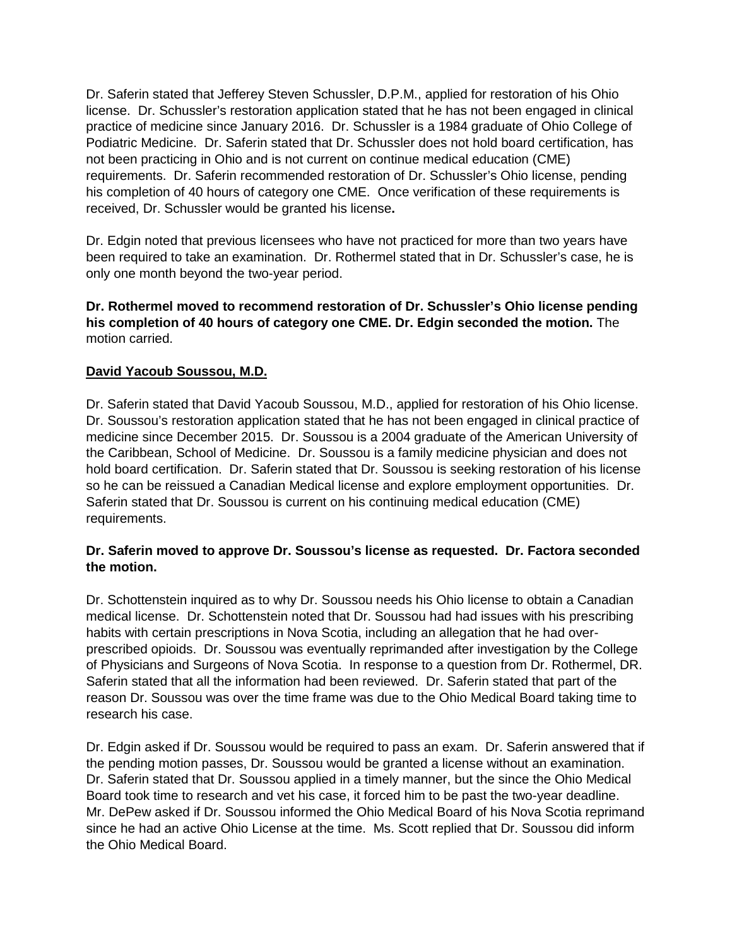Dr. Saferin stated that Jefferey Steven Schussler, D.P.M., applied for restoration of his Ohio license. Dr. Schussler's restoration application stated that he has not been engaged in clinical practice of medicine since January 2016. Dr. Schussler is a 1984 graduate of Ohio College of Podiatric Medicine. Dr. Saferin stated that Dr. Schussler does not hold board certification, has not been practicing in Ohio and is not current on continue medical education (CME) requirements. Dr. Saferin recommended restoration of Dr. Schussler's Ohio license, pending his completion of 40 hours of category one CME. Once verification of these requirements is received, Dr. Schussler would be granted his license**.**

Dr. Edgin noted that previous licensees who have not practiced for more than two years have been required to take an examination. Dr. Rothermel stated that in Dr. Schussler's case, he is only one month beyond the two-year period.

**Dr. Rothermel moved to recommend restoration of Dr. Schussler's Ohio license pending his completion of 40 hours of category one CME. Dr. Edgin seconded the motion.** The motion carried.

# **David Yacoub Soussou, M.D.**

Dr. Saferin stated that David Yacoub Soussou, M.D., applied for restoration of his Ohio license. Dr. Soussou's restoration application stated that he has not been engaged in clinical practice of medicine since December 2015. Dr. Soussou is a 2004 graduate of the American University of the Caribbean, School of Medicine. Dr. Soussou is a family medicine physician and does not hold board certification. Dr. Saferin stated that Dr. Soussou is seeking restoration of his license so he can be reissued a Canadian Medical license and explore employment opportunities. Dr. Saferin stated that Dr. Soussou is current on his continuing medical education (CME) requirements.

# **Dr. Saferin moved to approve Dr. Soussou's license as requested. Dr. Factora seconded the motion.**

Dr. Schottenstein inquired as to why Dr. Soussou needs his Ohio license to obtain a Canadian medical license. Dr. Schottenstein noted that Dr. Soussou had had issues with his prescribing habits with certain prescriptions in Nova Scotia, including an allegation that he had overprescribed opioids. Dr. Soussou was eventually reprimanded after investigation by the College of Physicians and Surgeons of Nova Scotia. In response to a question from Dr. Rothermel, DR. Saferin stated that all the information had been reviewed. Dr. Saferin stated that part of the reason Dr. Soussou was over the time frame was due to the Ohio Medical Board taking time to research his case.

Dr. Edgin asked if Dr. Soussou would be required to pass an exam. Dr. Saferin answered that if the pending motion passes, Dr. Soussou would be granted a license without an examination. Dr. Saferin stated that Dr. Soussou applied in a timely manner, but the since the Ohio Medical Board took time to research and vet his case, it forced him to be past the two-year deadline. Mr. DePew asked if Dr. Soussou informed the Ohio Medical Board of his Nova Scotia reprimand since he had an active Ohio License at the time. Ms. Scott replied that Dr. Soussou did inform the Ohio Medical Board.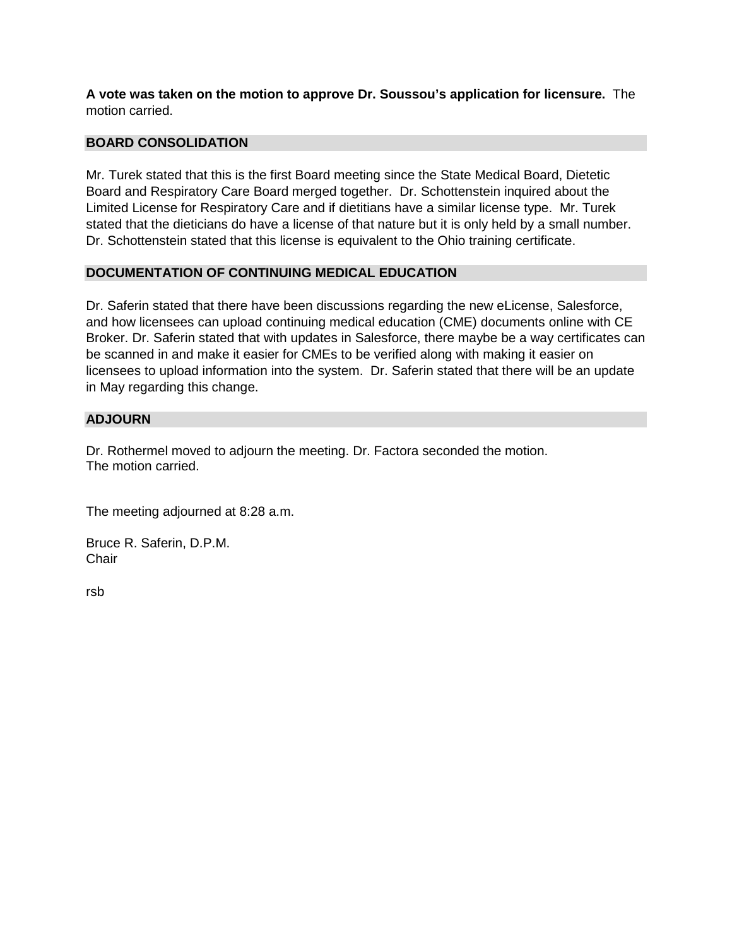**A vote was taken on the motion to approve Dr. Soussou's application for licensure.** The motion carried.

# **BOARD CONSOLIDATION**

Mr. Turek stated that this is the first Board meeting since the State Medical Board, Dietetic Board and Respiratory Care Board merged together. Dr. Schottenstein inquired about the Limited License for Respiratory Care and if dietitians have a similar license type. Mr. Turek stated that the dieticians do have a license of that nature but it is only held by a small number. Dr. Schottenstein stated that this license is equivalent to the Ohio training certificate.

# **DOCUMENTATION OF CONTINUING MEDICAL EDUCATION**

Dr. Saferin stated that there have been discussions regarding the new eLicense, Salesforce, and how licensees can upload continuing medical education (CME) documents online with CE Broker. Dr. Saferin stated that with updates in Salesforce, there maybe be a way certificates can be scanned in and make it easier for CMEs to be verified along with making it easier on licensees to upload information into the system. Dr. Saferin stated that there will be an update in May regarding this change.

# **ADJOURN**

Dr. Rothermel moved to adjourn the meeting. Dr. Factora seconded the motion. The motion carried.

The meeting adjourned at 8:28 a.m.

Bruce R. Saferin, D.P.M. **Chair** 

rsb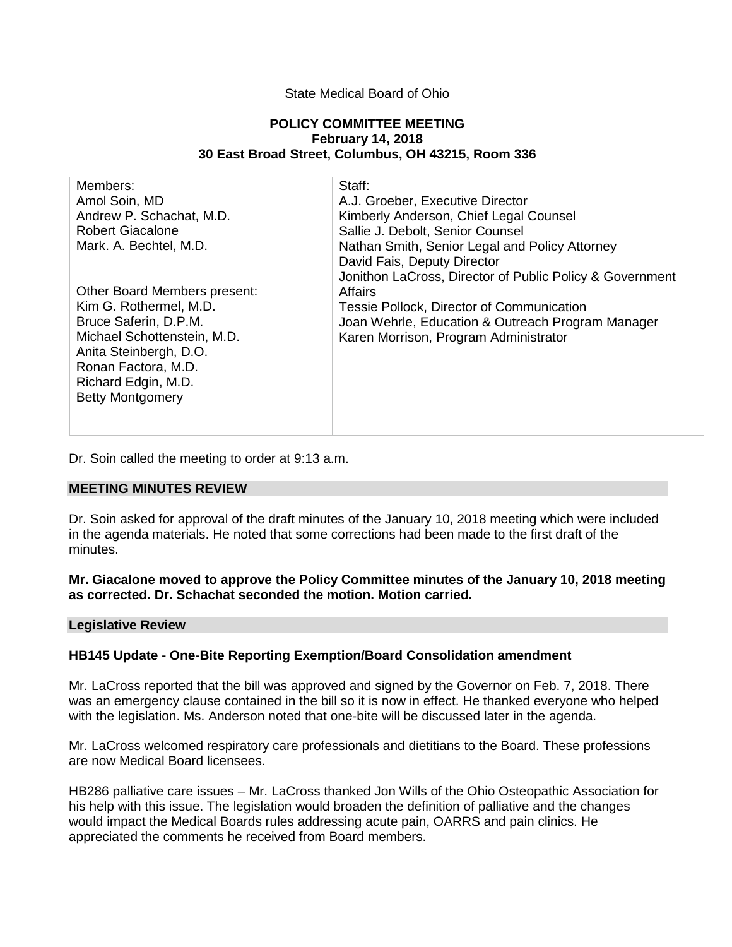### State Medical Board of Ohio

#### **POLICY COMMITTEE MEETING February 14, 2018 30 East Broad Street, Columbus, OH 43215, Room 336**

| Members:                     | Staff:                                                   |
|------------------------------|----------------------------------------------------------|
| Amol Soin, MD                | A.J. Groeber, Executive Director                         |
| Andrew P. Schachat, M.D.     | Kimberly Anderson, Chief Legal Counsel                   |
| <b>Robert Giacalone</b>      | Sallie J. Debolt, Senior Counsel                         |
| Mark. A. Bechtel, M.D.       | Nathan Smith, Senior Legal and Policy Attorney           |
|                              | David Fais, Deputy Director                              |
|                              | Jonithon LaCross, Director of Public Policy & Government |
| Other Board Members present: | Affairs                                                  |
| Kim G. Rothermel, M.D.       | Tessie Pollock, Director of Communication                |
| Bruce Saferin, D.P.M.        | Joan Wehrle, Education & Outreach Program Manager        |
| Michael Schottenstein, M.D.  | Karen Morrison, Program Administrator                    |
| Anita Steinbergh, D.O.       |                                                          |
| Ronan Factora, M.D.          |                                                          |
| Richard Edgin, M.D.          |                                                          |
| <b>Betty Montgomery</b>      |                                                          |
|                              |                                                          |
|                              |                                                          |

Dr. Soin called the meeting to order at 9:13 a.m.

## **MEETING MINUTES REVIEW**

Dr. Soin asked for approval of the draft minutes of the January 10, 2018 meeting which were included in the agenda materials. He noted that some corrections had been made to the first draft of the minutes.

### **Mr. Giacalone moved to approve the Policy Committee minutes of the January 10, 2018 meeting as corrected. Dr. Schachat seconded the motion. Motion carried.**

#### **Legislative Review**

### **HB145 Update - One-Bite Reporting Exemption/Board Consolidation amendment**

Mr. LaCross reported that the bill was approved and signed by the Governor on Feb. 7, 2018. There was an emergency clause contained in the bill so it is now in effect. He thanked everyone who helped with the legislation. Ms. Anderson noted that one-bite will be discussed later in the agenda.

Mr. LaCross welcomed respiratory care professionals and dietitians to the Board. These professions are now Medical Board licensees.

HB286 palliative care issues – Mr. LaCross thanked Jon Wills of the Ohio Osteopathic Association for his help with this issue. The legislation would broaden the definition of palliative and the changes would impact the Medical Boards rules addressing acute pain, OARRS and pain clinics. He appreciated the comments he received from Board members.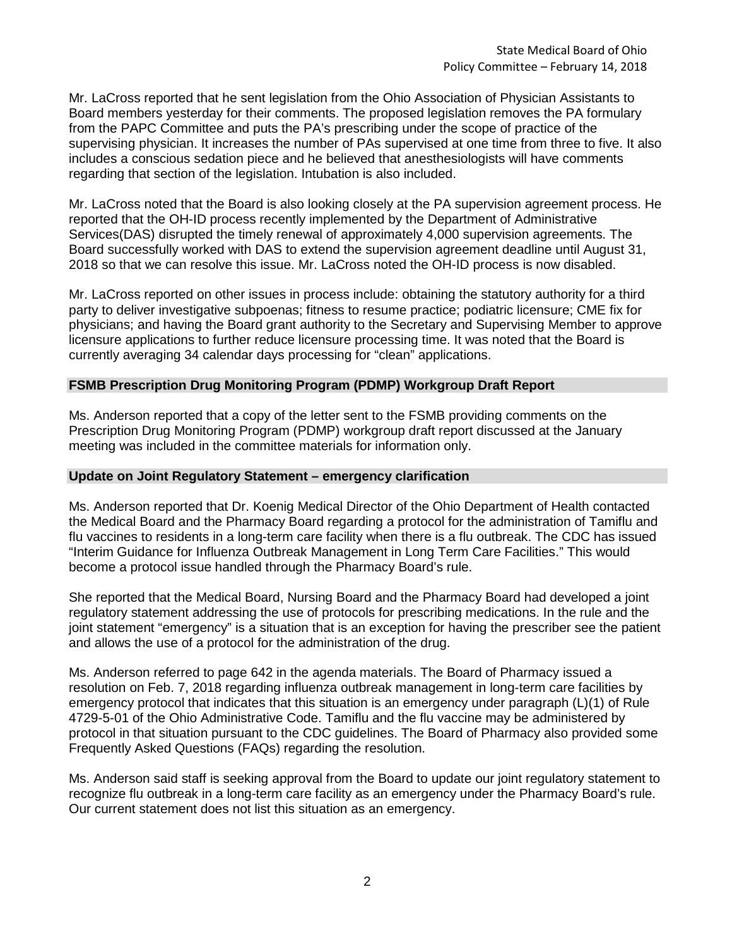Mr. LaCross reported that he sent legislation from the Ohio Association of Physician Assistants to Board members yesterday for their comments. The proposed legislation removes the PA formulary from the PAPC Committee and puts the PA's prescribing under the scope of practice of the supervising physician. It increases the number of PAs supervised at one time from three to five. It also includes a conscious sedation piece and he believed that anesthesiologists will have comments regarding that section of the legislation. Intubation is also included.

Mr. LaCross noted that the Board is also looking closely at the PA supervision agreement process. He reported that the OH-ID process recently implemented by the Department of Administrative Services(DAS) disrupted the timely renewal of approximately 4,000 supervision agreements. The Board successfully worked with DAS to extend the supervision agreement deadline until August 31, 2018 so that we can resolve this issue. Mr. LaCross noted the OH-ID process is now disabled.

Mr. LaCross reported on other issues in process include: obtaining the statutory authority for a third party to deliver investigative subpoenas; fitness to resume practice; podiatric licensure; CME fix for physicians; and having the Board grant authority to the Secretary and Supervising Member to approve licensure applications to further reduce licensure processing time. It was noted that the Board is currently averaging 34 calendar days processing for "clean" applications.

### **FSMB Prescription Drug Monitoring Program (PDMP) Workgroup Draft Report**

Ms. Anderson reported that a copy of the letter sent to the FSMB providing comments on the Prescription Drug Monitoring Program (PDMP) workgroup draft report discussed at the January meeting was included in the committee materials for information only.

### **Update on Joint Regulatory Statement – emergency clarification**

Ms. Anderson reported that Dr. Koenig Medical Director of the Ohio Department of Health contacted the Medical Board and the Pharmacy Board regarding a protocol for the administration of Tamiflu and flu vaccines to residents in a long-term care facility when there is a flu outbreak. The CDC has issued "Interim Guidance for Influenza Outbreak Management in Long Term Care Facilities." This would become a protocol issue handled through the Pharmacy Board's rule.

She reported that the Medical Board, Nursing Board and the Pharmacy Board had developed a joint regulatory statement addressing the use of protocols for prescribing medications. In the rule and the joint statement "emergency" is a situation that is an exception for having the prescriber see the patient and allows the use of a protocol for the administration of the drug.

Ms. Anderson referred to page 642 in the agenda materials. The Board of Pharmacy issued a resolution on Feb. 7, 2018 regarding influenza outbreak management in long-term care facilities by emergency protocol that indicates that this situation is an emergency under paragraph (L)(1) of Rule 4729-5-01 of the Ohio Administrative Code. Tamiflu and the flu vaccine may be administered by protocol in that situation pursuant to the CDC guidelines. The Board of Pharmacy also provided some Frequently Asked Questions (FAQs) regarding the resolution.

Ms. Anderson said staff is seeking approval from the Board to update our joint regulatory statement to recognize flu outbreak in a long-term care facility as an emergency under the Pharmacy Board's rule. Our current statement does not list this situation as an emergency.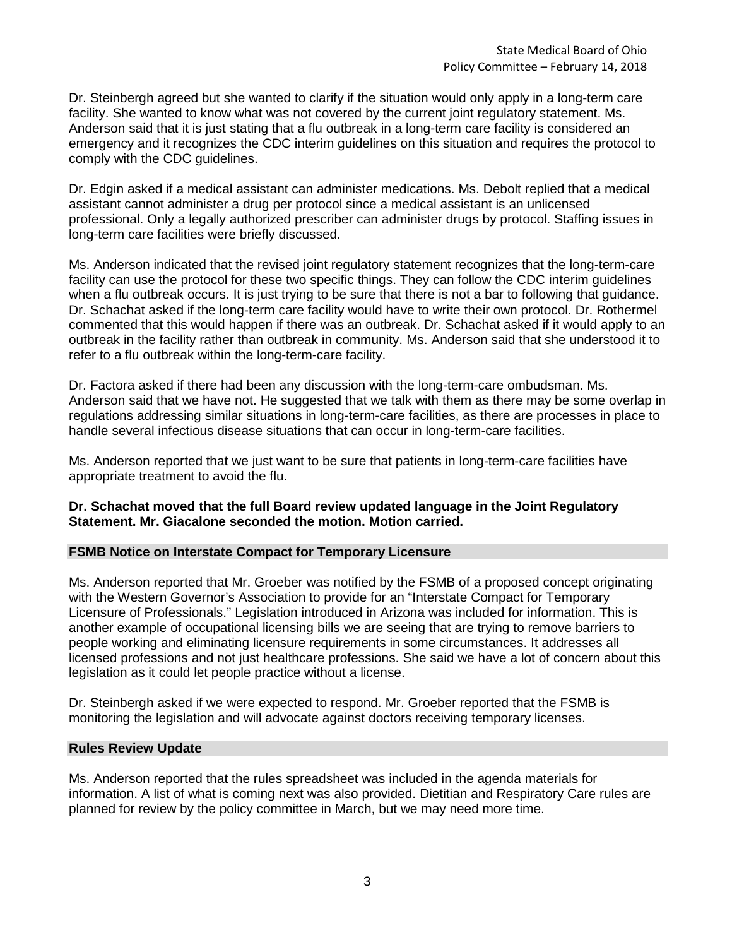Dr. Steinbergh agreed but she wanted to clarify if the situation would only apply in a long-term care facility. She wanted to know what was not covered by the current joint regulatory statement. Ms. Anderson said that it is just stating that a flu outbreak in a long-term care facility is considered an emergency and it recognizes the CDC interim guidelines on this situation and requires the protocol to comply with the CDC guidelines.

Dr. Edgin asked if a medical assistant can administer medications. Ms. Debolt replied that a medical assistant cannot administer a drug per protocol since a medical assistant is an unlicensed professional. Only a legally authorized prescriber can administer drugs by protocol. Staffing issues in long-term care facilities were briefly discussed.

Ms. Anderson indicated that the revised joint regulatory statement recognizes that the long-term-care facility can use the protocol for these two specific things. They can follow the CDC interim guidelines when a flu outbreak occurs. It is just trying to be sure that there is not a bar to following that guidance. Dr. Schachat asked if the long-term care facility would have to write their own protocol. Dr. Rothermel commented that this would happen if there was an outbreak. Dr. Schachat asked if it would apply to an outbreak in the facility rather than outbreak in community. Ms. Anderson said that she understood it to refer to a flu outbreak within the long-term-care facility.

Dr. Factora asked if there had been any discussion with the long-term-care ombudsman. Ms. Anderson said that we have not. He suggested that we talk with them as there may be some overlap in regulations addressing similar situations in long-term-care facilities, as there are processes in place to handle several infectious disease situations that can occur in long-term-care facilities.

Ms. Anderson reported that we just want to be sure that patients in long-term-care facilities have appropriate treatment to avoid the flu.

# **Dr. Schachat moved that the full Board review updated language in the Joint Regulatory Statement. Mr. Giacalone seconded the motion. Motion carried.**

### **FSMB Notice on Interstate Compact for Temporary Licensure**

Ms. Anderson reported that Mr. Groeber was notified by the FSMB of a proposed concept originating with the Western Governor's Association to provide for an "Interstate Compact for Temporary Licensure of Professionals." Legislation introduced in Arizona was included for information. This is another example of occupational licensing bills we are seeing that are trying to remove barriers to people working and eliminating licensure requirements in some circumstances. It addresses all licensed professions and not just healthcare professions. She said we have a lot of concern about this legislation as it could let people practice without a license.

Dr. Steinbergh asked if we were expected to respond. Mr. Groeber reported that the FSMB is monitoring the legislation and will advocate against doctors receiving temporary licenses.

### **Rules Review Update**

Ms. Anderson reported that the rules spreadsheet was included in the agenda materials for information. A list of what is coming next was also provided. Dietitian and Respiratory Care rules are planned for review by the policy committee in March, but we may need more time.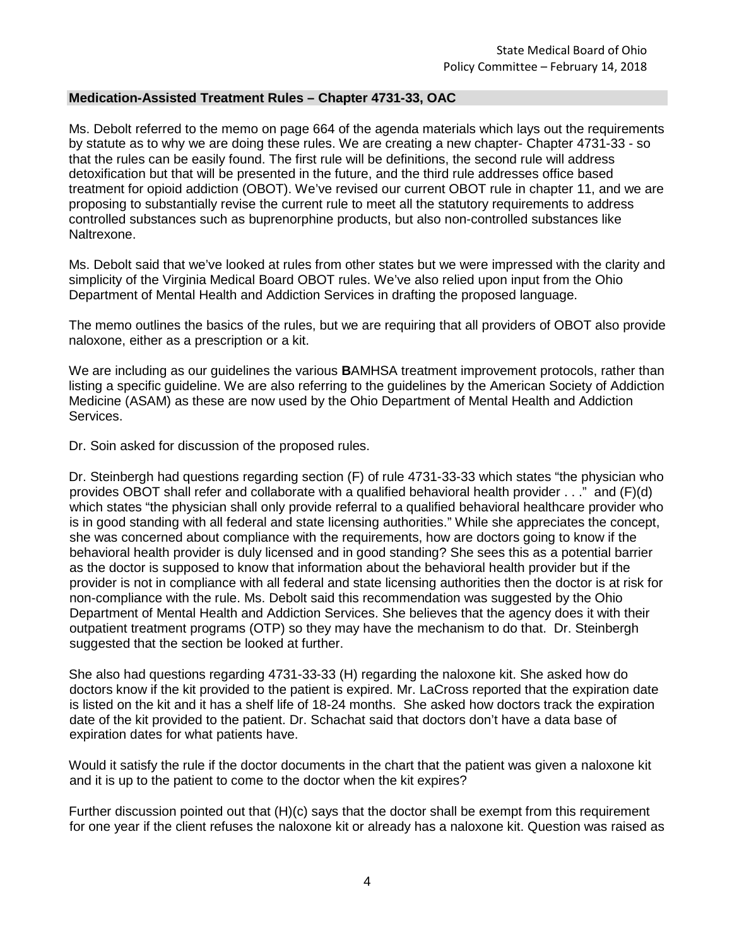# **Medication-Assisted Treatment Rules – Chapter 4731-33, OAC**

Ms. Debolt referred to the memo on page 664 of the agenda materials which lays out the requirements by statute as to why we are doing these rules. We are creating a new chapter- Chapter 4731-33 - so that the rules can be easily found. The first rule will be definitions, the second rule will address detoxification but that will be presented in the future, and the third rule addresses office based treatment for opioid addiction (OBOT). We've revised our current OBOT rule in chapter 11, and we are proposing to substantially revise the current rule to meet all the statutory requirements to address controlled substances such as buprenorphine products, but also non-controlled substances like Naltrexone.

Ms. Debolt said that we've looked at rules from other states but we were impressed with the clarity and simplicity of the Virginia Medical Board OBOT rules. We've also relied upon input from the Ohio Department of Mental Health and Addiction Services in drafting the proposed language.

The memo outlines the basics of the rules, but we are requiring that all providers of OBOT also provide naloxone, either as a prescription or a kit.

We are including as our guidelines the various **B**AMHSA treatment improvement protocols, rather than listing a specific guideline. We are also referring to the guidelines by the American Society of Addiction Medicine (ASAM) as these are now used by the Ohio Department of Mental Health and Addiction Services.

Dr. Soin asked for discussion of the proposed rules.

Dr. Steinbergh had questions regarding section (F) of rule 4731-33-33 which states "the physician who provides OBOT shall refer and collaborate with a qualified behavioral health provider . . ." and (F)(d) which states "the physician shall only provide referral to a qualified behavioral healthcare provider who is in good standing with all federal and state licensing authorities." While she appreciates the concept, she was concerned about compliance with the requirements, how are doctors going to know if the behavioral health provider is duly licensed and in good standing? She sees this as a potential barrier as the doctor is supposed to know that information about the behavioral health provider but if the provider is not in compliance with all federal and state licensing authorities then the doctor is at risk for non-compliance with the rule. Ms. Debolt said this recommendation was suggested by the Ohio Department of Mental Health and Addiction Services. She believes that the agency does it with their outpatient treatment programs (OTP) so they may have the mechanism to do that. Dr. Steinbergh suggested that the section be looked at further.

She also had questions regarding 4731-33-33 (H) regarding the naloxone kit. She asked how do doctors know if the kit provided to the patient is expired. Mr. LaCross reported that the expiration date is listed on the kit and it has a shelf life of 18-24 months. She asked how doctors track the expiration date of the kit provided to the patient. Dr. Schachat said that doctors don't have a data base of expiration dates for what patients have.

Would it satisfy the rule if the doctor documents in the chart that the patient was given a naloxone kit and it is up to the patient to come to the doctor when the kit expires?

Further discussion pointed out that (H)(c) says that the doctor shall be exempt from this requirement for one year if the client refuses the naloxone kit or already has a naloxone kit. Question was raised as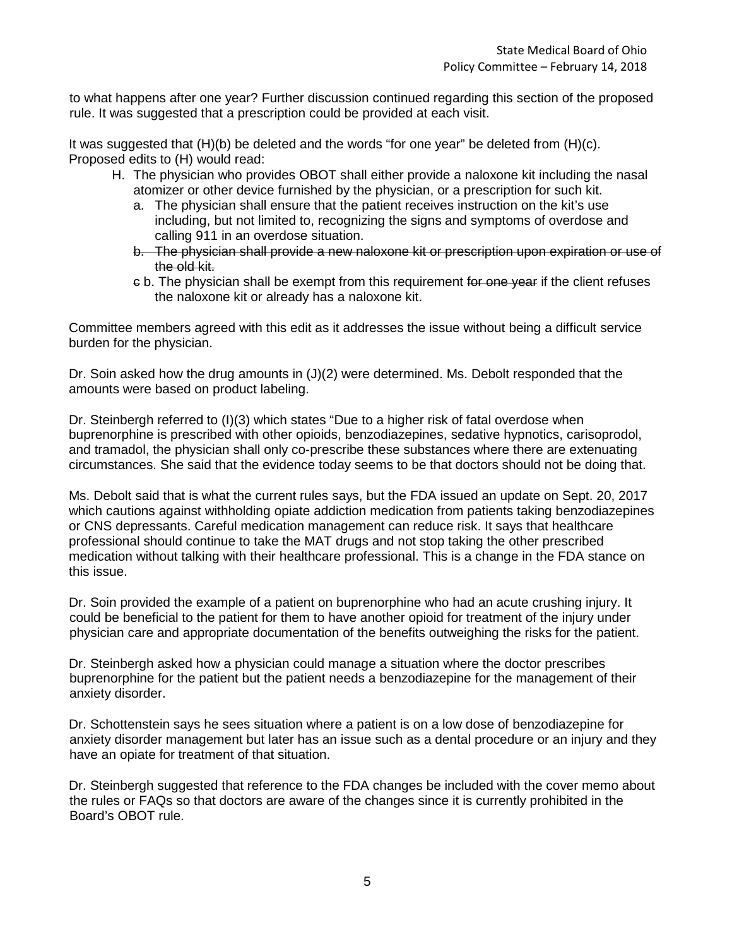to what happens after one year? Further discussion continued regarding this section of the proposed rule. It was suggested that a prescription could be provided at each visit.

It was suggested that (H)(b) be deleted and the words "for one year" be deleted from (H)(c). Proposed edits to (H) would read:

- H. The physician who provides OBOT shall either provide a naloxone kit including the nasal atomizer or other device furnished by the physician, or a prescription for such kit.
	- a. The physician shall ensure that the patient receives instruction on the kit's use including, but not limited to, recognizing the signs and symptoms of overdose and calling 911 in an overdose situation.
	- b. The physician shall provide a new naloxone kit or prescription upon expiration or use of the old kit.
	- c b. The physician shall be exempt from this requirement for one year if the client refuses the naloxone kit or already has a naloxone kit.

Committee members agreed with this edit as it addresses the issue without being a difficult service burden for the physician.

Dr. Soin asked how the drug amounts in (J)(2) were determined. Ms. Debolt responded that the amounts were based on product labeling.

Dr. Steinbergh referred to (I)(3) which states "Due to a higher risk of fatal overdose when buprenorphine is prescribed with other opioids, benzodiazepines, sedative hypnotics, carisoprodol, and tramadol, the physician shall only co-prescribe these substances where there are extenuating circumstances. She said that the evidence today seems to be that doctors should not be doing that.

Ms. Debolt said that is what the current rules says, but the FDA issued an update on Sept. 20, 2017 which cautions against withholding opiate addiction medication from patients taking benzodiazepines or CNS depressants. Careful medication management can reduce risk. It says that healthcare professional should continue to take the MAT drugs and not stop taking the other prescribed medication without talking with their healthcare professional. This is a change in the FDA stance on this issue.

Dr. Soin provided the example of a patient on buprenorphine who had an acute crushing injury. It could be beneficial to the patient for them to have another opioid for treatment of the injury under physician care and appropriate documentation of the benefits outweighing the risks for the patient.

Dr. Steinbergh asked how a physician could manage a situation where the doctor prescribes buprenorphine for the patient but the patient needs a benzodiazepine for the management of their anxiety disorder.

Dr. Schottenstein says he sees situation where a patient is on a low dose of benzodiazepine for anxiety disorder management but later has an issue such as a dental procedure or an injury and they have an opiate for treatment of that situation.

Dr. Steinbergh suggested that reference to the FDA changes be included with the cover memo about the rules or FAQs so that doctors are aware of the changes since it is currently prohibited in the Board's OBOT rule.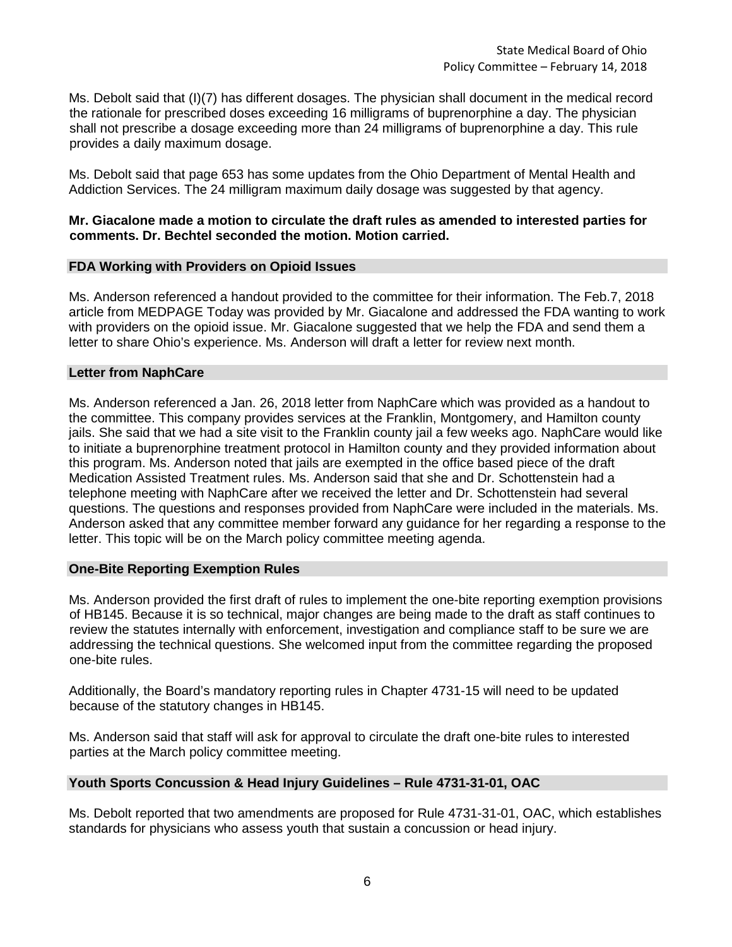Ms. Debolt said that (I)(7) has different dosages. The physician shall document in the medical record the rationale for prescribed doses exceeding 16 milligrams of buprenorphine a day. The physician shall not prescribe a dosage exceeding more than 24 milligrams of buprenorphine a day. This rule provides a daily maximum dosage.

Ms. Debolt said that page 653 has some updates from the Ohio Department of Mental Health and Addiction Services. The 24 milligram maximum daily dosage was suggested by that agency.

## **Mr. Giacalone made a motion to circulate the draft rules as amended to interested parties for comments. Dr. Bechtel seconded the motion. Motion carried.**

### **FDA Working with Providers on Opioid Issues**

Ms. Anderson referenced a handout provided to the committee for their information. The Feb.7, 2018 article from MEDPAGE Today was provided by Mr. Giacalone and addressed the FDA wanting to work with providers on the opioid issue. Mr. Giacalone suggested that we help the FDA and send them a letter to share Ohio's experience. Ms. Anderson will draft a letter for review next month.

### **Letter from NaphCare**

Ms. Anderson referenced a Jan. 26, 2018 letter from NaphCare which was provided as a handout to the committee. This company provides services at the Franklin, Montgomery, and Hamilton county jails. She said that we had a site visit to the Franklin county jail a few weeks ago. NaphCare would like to initiate a buprenorphine treatment protocol in Hamilton county and they provided information about this program. Ms. Anderson noted that jails are exempted in the office based piece of the draft Medication Assisted Treatment rules. Ms. Anderson said that she and Dr. Schottenstein had a telephone meeting with NaphCare after we received the letter and Dr. Schottenstein had several questions. The questions and responses provided from NaphCare were included in the materials. Ms. Anderson asked that any committee member forward any guidance for her regarding a response to the letter. This topic will be on the March policy committee meeting agenda.

### **One-Bite Reporting Exemption Rules**

Ms. Anderson provided the first draft of rules to implement the one-bite reporting exemption provisions of HB145. Because it is so technical, major changes are being made to the draft as staff continues to review the statutes internally with enforcement, investigation and compliance staff to be sure we are addressing the technical questions. She welcomed input from the committee regarding the proposed one-bite rules.

Additionally, the Board's mandatory reporting rules in Chapter 4731-15 will need to be updated because of the statutory changes in HB145.

Ms. Anderson said that staff will ask for approval to circulate the draft one-bite rules to interested parties at the March policy committee meeting.

# **Youth Sports Concussion & Head Injury Guidelines – Rule 4731-31-01, OAC**

Ms. Debolt reported that two amendments are proposed for Rule 4731-31-01, OAC, which establishes standards for physicians who assess youth that sustain a concussion or head injury.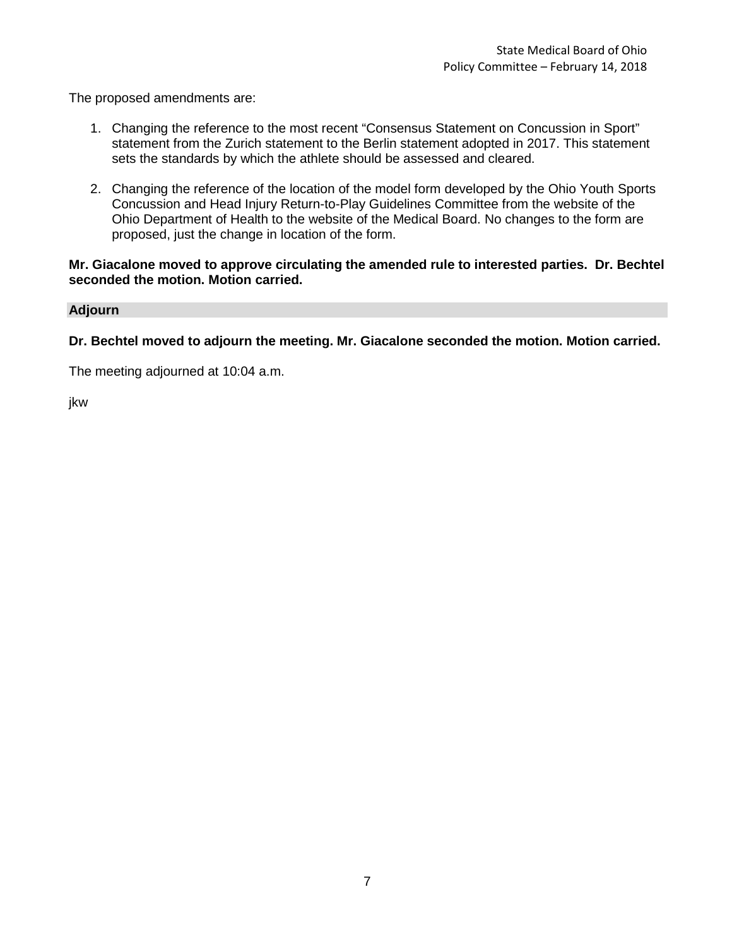The proposed amendments are:

- 1. Changing the reference to the most recent "Consensus Statement on Concussion in Sport" statement from the Zurich statement to the Berlin statement adopted in 2017. This statement sets the standards by which the athlete should be assessed and cleared.
- 2. Changing the reference of the location of the model form developed by the Ohio Youth Sports Concussion and Head Injury Return-to-Play Guidelines Committee from the website of the Ohio Department of Health to the website of the Medical Board. No changes to the form are proposed, just the change in location of the form.

# **Mr. Giacalone moved to approve circulating the amended rule to interested parties. Dr. Bechtel seconded the motion. Motion carried.**

# **Adjourn**

**Dr. Bechtel moved to adjourn the meeting. Mr. Giacalone seconded the motion. Motion carried.**

The meeting adjourned at 10:04 a.m.

jkw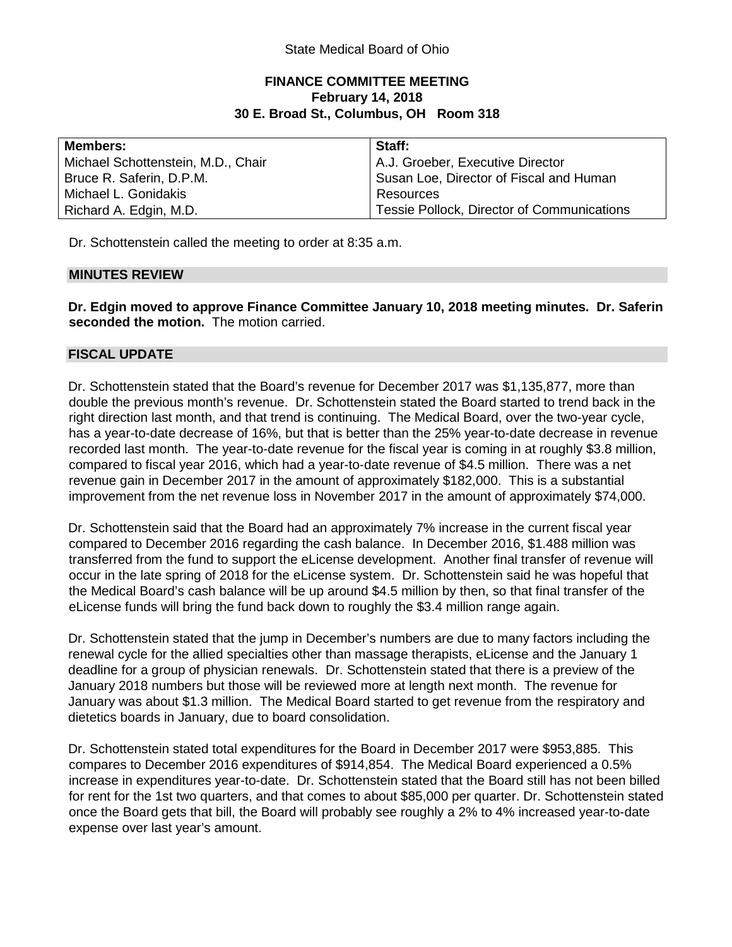# **FINANCE COMMITTEE MEETING February 14, 2018 30 E. Broad St., Columbus, OH Room 318**

| <b>Members:</b>                    | Staff:                                            |
|------------------------------------|---------------------------------------------------|
| Michael Schottenstein, M.D., Chair | A.J. Groeber, Executive Director                  |
| Bruce R. Saferin, D.P.M.           | Susan Loe, Director of Fiscal and Human           |
| Michael L. Gonidakis               | Resources                                         |
| Richard A. Edgin, M.D.             | <b>Tessie Pollock, Director of Communications</b> |

Dr. Schottenstein called the meeting to order at 8:35 a.m.

# **MINUTES REVIEW**

**Dr. Edgin moved to approve Finance Committee January 10, 2018 meeting minutes. Dr. Saferin seconded the motion.** The motion carried.

# **FISCAL UPDATE**

Dr. Schottenstein stated that the Board's revenue for December 2017 was \$1,135,877, more than double the previous month's revenue. Dr. Schottenstein stated the Board started to trend back in the right direction last month, and that trend is continuing. The Medical Board, over the two-year cycle, has a year-to-date decrease of 16%, but that is better than the 25% year-to-date decrease in revenue recorded last month. The year-to-date revenue for the fiscal year is coming in at roughly \$3.8 million, compared to fiscal year 2016, which had a year-to-date revenue of \$4.5 million. There was a net revenue gain in December 2017 in the amount of approximately \$182,000. This is a substantial improvement from the net revenue loss in November 2017 in the amount of approximately \$74,000.

Dr. Schottenstein said that the Board had an approximately 7% increase in the current fiscal year compared to December 2016 regarding the cash balance. In December 2016, \$1.488 million was transferred from the fund to support the eLicense development. Another final transfer of revenue will occur in the late spring of 2018 for the eLicense system. Dr. Schottenstein said he was hopeful that the Medical Board's cash balance will be up around \$4.5 million by then, so that final transfer of the eLicense funds will bring the fund back down to roughly the \$3.4 million range again.

Dr. Schottenstein stated that the jump in December's numbers are due to many factors including the renewal cycle for the allied specialties other than massage therapists, eLicense and the January 1 deadline for a group of physician renewals. Dr. Schottenstein stated that there is a preview of the January 2018 numbers but those will be reviewed more at length next month. The revenue for January was about \$1.3 million. The Medical Board started to get revenue from the respiratory and dietetics boards in January, due to board consolidation.

Dr. Schottenstein stated total expenditures for the Board in December 2017 were \$953,885. This compares to December 2016 expenditures of \$914,854. The Medical Board experienced a 0.5% increase in expenditures year-to-date. Dr. Schottenstein stated that the Board still has not been billed for rent for the 1st two quarters, and that comes to about \$85,000 per quarter. Dr. Schottenstein stated once the Board gets that bill, the Board will probably see roughly a 2% to 4% increased year-to-date expense over last year's amount.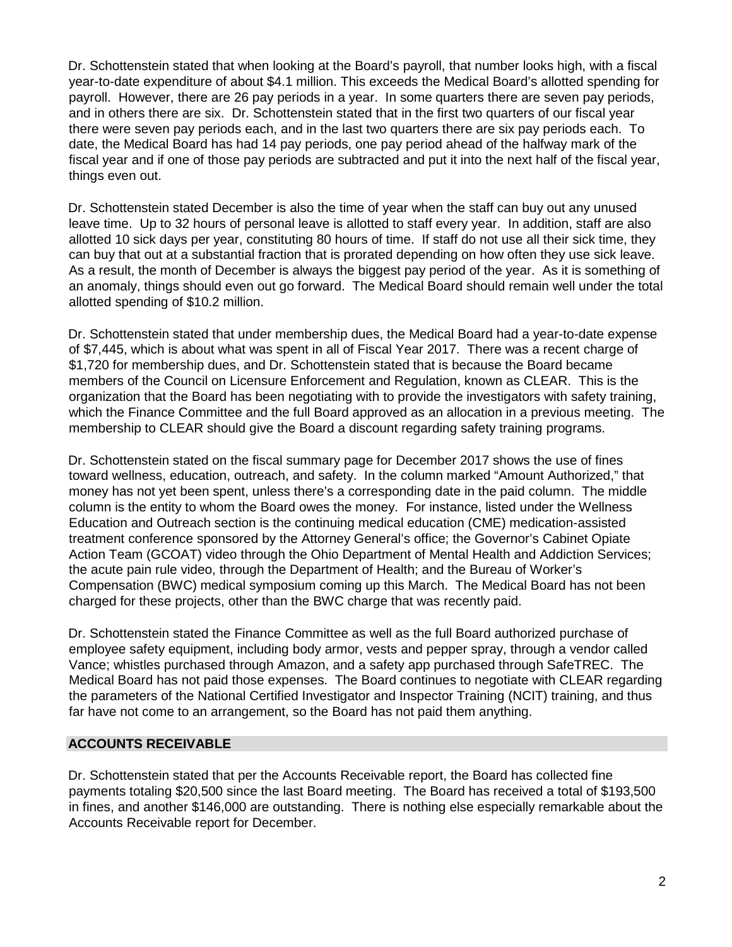Dr. Schottenstein stated that when looking at the Board's payroll, that number looks high, with a fiscal year-to-date expenditure of about \$4.1 million. This exceeds the Medical Board's allotted spending for payroll. However, there are 26 pay periods in a year. In some quarters there are seven pay periods, and in others there are six. Dr. Schottenstein stated that in the first two quarters of our fiscal year there were seven pay periods each, and in the last two quarters there are six pay periods each. To date, the Medical Board has had 14 pay periods, one pay period ahead of the halfway mark of the fiscal year and if one of those pay periods are subtracted and put it into the next half of the fiscal year, things even out.

Dr. Schottenstein stated December is also the time of year when the staff can buy out any unused leave time. Up to 32 hours of personal leave is allotted to staff every year. In addition, staff are also allotted 10 sick days per year, constituting 80 hours of time. If staff do not use all their sick time, they can buy that out at a substantial fraction that is prorated depending on how often they use sick leave. As a result, the month of December is always the biggest pay period of the year. As it is something of an anomaly, things should even out go forward. The Medical Board should remain well under the total allotted spending of \$10.2 million.

Dr. Schottenstein stated that under membership dues, the Medical Board had a year-to-date expense of \$7,445, which is about what was spent in all of Fiscal Year 2017. There was a recent charge of \$1,720 for membership dues, and Dr. Schottenstein stated that is because the Board became members of the Council on Licensure Enforcement and Regulation, known as CLEAR. This is the organization that the Board has been negotiating with to provide the investigators with safety training, which the Finance Committee and the full Board approved as an allocation in a previous meeting. The membership to CLEAR should give the Board a discount regarding safety training programs.

Dr. Schottenstein stated on the fiscal summary page for December 2017 shows the use of fines toward wellness, education, outreach, and safety. In the column marked "Amount Authorized," that money has not yet been spent, unless there's a corresponding date in the paid column. The middle column is the entity to whom the Board owes the money. For instance, listed under the Wellness Education and Outreach section is the continuing medical education (CME) medication-assisted treatment conference sponsored by the Attorney General's office; the Governor's Cabinet Opiate Action Team (GCOAT) video through the Ohio Department of Mental Health and Addiction Services; the acute pain rule video, through the Department of Health; and the Bureau of Worker's Compensation (BWC) medical symposium coming up this March. The Medical Board has not been charged for these projects, other than the BWC charge that was recently paid.

Dr. Schottenstein stated the Finance Committee as well as the full Board authorized purchase of employee safety equipment, including body armor, vests and pepper spray, through a vendor called Vance; whistles purchased through Amazon, and a safety app purchased through SafeTREC. The Medical Board has not paid those expenses. The Board continues to negotiate with CLEAR regarding the parameters of the National Certified Investigator and Inspector Training (NCIT) training, and thus far have not come to an arrangement, so the Board has not paid them anything.

# **ACCOUNTS RECEIVABLE**

Dr. Schottenstein stated that per the Accounts Receivable report, the Board has collected fine payments totaling \$20,500 since the last Board meeting. The Board has received a total of \$193,500 in fines, and another \$146,000 are outstanding. There is nothing else especially remarkable about the Accounts Receivable report for December.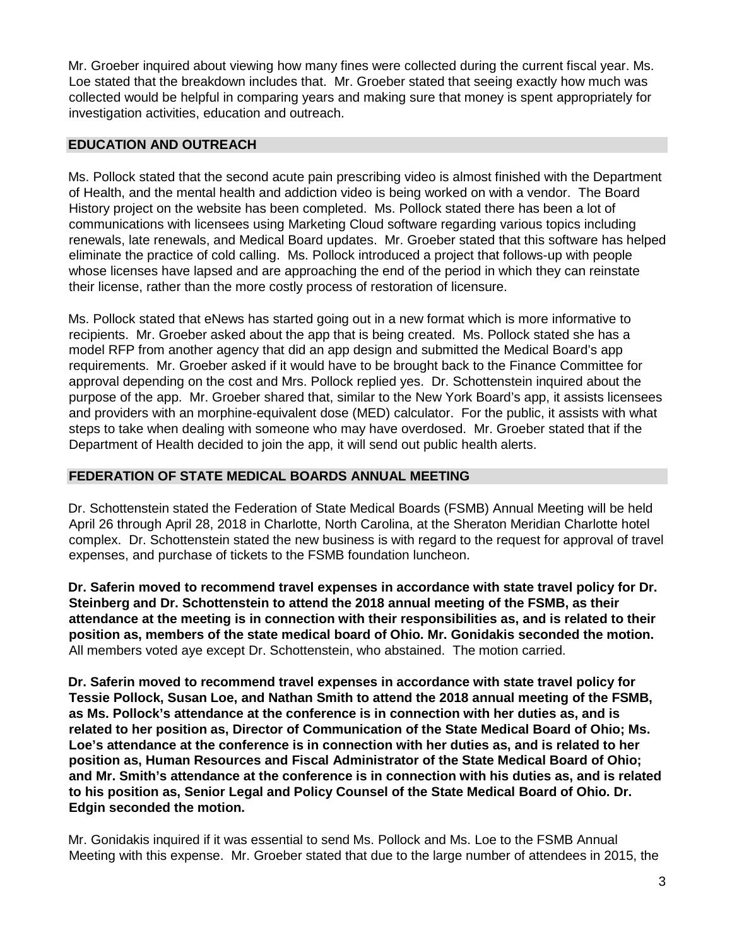Mr. Groeber inquired about viewing how many fines were collected during the current fiscal year. Ms. Loe stated that the breakdown includes that. Mr. Groeber stated that seeing exactly how much was collected would be helpful in comparing years and making sure that money is spent appropriately for investigation activities, education and outreach.

# **EDUCATION AND OUTREACH**

Ms. Pollock stated that the second acute pain prescribing video is almost finished with the Department of Health, and the mental health and addiction video is being worked on with a vendor. The Board History project on the website has been completed. Ms. Pollock stated there has been a lot of communications with licensees using Marketing Cloud software regarding various topics including renewals, late renewals, and Medical Board updates. Mr. Groeber stated that this software has helped eliminate the practice of cold calling. Ms. Pollock introduced a project that follows-up with people whose licenses have lapsed and are approaching the end of the period in which they can reinstate their license, rather than the more costly process of restoration of licensure.

Ms. Pollock stated that eNews has started going out in a new format which is more informative to recipients. Mr. Groeber asked about the app that is being created. Ms. Pollock stated she has a model RFP from another agency that did an app design and submitted the Medical Board's app requirements. Mr. Groeber asked if it would have to be brought back to the Finance Committee for approval depending on the cost and Mrs. Pollock replied yes. Dr. Schottenstein inquired about the purpose of the app. Mr. Groeber shared that, similar to the New York Board's app, it assists licensees and providers with an morphine-equivalent dose (MED) calculator. For the public, it assists with what steps to take when dealing with someone who may have overdosed. Mr. Groeber stated that if the Department of Health decided to join the app, it will send out public health alerts.

# **FEDERATION OF STATE MEDICAL BOARDS ANNUAL MEETING**

Dr. Schottenstein stated the Federation of State Medical Boards (FSMB) Annual Meeting will be held April 26 through April 28, 2018 in Charlotte, North Carolina, at the Sheraton Meridian Charlotte hotel complex. Dr. Schottenstein stated the new business is with regard to the request for approval of travel expenses, and purchase of tickets to the FSMB foundation luncheon.

**Dr. Saferin moved to recommend travel expenses in accordance with state travel policy for Dr. Steinberg and Dr. Schottenstein to attend the 2018 annual meeting of the FSMB, as their attendance at the meeting is in connection with their responsibilities as, and is related to their position as, members of the state medical board of Ohio. Mr. Gonidakis seconded the motion.** All members voted aye except Dr. Schottenstein, who abstained. The motion carried.

**Dr. Saferin moved to recommend travel expenses in accordance with state travel policy for Tessie Pollock, Susan Loe, and Nathan Smith to attend the 2018 annual meeting of the FSMB, as Ms. Pollock's attendance at the conference is in connection with her duties as, and is related to her position as, Director of Communication of the State Medical Board of Ohio; Ms. Loe's attendance at the conference is in connection with her duties as, and is related to her position as, Human Resources and Fiscal Administrator of the State Medical Board of Ohio; and Mr. Smith's attendance at the conference is in connection with his duties as, and is related to his position as, Senior Legal and Policy Counsel of the State Medical Board of Ohio. Dr. Edgin seconded the motion.** 

Mr. Gonidakis inquired if it was essential to send Ms. Pollock and Ms. Loe to the FSMB Annual Meeting with this expense. Mr. Groeber stated that due to the large number of attendees in 2015, the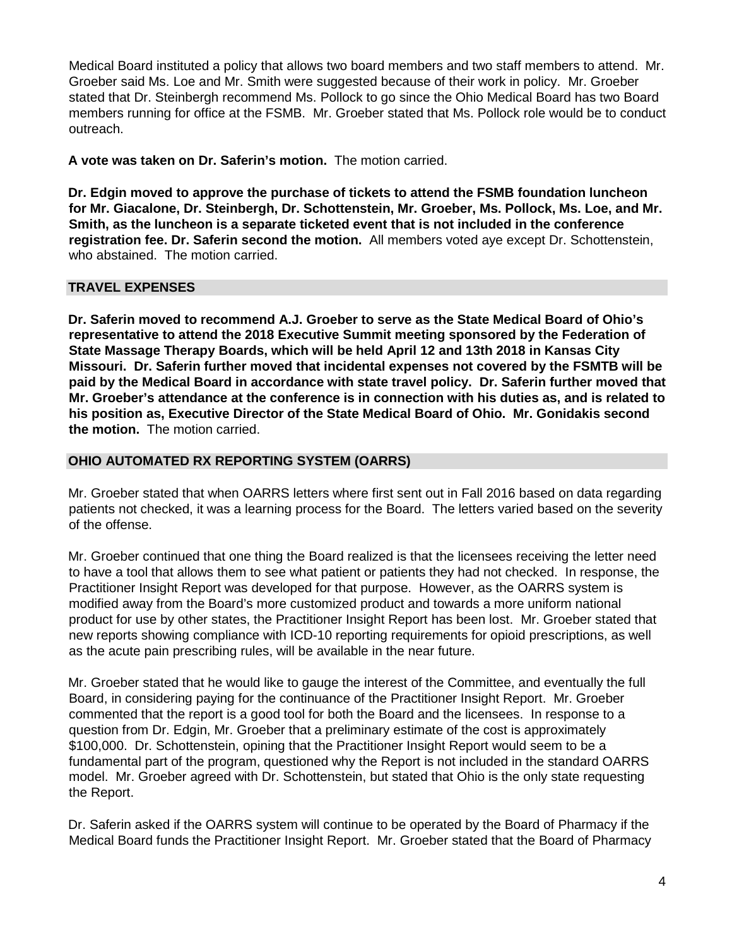Medical Board instituted a policy that allows two board members and two staff members to attend. Mr. Groeber said Ms. Loe and Mr. Smith were suggested because of their work in policy. Mr. Groeber stated that Dr. Steinbergh recommend Ms. Pollock to go since the Ohio Medical Board has two Board members running for office at the FSMB. Mr. Groeber stated that Ms. Pollock role would be to conduct outreach.

**A vote was taken on Dr. Saferin's motion.** The motion carried.

**Dr. Edgin moved to approve the purchase of tickets to attend the FSMB foundation luncheon for Mr. Giacalone, Dr. Steinbergh, Dr. Schottenstein, Mr. Groeber, Ms. Pollock, Ms. Loe, and Mr. Smith, as the luncheon is a separate ticketed event that is not included in the conference registration fee. Dr. Saferin second the motion.** All members voted aye except Dr. Schottenstein, who abstained. The motion carried.

# **TRAVEL EXPENSES**

**Dr. Saferin moved to recommend A.J. Groeber to serve as the State Medical Board of Ohio's representative to attend the 2018 Executive Summit meeting sponsored by the Federation of State Massage Therapy Boards, which will be held April 12 and 13th 2018 in Kansas City Missouri. Dr. Saferin further moved that incidental expenses not covered by the FSMTB will be paid by the Medical Board in accordance with state travel policy. Dr. Saferin further moved that Mr. Groeber's attendance at the conference is in connection with his duties as, and is related to his position as, Executive Director of the State Medical Board of Ohio. Mr. Gonidakis second the motion.** The motion carried.

# **OHIO AUTOMATED RX REPORTING SYSTEM (OARRS)**

Mr. Groeber stated that when OARRS letters where first sent out in Fall 2016 based on data regarding patients not checked, it was a learning process for the Board. The letters varied based on the severity of the offense.

Mr. Groeber continued that one thing the Board realized is that the licensees receiving the letter need to have a tool that allows them to see what patient or patients they had not checked. In response, the Practitioner Insight Report was developed for that purpose. However, as the OARRS system is modified away from the Board's more customized product and towards a more uniform national product for use by other states, the Practitioner Insight Report has been lost. Mr. Groeber stated that new reports showing compliance with ICD-10 reporting requirements for opioid prescriptions, as well as the acute pain prescribing rules, will be available in the near future.

Mr. Groeber stated that he would like to gauge the interest of the Committee, and eventually the full Board, in considering paying for the continuance of the Practitioner Insight Report. Mr. Groeber commented that the report is a good tool for both the Board and the licensees. In response to a question from Dr. Edgin, Mr. Groeber that a preliminary estimate of the cost is approximately \$100,000. Dr. Schottenstein, opining that the Practitioner Insight Report would seem to be a fundamental part of the program, questioned why the Report is not included in the standard OARRS model. Mr. Groeber agreed with Dr. Schottenstein, but stated that Ohio is the only state requesting the Report.

Dr. Saferin asked if the OARRS system will continue to be operated by the Board of Pharmacy if the Medical Board funds the Practitioner Insight Report. Mr. Groeber stated that the Board of Pharmacy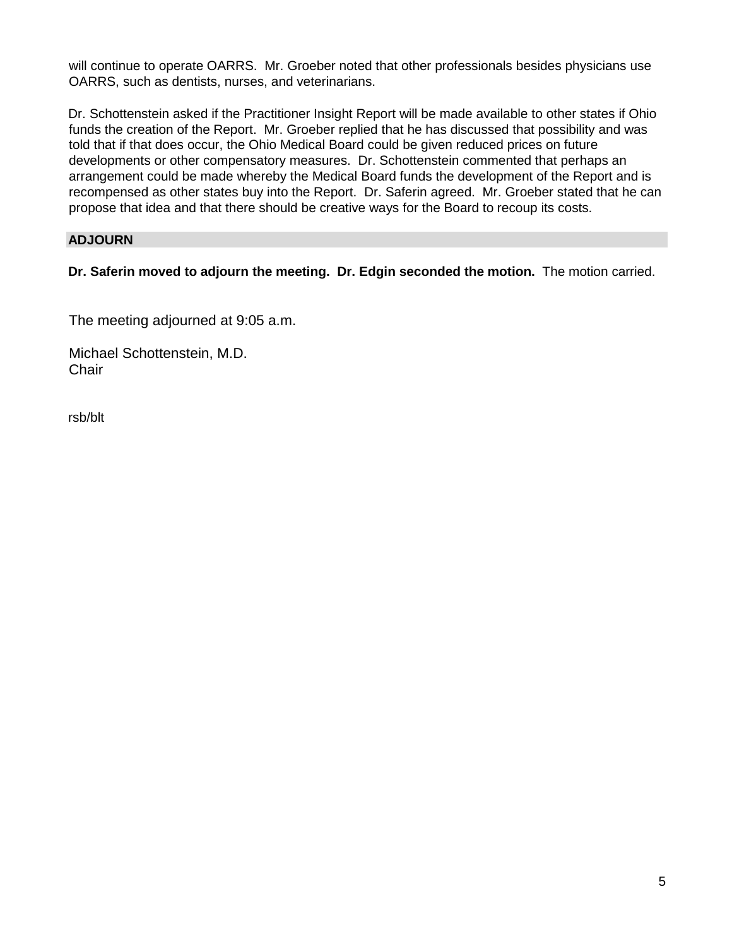will continue to operate OARRS. Mr. Groeber noted that other professionals besides physicians use OARRS, such as dentists, nurses, and veterinarians.

Dr. Schottenstein asked if the Practitioner Insight Report will be made available to other states if Ohio funds the creation of the Report. Mr. Groeber replied that he has discussed that possibility and was told that if that does occur, the Ohio Medical Board could be given reduced prices on future developments or other compensatory measures. Dr. Schottenstein commented that perhaps an arrangement could be made whereby the Medical Board funds the development of the Report and is recompensed as other states buy into the Report. Dr. Saferin agreed. Mr. Groeber stated that he can propose that idea and that there should be creative ways for the Board to recoup its costs.

# **ADJOURN**

**Dr. Saferin moved to adjourn the meeting. Dr. Edgin seconded the motion.** The motion carried.

The meeting adjourned at 9:05 a.m.

Michael Schottenstein, M.D. **Chair** 

rsb/blt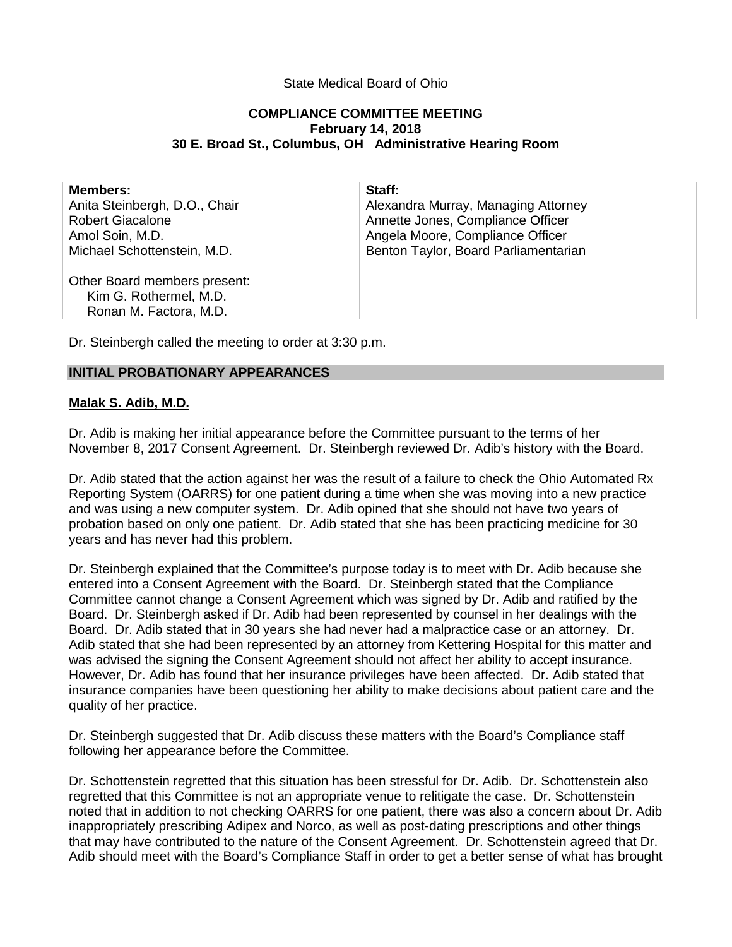## State Medical Board of Ohio

### **COMPLIANCE COMMITTEE MEETING February 14, 2018 30 E. Broad St., Columbus, OH Administrative Hearing Room**

| <b>Members:</b>               | Staff:                               |
|-------------------------------|--------------------------------------|
| Anita Steinbergh, D.O., Chair | Alexandra Murray, Managing Attorney  |
| <b>Robert Giacalone</b>       | Annette Jones, Compliance Officer    |
| Amol Soin, M.D.               | Angela Moore, Compliance Officer     |
| Michael Schottenstein, M.D.   | Benton Taylor, Board Parliamentarian |
| Other Board members present:  |                                      |
| Kim G. Rothermel, M.D.        |                                      |
| Ronan M. Factora, M.D.        |                                      |
|                               |                                      |

Dr. Steinbergh called the meeting to order at 3:30 p.m.

### **INITIAL PROBATIONARY APPEARANCES**

### **Malak S. Adib, M.D.**

Dr. Adib is making her initial appearance before the Committee pursuant to the terms of her November 8, 2017 Consent Agreement. Dr. Steinbergh reviewed Dr. Adib's history with the Board.

Dr. Adib stated that the action against her was the result of a failure to check the Ohio Automated Rx Reporting System (OARRS) for one patient during a time when she was moving into a new practice and was using a new computer system. Dr. Adib opined that she should not have two years of probation based on only one patient. Dr. Adib stated that she has been practicing medicine for 30 years and has never had this problem.

Dr. Steinbergh explained that the Committee's purpose today is to meet with Dr. Adib because she entered into a Consent Agreement with the Board. Dr. Steinbergh stated that the Compliance Committee cannot change a Consent Agreement which was signed by Dr. Adib and ratified by the Board. Dr. Steinbergh asked if Dr. Adib had been represented by counsel in her dealings with the Board. Dr. Adib stated that in 30 years she had never had a malpractice case or an attorney. Dr. Adib stated that she had been represented by an attorney from Kettering Hospital for this matter and was advised the signing the Consent Agreement should not affect her ability to accept insurance. However, Dr. Adib has found that her insurance privileges have been affected. Dr. Adib stated that insurance companies have been questioning her ability to make decisions about patient care and the quality of her practice.

Dr. Steinbergh suggested that Dr. Adib discuss these matters with the Board's Compliance staff following her appearance before the Committee.

Dr. Schottenstein regretted that this situation has been stressful for Dr. Adib. Dr. Schottenstein also regretted that this Committee is not an appropriate venue to relitigate the case. Dr. Schottenstein noted that in addition to not checking OARRS for one patient, there was also a concern about Dr. Adib inappropriately prescribing Adipex and Norco, as well as post-dating prescriptions and other things that may have contributed to the nature of the Consent Agreement. Dr. Schottenstein agreed that Dr. Adib should meet with the Board's Compliance Staff in order to get a better sense of what has brought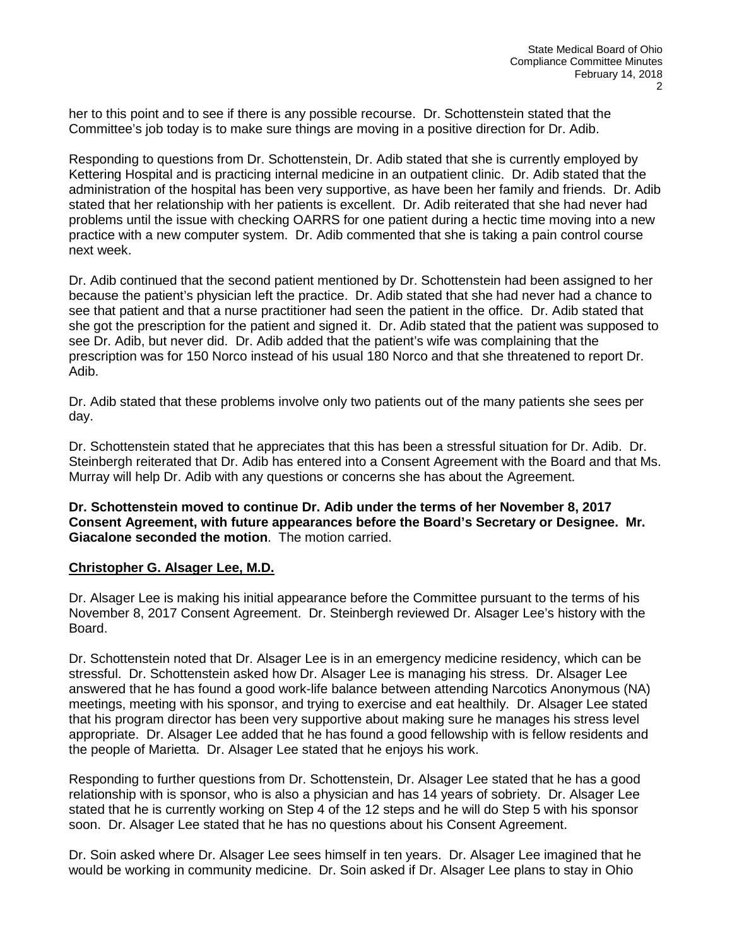her to this point and to see if there is any possible recourse. Dr. Schottenstein stated that the Committee's job today is to make sure things are moving in a positive direction for Dr. Adib.

Responding to questions from Dr. Schottenstein, Dr. Adib stated that she is currently employed by Kettering Hospital and is practicing internal medicine in an outpatient clinic. Dr. Adib stated that the administration of the hospital has been very supportive, as have been her family and friends. Dr. Adib stated that her relationship with her patients is excellent. Dr. Adib reiterated that she had never had problems until the issue with checking OARRS for one patient during a hectic time moving into a new practice with a new computer system. Dr. Adib commented that she is taking a pain control course next week.

Dr. Adib continued that the second patient mentioned by Dr. Schottenstein had been assigned to her because the patient's physician left the practice. Dr. Adib stated that she had never had a chance to see that patient and that a nurse practitioner had seen the patient in the office. Dr. Adib stated that she got the prescription for the patient and signed it. Dr. Adib stated that the patient was supposed to see Dr. Adib, but never did. Dr. Adib added that the patient's wife was complaining that the prescription was for 150 Norco instead of his usual 180 Norco and that she threatened to report Dr. Adib.

Dr. Adib stated that these problems involve only two patients out of the many patients she sees per day.

Dr. Schottenstein stated that he appreciates that this has been a stressful situation for Dr. Adib. Dr. Steinbergh reiterated that Dr. Adib has entered into a Consent Agreement with the Board and that Ms. Murray will help Dr. Adib with any questions or concerns she has about the Agreement.

**Dr. Schottenstein moved to continue Dr. Adib under the terms of her November 8, 2017 Consent Agreement, with future appearances before the Board's Secretary or Designee. Mr. Giacalone seconded the motion**. The motion carried.

### **Christopher G. Alsager Lee, M.D.**

Dr. Alsager Lee is making his initial appearance before the Committee pursuant to the terms of his November 8, 2017 Consent Agreement. Dr. Steinbergh reviewed Dr. Alsager Lee's history with the Board.

Dr. Schottenstein noted that Dr. Alsager Lee is in an emergency medicine residency, which can be stressful. Dr. Schottenstein asked how Dr. Alsager Lee is managing his stress. Dr. Alsager Lee answered that he has found a good work-life balance between attending Narcotics Anonymous (NA) meetings, meeting with his sponsor, and trying to exercise and eat healthily. Dr. Alsager Lee stated that his program director has been very supportive about making sure he manages his stress level appropriate. Dr. Alsager Lee added that he has found a good fellowship with is fellow residents and the people of Marietta. Dr. Alsager Lee stated that he enjoys his work.

Responding to further questions from Dr. Schottenstein, Dr. Alsager Lee stated that he has a good relationship with is sponsor, who is also a physician and has 14 years of sobriety. Dr. Alsager Lee stated that he is currently working on Step 4 of the 12 steps and he will do Step 5 with his sponsor soon. Dr. Alsager Lee stated that he has no questions about his Consent Agreement.

Dr. Soin asked where Dr. Alsager Lee sees himself in ten years. Dr. Alsager Lee imagined that he would be working in community medicine. Dr. Soin asked if Dr. Alsager Lee plans to stay in Ohio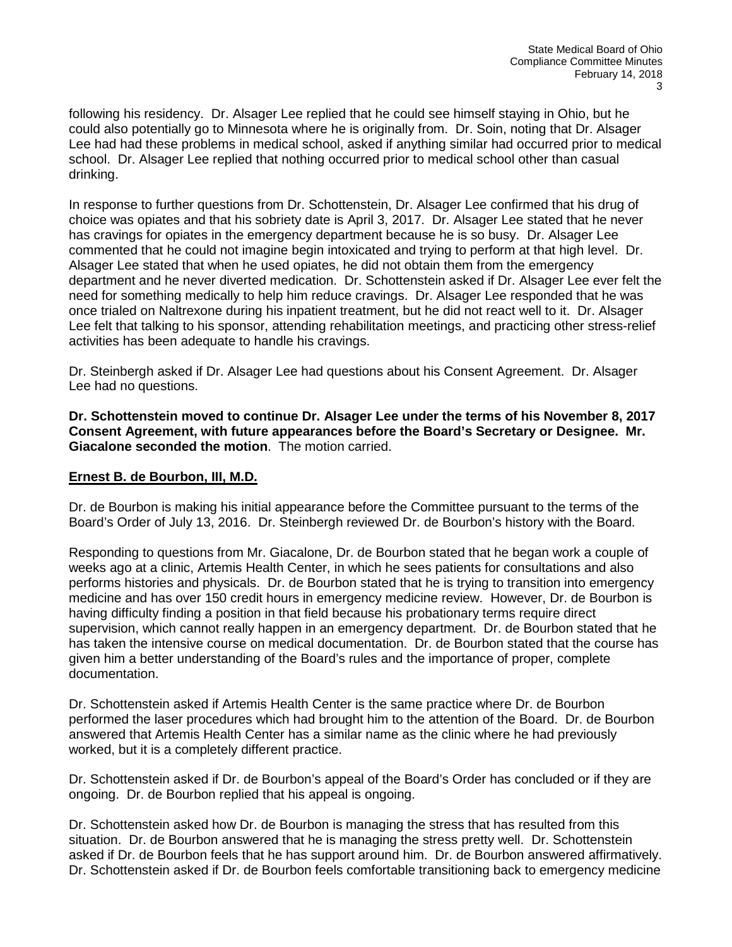following his residency. Dr. Alsager Lee replied that he could see himself staying in Ohio, but he could also potentially go to Minnesota where he is originally from. Dr. Soin, noting that Dr. Alsager Lee had had these problems in medical school, asked if anything similar had occurred prior to medical school. Dr. Alsager Lee replied that nothing occurred prior to medical school other than casual drinking.

In response to further questions from Dr. Schottenstein, Dr. Alsager Lee confirmed that his drug of choice was opiates and that his sobriety date is April 3, 2017. Dr. Alsager Lee stated that he never has cravings for opiates in the emergency department because he is so busy. Dr. Alsager Lee commented that he could not imagine begin intoxicated and trying to perform at that high level. Dr. Alsager Lee stated that when he used opiates, he did not obtain them from the emergency department and he never diverted medication. Dr. Schottenstein asked if Dr. Alsager Lee ever felt the need for something medically to help him reduce cravings. Dr. Alsager Lee responded that he was once trialed on Naltrexone during his inpatient treatment, but he did not react well to it. Dr. Alsager Lee felt that talking to his sponsor, attending rehabilitation meetings, and practicing other stress-relief activities has been adequate to handle his cravings.

Dr. Steinbergh asked if Dr. Alsager Lee had questions about his Consent Agreement. Dr. Alsager Lee had no questions.

**Dr. Schottenstein moved to continue Dr. Alsager Lee under the terms of his November 8, 2017 Consent Agreement, with future appearances before the Board's Secretary or Designee. Mr. Giacalone seconded the motion**. The motion carried.

# **Ernest B. de Bourbon, III, M.D.**

Dr. de Bourbon is making his initial appearance before the Committee pursuant to the terms of the Board's Order of July 13, 2016. Dr. Steinbergh reviewed Dr. de Bourbon's history with the Board.

Responding to questions from Mr. Giacalone, Dr. de Bourbon stated that he began work a couple of weeks ago at a clinic, Artemis Health Center, in which he sees patients for consultations and also performs histories and physicals. Dr. de Bourbon stated that he is trying to transition into emergency medicine and has over 150 credit hours in emergency medicine review. However, Dr. de Bourbon is having difficulty finding a position in that field because his probationary terms require direct supervision, which cannot really happen in an emergency department. Dr. de Bourbon stated that he has taken the intensive course on medical documentation. Dr. de Bourbon stated that the course has given him a better understanding of the Board's rules and the importance of proper, complete documentation.

Dr. Schottenstein asked if Artemis Health Center is the same practice where Dr. de Bourbon performed the laser procedures which had brought him to the attention of the Board. Dr. de Bourbon answered that Artemis Health Center has a similar name as the clinic where he had previously worked, but it is a completely different practice.

Dr. Schottenstein asked if Dr. de Bourbon's appeal of the Board's Order has concluded or if they are ongoing. Dr. de Bourbon replied that his appeal is ongoing.

Dr. Schottenstein asked how Dr. de Bourbon is managing the stress that has resulted from this situation. Dr. de Bourbon answered that he is managing the stress pretty well. Dr. Schottenstein asked if Dr. de Bourbon feels that he has support around him. Dr. de Bourbon answered affirmatively. Dr. Schottenstein asked if Dr. de Bourbon feels comfortable transitioning back to emergency medicine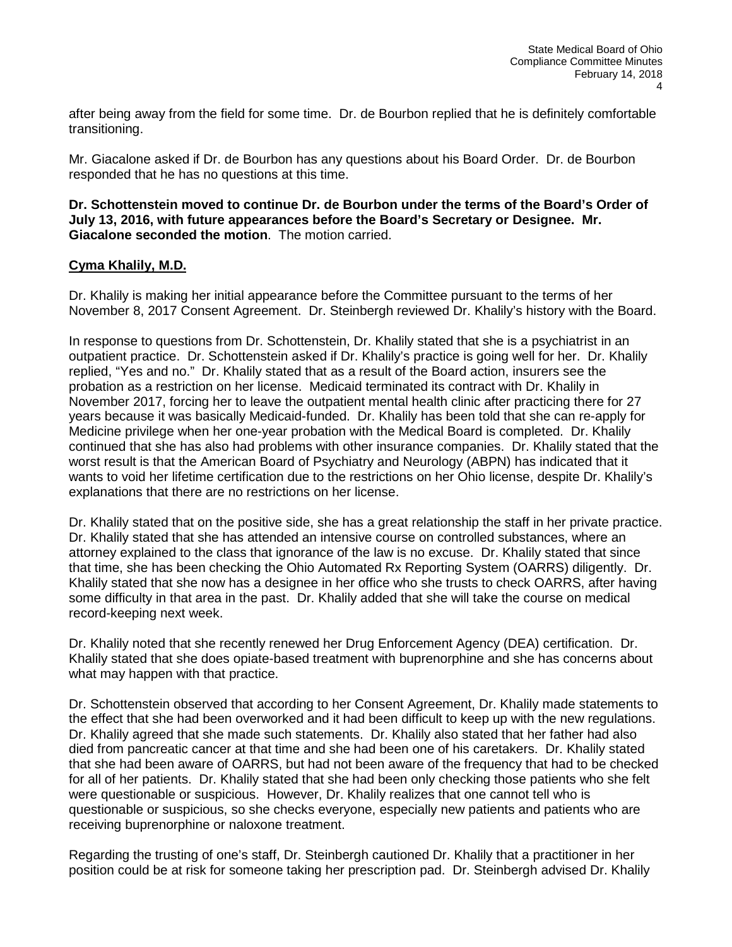after being away from the field for some time. Dr. de Bourbon replied that he is definitely comfortable transitioning.

Mr. Giacalone asked if Dr. de Bourbon has any questions about his Board Order. Dr. de Bourbon responded that he has no questions at this time.

### **Dr. Schottenstein moved to continue Dr. de Bourbon under the terms of the Board's Order of July 13, 2016, with future appearances before the Board's Secretary or Designee. Mr. Giacalone seconded the motion**. The motion carried.

# **Cyma Khalily, M.D.**

Dr. Khalily is making her initial appearance before the Committee pursuant to the terms of her November 8, 2017 Consent Agreement. Dr. Steinbergh reviewed Dr. Khalily's history with the Board.

In response to questions from Dr. Schottenstein, Dr. Khalily stated that she is a psychiatrist in an outpatient practice. Dr. Schottenstein asked if Dr. Khalily's practice is going well for her. Dr. Khalily replied, "Yes and no." Dr. Khalily stated that as a result of the Board action, insurers see the probation as a restriction on her license. Medicaid terminated its contract with Dr. Khalily in November 2017, forcing her to leave the outpatient mental health clinic after practicing there for 27 years because it was basically Medicaid-funded. Dr. Khalily has been told that she can re-apply for Medicine privilege when her one-year probation with the Medical Board is completed. Dr. Khalily continued that she has also had problems with other insurance companies. Dr. Khalily stated that the worst result is that the American Board of Psychiatry and Neurology (ABPN) has indicated that it wants to void her lifetime certification due to the restrictions on her Ohio license, despite Dr. Khalily's explanations that there are no restrictions on her license.

Dr. Khalily stated that on the positive side, she has a great relationship the staff in her private practice. Dr. Khalily stated that she has attended an intensive course on controlled substances, where an attorney explained to the class that ignorance of the law is no excuse. Dr. Khalily stated that since that time, she has been checking the Ohio Automated Rx Reporting System (OARRS) diligently. Dr. Khalily stated that she now has a designee in her office who she trusts to check OARRS, after having some difficulty in that area in the past. Dr. Khalily added that she will take the course on medical record-keeping next week.

Dr. Khalily noted that she recently renewed her Drug Enforcement Agency (DEA) certification. Dr. Khalily stated that she does opiate-based treatment with buprenorphine and she has concerns about what may happen with that practice.

Dr. Schottenstein observed that according to her Consent Agreement, Dr. Khalily made statements to the effect that she had been overworked and it had been difficult to keep up with the new regulations. Dr. Khalily agreed that she made such statements. Dr. Khalily also stated that her father had also died from pancreatic cancer at that time and she had been one of his caretakers. Dr. Khalily stated that she had been aware of OARRS, but had not been aware of the frequency that had to be checked for all of her patients. Dr. Khalily stated that she had been only checking those patients who she felt were questionable or suspicious. However, Dr. Khalily realizes that one cannot tell who is questionable or suspicious, so she checks everyone, especially new patients and patients who are receiving buprenorphine or naloxone treatment.

Regarding the trusting of one's staff, Dr. Steinbergh cautioned Dr. Khalily that a practitioner in her position could be at risk for someone taking her prescription pad. Dr. Steinbergh advised Dr. Khalily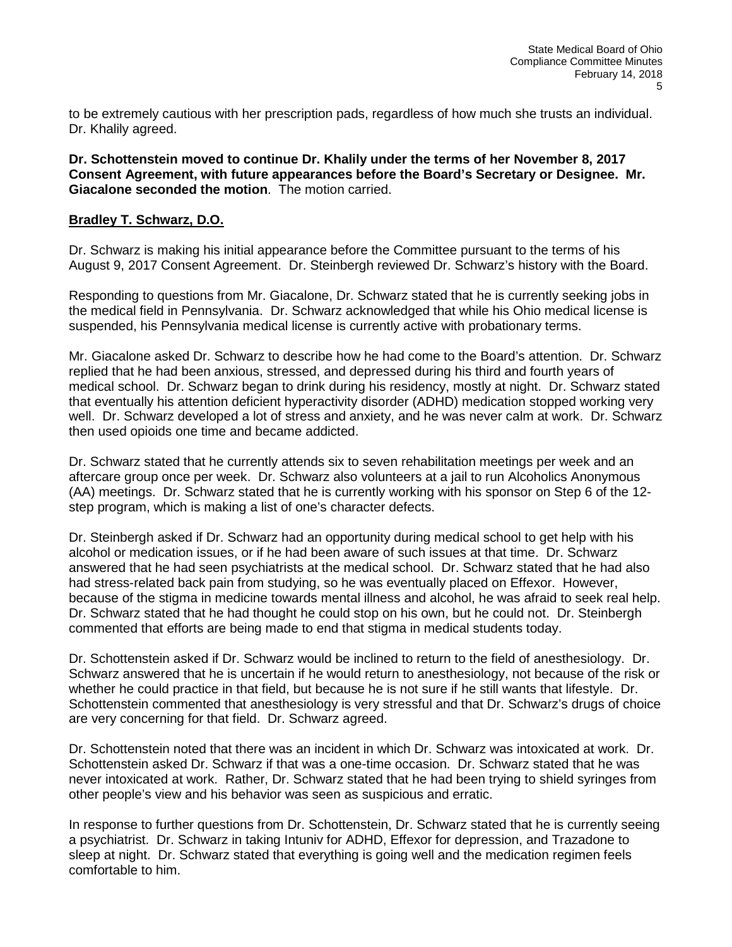to be extremely cautious with her prescription pads, regardless of how much she trusts an individual. Dr. Khalily agreed.

**Dr. Schottenstein moved to continue Dr. Khalily under the terms of her November 8, 2017 Consent Agreement, with future appearances before the Board's Secretary or Designee. Mr. Giacalone seconded the motion**. The motion carried.

# **Bradley T. Schwarz, D.O.**

Dr. Schwarz is making his initial appearance before the Committee pursuant to the terms of his August 9, 2017 Consent Agreement. Dr. Steinbergh reviewed Dr. Schwarz's history with the Board.

Responding to questions from Mr. Giacalone, Dr. Schwarz stated that he is currently seeking jobs in the medical field in Pennsylvania. Dr. Schwarz acknowledged that while his Ohio medical license is suspended, his Pennsylvania medical license is currently active with probationary terms.

Mr. Giacalone asked Dr. Schwarz to describe how he had come to the Board's attention. Dr. Schwarz replied that he had been anxious, stressed, and depressed during his third and fourth years of medical school. Dr. Schwarz began to drink during his residency, mostly at night. Dr. Schwarz stated that eventually his attention deficient hyperactivity disorder (ADHD) medication stopped working very well. Dr. Schwarz developed a lot of stress and anxiety, and he was never calm at work. Dr. Schwarz then used opioids one time and became addicted.

Dr. Schwarz stated that he currently attends six to seven rehabilitation meetings per week and an aftercare group once per week. Dr. Schwarz also volunteers at a jail to run Alcoholics Anonymous (AA) meetings. Dr. Schwarz stated that he is currently working with his sponsor on Step 6 of the 12 step program, which is making a list of one's character defects.

Dr. Steinbergh asked if Dr. Schwarz had an opportunity during medical school to get help with his alcohol or medication issues, or if he had been aware of such issues at that time. Dr. Schwarz answered that he had seen psychiatrists at the medical school. Dr. Schwarz stated that he had also had stress-related back pain from studying, so he was eventually placed on Effexor. However, because of the stigma in medicine towards mental illness and alcohol, he was afraid to seek real help. Dr. Schwarz stated that he had thought he could stop on his own, but he could not. Dr. Steinbergh commented that efforts are being made to end that stigma in medical students today.

Dr. Schottenstein asked if Dr. Schwarz would be inclined to return to the field of anesthesiology. Dr. Schwarz answered that he is uncertain if he would return to anesthesiology, not because of the risk or whether he could practice in that field, but because he is not sure if he still wants that lifestyle. Dr. Schottenstein commented that anesthesiology is very stressful and that Dr. Schwarz's drugs of choice are very concerning for that field. Dr. Schwarz agreed.

Dr. Schottenstein noted that there was an incident in which Dr. Schwarz was intoxicated at work. Dr. Schottenstein asked Dr. Schwarz if that was a one-time occasion. Dr. Schwarz stated that he was never intoxicated at work. Rather, Dr. Schwarz stated that he had been trying to shield syringes from other people's view and his behavior was seen as suspicious and erratic.

In response to further questions from Dr. Schottenstein, Dr. Schwarz stated that he is currently seeing a psychiatrist. Dr. Schwarz in taking Intuniv for ADHD, Effexor for depression, and Trazadone to sleep at night. Dr. Schwarz stated that everything is going well and the medication regimen feels comfortable to him.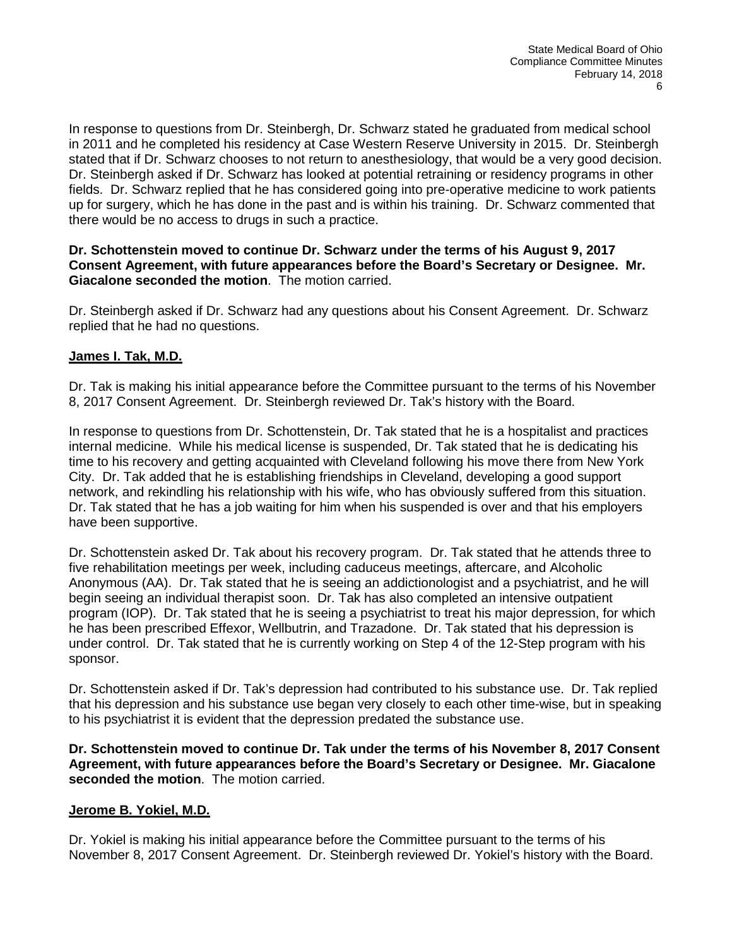In response to questions from Dr. Steinbergh, Dr. Schwarz stated he graduated from medical school in 2011 and he completed his residency at Case Western Reserve University in 2015. Dr. Steinbergh stated that if Dr. Schwarz chooses to not return to anesthesiology, that would be a very good decision. Dr. Steinbergh asked if Dr. Schwarz has looked at potential retraining or residency programs in other fields. Dr. Schwarz replied that he has considered going into pre-operative medicine to work patients up for surgery, which he has done in the past and is within his training. Dr. Schwarz commented that there would be no access to drugs in such a practice.

# **Dr. Schottenstein moved to continue Dr. Schwarz under the terms of his August 9, 2017 Consent Agreement, with future appearances before the Board's Secretary or Designee. Mr. Giacalone seconded the motion**. The motion carried.

Dr. Steinbergh asked if Dr. Schwarz had any questions about his Consent Agreement. Dr. Schwarz replied that he had no questions.

# **James I. Tak, M.D.**

Dr. Tak is making his initial appearance before the Committee pursuant to the terms of his November 8, 2017 Consent Agreement. Dr. Steinbergh reviewed Dr. Tak's history with the Board.

In response to questions from Dr. Schottenstein, Dr. Tak stated that he is a hospitalist and practices internal medicine. While his medical license is suspended, Dr. Tak stated that he is dedicating his time to his recovery and getting acquainted with Cleveland following his move there from New York City. Dr. Tak added that he is establishing friendships in Cleveland, developing a good support network, and rekindling his relationship with his wife, who has obviously suffered from this situation. Dr. Tak stated that he has a job waiting for him when his suspended is over and that his employers have been supportive.

Dr. Schottenstein asked Dr. Tak about his recovery program. Dr. Tak stated that he attends three to five rehabilitation meetings per week, including caduceus meetings, aftercare, and Alcoholic Anonymous (AA). Dr. Tak stated that he is seeing an addictionologist and a psychiatrist, and he will begin seeing an individual therapist soon. Dr. Tak has also completed an intensive outpatient program (IOP). Dr. Tak stated that he is seeing a psychiatrist to treat his major depression, for which he has been prescribed Effexor, Wellbutrin, and Trazadone. Dr. Tak stated that his depression is under control. Dr. Tak stated that he is currently working on Step 4 of the 12-Step program with his sponsor.

Dr. Schottenstein asked if Dr. Tak's depression had contributed to his substance use. Dr. Tak replied that his depression and his substance use began very closely to each other time-wise, but in speaking to his psychiatrist it is evident that the depression predated the substance use.

**Dr. Schottenstein moved to continue Dr. Tak under the terms of his November 8, 2017 Consent Agreement, with future appearances before the Board's Secretary or Designee. Mr. Giacalone seconded the motion**. The motion carried.

# **Jerome B. Yokiel, M.D.**

Dr. Yokiel is making his initial appearance before the Committee pursuant to the terms of his November 8, 2017 Consent Agreement. Dr. Steinbergh reviewed Dr. Yokiel's history with the Board.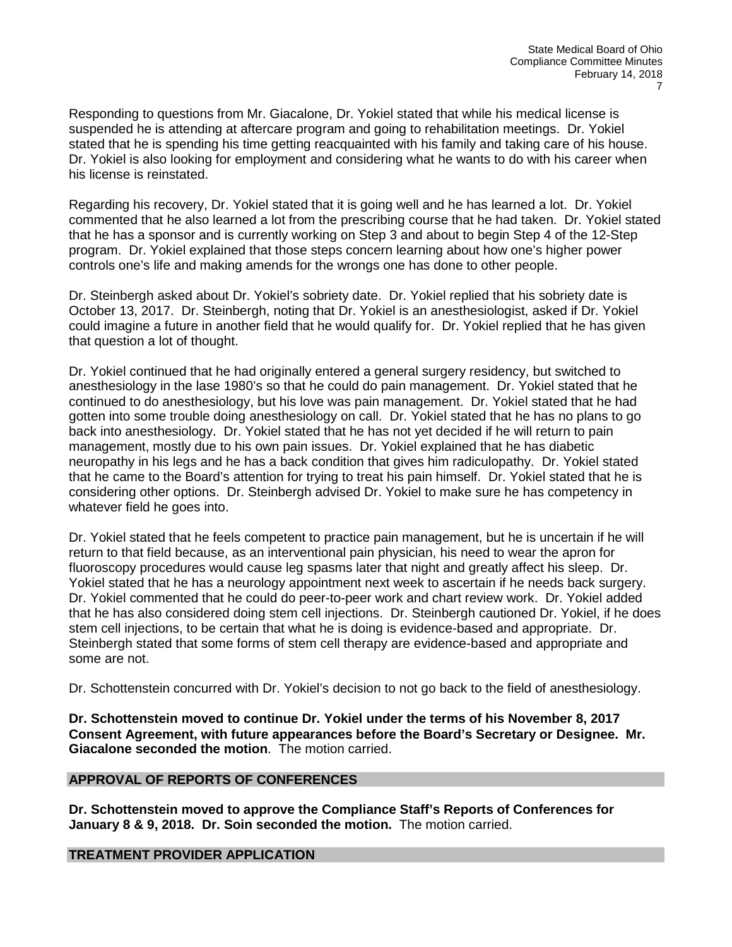Responding to questions from Mr. Giacalone, Dr. Yokiel stated that while his medical license is suspended he is attending at aftercare program and going to rehabilitation meetings. Dr. Yokiel stated that he is spending his time getting reacquainted with his family and taking care of his house. Dr. Yokiel is also looking for employment and considering what he wants to do with his career when his license is reinstated.

Regarding his recovery, Dr. Yokiel stated that it is going well and he has learned a lot. Dr. Yokiel commented that he also learned a lot from the prescribing course that he had taken. Dr. Yokiel stated that he has a sponsor and is currently working on Step 3 and about to begin Step 4 of the 12-Step program. Dr. Yokiel explained that those steps concern learning about how one's higher power controls one's life and making amends for the wrongs one has done to other people.

Dr. Steinbergh asked about Dr. Yokiel's sobriety date. Dr. Yokiel replied that his sobriety date is October 13, 2017. Dr. Steinbergh, noting that Dr. Yokiel is an anesthesiologist, asked if Dr. Yokiel could imagine a future in another field that he would qualify for. Dr. Yokiel replied that he has given that question a lot of thought.

Dr. Yokiel continued that he had originally entered a general surgery residency, but switched to anesthesiology in the lase 1980's so that he could do pain management. Dr. Yokiel stated that he continued to do anesthesiology, but his love was pain management. Dr. Yokiel stated that he had gotten into some trouble doing anesthesiology on call. Dr. Yokiel stated that he has no plans to go back into anesthesiology. Dr. Yokiel stated that he has not yet decided if he will return to pain management, mostly due to his own pain issues. Dr. Yokiel explained that he has diabetic neuropathy in his legs and he has a back condition that gives him radiculopathy. Dr. Yokiel stated that he came to the Board's attention for trying to treat his pain himself. Dr. Yokiel stated that he is considering other options. Dr. Steinbergh advised Dr. Yokiel to make sure he has competency in whatever field he goes into.

Dr. Yokiel stated that he feels competent to practice pain management, but he is uncertain if he will return to that field because, as an interventional pain physician, his need to wear the apron for fluoroscopy procedures would cause leg spasms later that night and greatly affect his sleep. Dr. Yokiel stated that he has a neurology appointment next week to ascertain if he needs back surgery. Dr. Yokiel commented that he could do peer-to-peer work and chart review work. Dr. Yokiel added that he has also considered doing stem cell injections. Dr. Steinbergh cautioned Dr. Yokiel, if he does stem cell injections, to be certain that what he is doing is evidence-based and appropriate. Dr. Steinbergh stated that some forms of stem cell therapy are evidence-based and appropriate and some are not.

Dr. Schottenstein concurred with Dr. Yokiel's decision to not go back to the field of anesthesiology.

**Dr. Schottenstein moved to continue Dr. Yokiel under the terms of his November 8, 2017 Consent Agreement, with future appearances before the Board's Secretary or Designee. Mr. Giacalone seconded the motion**. The motion carried.

### **APPROVAL OF REPORTS OF CONFERENCES**

**Dr. Schottenstein moved to approve the Compliance Staff's Reports of Conferences for January 8 & 9, 2018. Dr. Soin seconded the motion.** The motion carried.

# **TREATMENT PROVIDER APPLICATION**